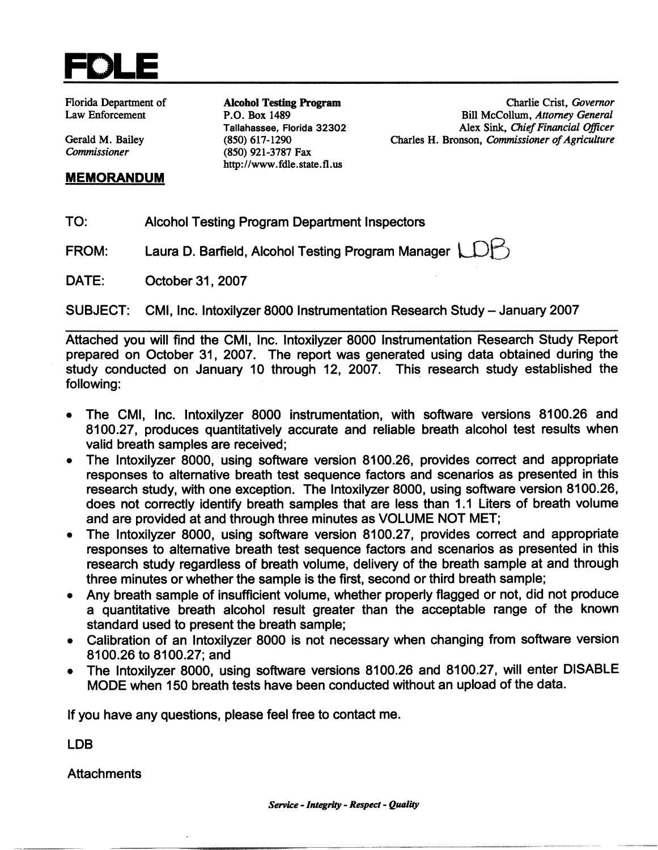

**Florida Department of Law Enforcement** 

Gerald M. Bailey Commissioner

# **MEMORANDUM**

**Alcohol Testing Program** P.O. Box 1489 Tallahassee, Florida 32302  $(850)$  617-1290 (850) 921-3787 Fax http://www.fdle.state.fl.us

Charlie Crist, Governor Bill McCollum, Attorney General Alex Sink, Chief Financial Officer Charles H. Bronson, Commissioner of Agriculture

- TO: **Alcohol Testing Program Department Inspectors**
- Laura D. Barfield, Alcohol Testing Program Manager FROM:
- October 31, 2007 DATE:

**SUBJECT:** CMI, Inc. Intoxilyzer 8000 Instrumentation Research Study - January 2007

Attached you will find the CMI, Inc. Intoxilyzer 8000 Instrumentation Research Study Report prepared on October 31, 2007. The report was generated using data obtained during the study conducted on January 10 through 12, 2007. This research study established the following:



- The CMI, Inc. Intoxilyzer 8000 instrumentation, with software versions 8100.26 and 8100.27, produces quantitatively accurate and reliable breath alcohol test results when valid breath samples are received;
- The Intoxilyzer 8000, using software version 8100.26, provides correct and appropriate  $\bullet$ responses to alternative breath test sequence factors and scenarios as presented in this research study, with one exception. The Intoxilyzer 8000, using software version 8100.26, does not correctly identify breath samples that are less than 1.1 Liters of breath volume and are provided at and through three minutes as VOLUME NOT MET;
- The Intoxilyzer 8000, using software version 8100.27, provides correct and appropriate responses to alternative breath test sequence factors and scenarios as presented in this research study regardless of breath volume, delivery of the breath sample at and through three minutes or whether the sample is the first, second or third breath sample;
- Any breath sample of insufficient volume, whether properly flagged or not, did not produce a quantitative breath alcohol result greater than the acceptable range of the known standard used to present the breath sample;
- Calibration of an Intoxilyzer 8000 is not necessary when changing from software version 8100.26 to 8100.27; and
- The Intoxilyzer 8000, using software versions 8100.26 and 8100.27, will enter DISABLE MODE when 150 breath tests have been conducted without an upload of the data.

If you have any questions, please feel free to contact me.

LDB

**Attachments** 





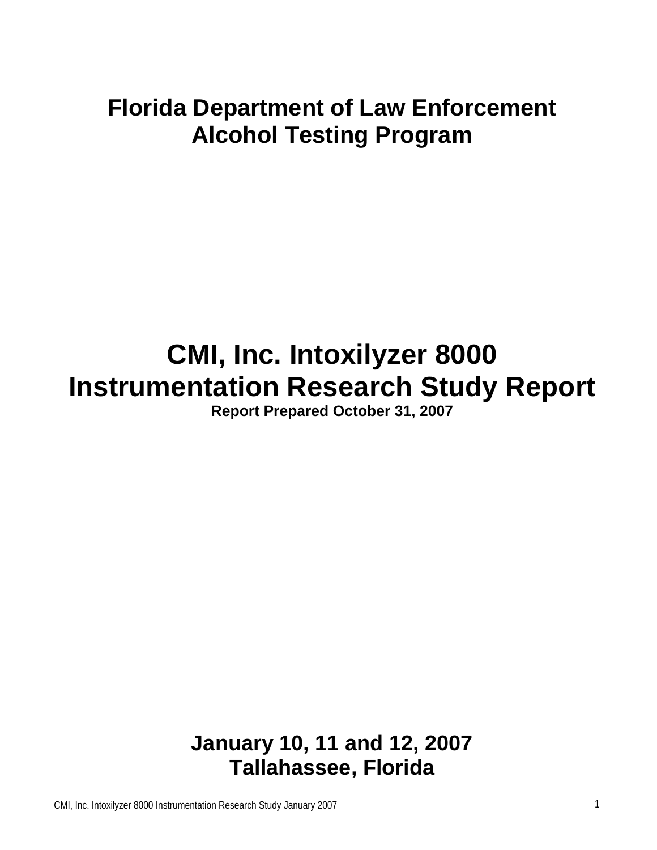### **Florida Department of Law Enforcement Alcohol Testing Program**

# **CMI, Inc. Intoxilyzer 8000 Instrumentation Research Study Report**

**Report Prepared October 31, 2007** 

**January 10, 11 and 12, 2007 Tallahassee, Florida**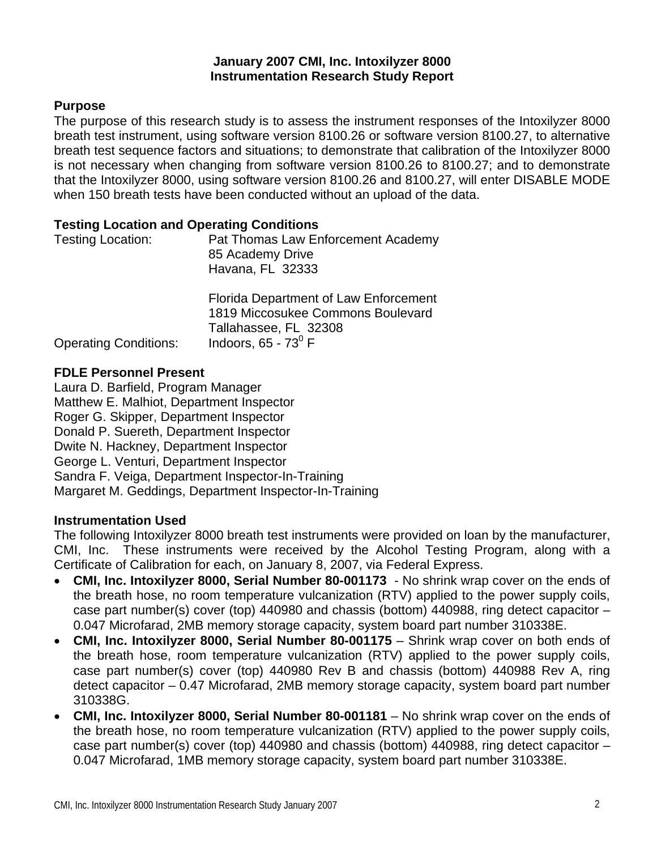#### **January 2007 CMI, Inc. Intoxilyzer 8000 Instrumentation Research Study Report**

#### **Purpose**

The purpose of this research study is to assess the instrument responses of the Intoxilyzer 8000 breath test instrument, using software version 8100.26 or software version 8100.27, to alternative breath test sequence factors and situations; to demonstrate that calibration of the Intoxilyzer 8000 is not necessary when changing from software version 8100.26 to 8100.27; and to demonstrate that the Intoxilyzer 8000, using software version 8100.26 and 8100.27, will enter DISABLE MODE when 150 breath tests have been conducted without an upload of the data.

#### **Testing Location and Operating Conditions**

| Testing Location:            | Pat Thomas Law Enforcement Academy<br>85 Academy Drive<br>Havana, FL 32333                                                          |  |  |  |
|------------------------------|-------------------------------------------------------------------------------------------------------------------------------------|--|--|--|
| <b>Operating Conditions:</b> | Florida Department of Law Enforcement<br>1819 Miccosukee Commons Boulevard<br>Tallahassee, FL 32308<br>Indoors, $65 - 73^{\circ}$ F |  |  |  |

Operating Conditions:

#### **FDLE Personnel Present**

Laura D. Barfield, Program Manager Matthew E. Malhiot, Department Inspector Roger G. Skipper, Department Inspector Donald P. Suereth, Department Inspector Dwite N. Hackney, Department Inspector George L. Venturi, Department Inspector Sandra F. Veiga, Department Inspector-In-Training Margaret M. Geddings, Department Inspector-In-Training

#### **Instrumentation Used**

The following Intoxilyzer 8000 breath test instruments were provided on loan by the manufacturer, CMI, Inc. These instruments were received by the Alcohol Testing Program, along with a Certificate of Calibration for each, on January 8, 2007, via Federal Express.

- **CMI, Inc. Intoxilyzer 8000, Serial Number 80-001173** No shrink wrap cover on the ends of the breath hose, no room temperature vulcanization (RTV) applied to the power supply coils, case part number(s) cover (top) 440980 and chassis (bottom) 440988, ring detect capacitor – 0.047 Microfarad, 2MB memory storage capacity, system board part number 310338E.
- **CMI, Inc. Intoxilyzer 8000, Serial Number 80-001175** Shrink wrap cover on both ends of the breath hose, room temperature vulcanization (RTV) applied to the power supply coils, case part number(s) cover (top) 440980 Rev B and chassis (bottom) 440988 Rev A, ring detect capacitor – 0.47 Microfarad, 2MB memory storage capacity, system board part number 310338G.
- **CMI, Inc. Intoxilyzer 8000, Serial Number 80-001181** No shrink wrap cover on the ends of the breath hose, no room temperature vulcanization (RTV) applied to the power supply coils, case part number(s) cover (top) 440980 and chassis (bottom) 440988, ring detect capacitor – 0.047 Microfarad, 1MB memory storage capacity, system board part number 310338E.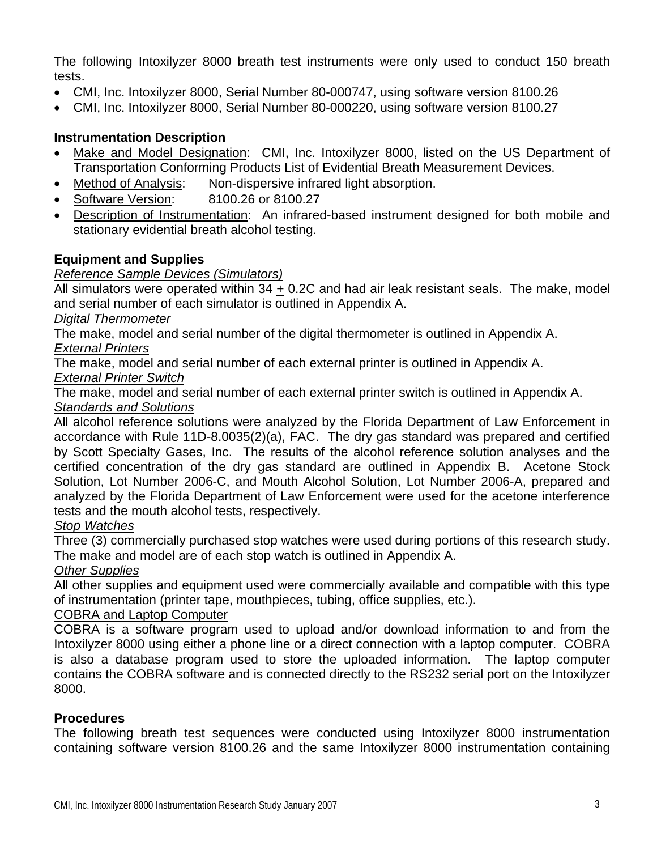The following Intoxilyzer 8000 breath test instruments were only used to conduct 150 breath tests.

- CMI, Inc. Intoxilyzer 8000, Serial Number 80-000747, using software version 8100.26
- CMI, Inc. Intoxilyzer 8000, Serial Number 80-000220, using software version 8100.27

#### **Instrumentation Description**

- Make and Model Designation: CMI, Inc. Intoxilyzer 8000, listed on the US Department of Transportation Conforming Products List of Evidential Breath Measurement Devices.
- Method of Analysis: Non-dispersive infrared light absorption.
- Software Version: 8100.26 or 8100.27
- Description of Instrumentation: An infrared-based instrument designed for both mobile and stationary evidential breath alcohol testing.

#### **Equipment and Supplies**

#### *Reference Sample Devices (Simulators)*

All simulators were operated within 34 + 0.2C and had air leak resistant seals. The make, model and serial number of each simulator is outlined in Appendix A.

#### *Digital Thermometer*

The make, model and serial number of the digital thermometer is outlined in Appendix A. *External Printers*

The make, model and serial number of each external printer is outlined in Appendix A.

#### *External Printer Switch*

The make, model and serial number of each external printer switch is outlined in Appendix A. *Standards and Solutions*

All alcohol reference solutions were analyzed by the Florida Department of Law Enforcement in accordance with Rule 11D-8.0035(2)(a), FAC. The dry gas standard was prepared and certified by Scott Specialty Gases, Inc. The results of the alcohol reference solution analyses and the certified concentration of the dry gas standard are outlined in Appendix B. Acetone Stock Solution, Lot Number 2006-C, and Mouth Alcohol Solution, Lot Number 2006-A, prepared and analyzed by the Florida Department of Law Enforcement were used for the acetone interference tests and the mouth alcohol tests, respectively.

#### *Stop Watches*

Three (3) commercially purchased stop watches were used during portions of this research study. The make and model are of each stop watch is outlined in Appendix A.

#### *Other Supplies*

All other supplies and equipment used were commercially available and compatible with this type of instrumentation (printer tape, mouthpieces, tubing, office supplies, etc.).

#### COBRA and Laptop Computer

COBRA is a software program used to upload and/or download information to and from the Intoxilyzer 8000 using either a phone line or a direct connection with a laptop computer. COBRA is also a database program used to store the uploaded information. The laptop computer contains the COBRA software and is connected directly to the RS232 serial port on the Intoxilyzer 8000.

#### **Procedures**

The following breath test sequences were conducted using Intoxilyzer 8000 instrumentation containing software version 8100.26 and the same Intoxilyzer 8000 instrumentation containing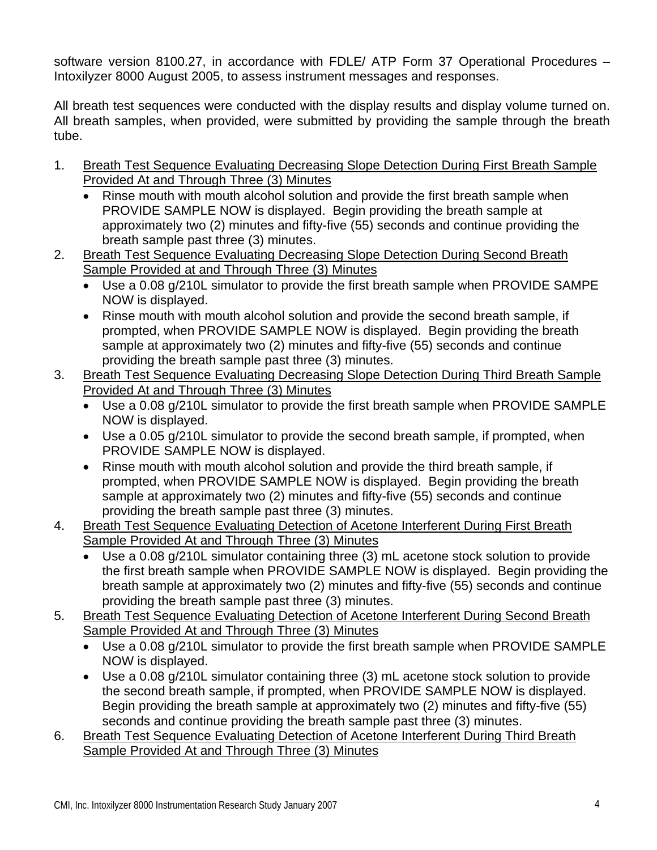software version 8100.27, in accordance with FDLE/ ATP Form 37 Operational Procedures – Intoxilyzer 8000 August 2005, to assess instrument messages and responses.

All breath test sequences were conducted with the display results and display volume turned on. All breath samples, when provided, were submitted by providing the sample through the breath tube.

- 1. Breath Test Sequence Evaluating Decreasing Slope Detection During First Breath Sample Provided At and Through Three (3) Minutes
	- Rinse mouth with mouth alcohol solution and provide the first breath sample when PROVIDE SAMPLE NOW is displayed. Begin providing the breath sample at approximately two (2) minutes and fifty-five (55) seconds and continue providing the breath sample past three (3) minutes.
- 2. Breath Test Sequence Evaluating Decreasing Slope Detection During Second Breath Sample Provided at and Through Three (3) Minutes
	- Use a 0.08 g/210L simulator to provide the first breath sample when PROVIDE SAMPE NOW is displayed.
	- Rinse mouth with mouth alcohol solution and provide the second breath sample, if prompted, when PROVIDE SAMPLE NOW is displayed. Begin providing the breath sample at approximately two (2) minutes and fifty-five (55) seconds and continue providing the breath sample past three (3) minutes.
- 3. Breath Test Sequence Evaluating Decreasing Slope Detection During Third Breath Sample Provided At and Through Three (3) Minutes
	- Use a 0.08 g/210L simulator to provide the first breath sample when PROVIDE SAMPLE NOW is displayed.
	- Use a 0.05 g/210L simulator to provide the second breath sample, if prompted, when PROVIDE SAMPLE NOW is displayed.
	- Rinse mouth with mouth alcohol solution and provide the third breath sample, if prompted, when PROVIDE SAMPLE NOW is displayed. Begin providing the breath sample at approximately two (2) minutes and fifty-five (55) seconds and continue providing the breath sample past three (3) minutes.
- 4. Breath Test Sequence Evaluating Detection of Acetone Interferent During First Breath Sample Provided At and Through Three (3) Minutes
	- Use a 0.08 g/210L simulator containing three (3) mL acetone stock solution to provide the first breath sample when PROVIDE SAMPLE NOW is displayed. Begin providing the breath sample at approximately two (2) minutes and fifty-five (55) seconds and continue providing the breath sample past three (3) minutes.
- 5. Breath Test Sequence Evaluating Detection of Acetone Interferent During Second Breath Sample Provided At and Through Three (3) Minutes
	- Use a 0.08 g/210L simulator to provide the first breath sample when PROVIDE SAMPLE NOW is displayed.
	- Use a 0.08 g/210L simulator containing three (3) mL acetone stock solution to provide the second breath sample, if prompted, when PROVIDE SAMPLE NOW is displayed. Begin providing the breath sample at approximately two (2) minutes and fifty-five (55) seconds and continue providing the breath sample past three (3) minutes.
- 6. Breath Test Sequence Evaluating Detection of Acetone Interferent During Third Breath Sample Provided At and Through Three (3) Minutes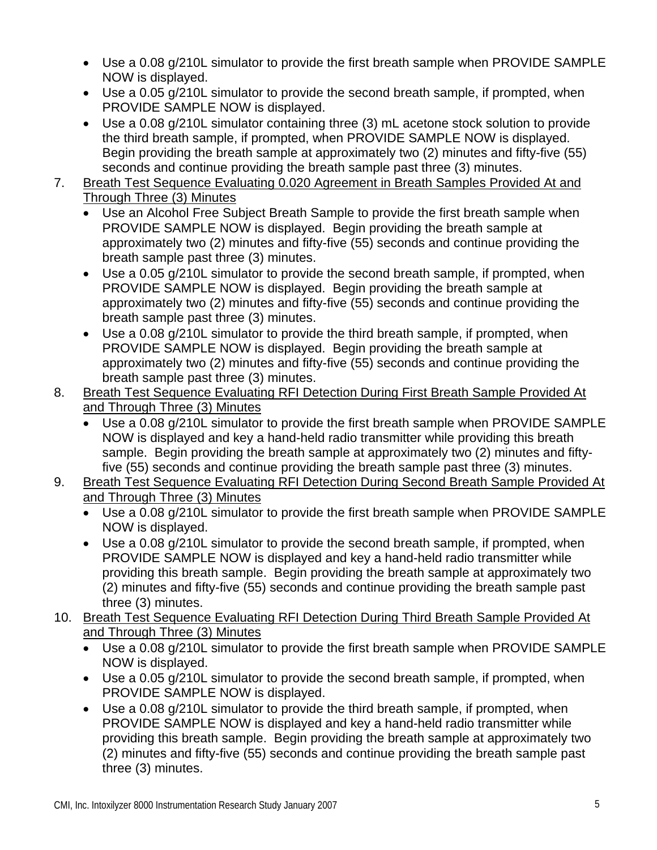- Use a 0.08 g/210L simulator to provide the first breath sample when PROVIDE SAMPLE NOW is displayed.
- Use a 0.05 g/210L simulator to provide the second breath sample, if prompted, when PROVIDE SAMPLE NOW is displayed.
- Use a 0.08 g/210L simulator containing three (3) mL acetone stock solution to provide the third breath sample, if prompted, when PROVIDE SAMPLE NOW is displayed. Begin providing the breath sample at approximately two (2) minutes and fifty-five (55) seconds and continue providing the breath sample past three (3) minutes.
- 7. Breath Test Sequence Evaluating 0.020 Agreement in Breath Samples Provided At and Through Three (3) Minutes
	- Use an Alcohol Free Subject Breath Sample to provide the first breath sample when PROVIDE SAMPLE NOW is displayed. Begin providing the breath sample at approximately two (2) minutes and fifty-five (55) seconds and continue providing the breath sample past three (3) minutes.
	- Use a 0.05 g/210L simulator to provide the second breath sample, if prompted, when PROVIDE SAMPLE NOW is displayed. Begin providing the breath sample at approximately two (2) minutes and fifty-five (55) seconds and continue providing the breath sample past three (3) minutes.
	- Use a 0.08 g/210L simulator to provide the third breath sample, if prompted, when PROVIDE SAMPLE NOW is displayed. Begin providing the breath sample at approximately two (2) minutes and fifty-five (55) seconds and continue providing the breath sample past three (3) minutes.
- 8. Breath Test Sequence Evaluating RFI Detection During First Breath Sample Provided At and Through Three (3) Minutes
	- Use a 0.08 g/210L simulator to provide the first breath sample when PROVIDE SAMPLE NOW is displayed and key a hand-held radio transmitter while providing this breath sample. Begin providing the breath sample at approximately two (2) minutes and fiftyfive (55) seconds and continue providing the breath sample past three (3) minutes.
- 9. Breath Test Sequence Evaluating RFI Detection During Second Breath Sample Provided At and Through Three (3) Minutes
	- Use a 0.08 g/210L simulator to provide the first breath sample when PROVIDE SAMPLE NOW is displayed.
	- Use a 0.08 g/210L simulator to provide the second breath sample, if prompted, when PROVIDE SAMPLE NOW is displayed and key a hand-held radio transmitter while providing this breath sample. Begin providing the breath sample at approximately two (2) minutes and fifty-five (55) seconds and continue providing the breath sample past three (3) minutes.
- 10. Breath Test Sequence Evaluating RFI Detection During Third Breath Sample Provided At and Through Three (3) Minutes
	- Use a 0.08 g/210L simulator to provide the first breath sample when PROVIDE SAMPLE NOW is displayed.
	- Use a 0.05 g/210L simulator to provide the second breath sample, if prompted, when PROVIDE SAMPLE NOW is displayed.
	- Use a 0.08 g/210L simulator to provide the third breath sample, if prompted, when PROVIDE SAMPLE NOW is displayed and key a hand-held radio transmitter while providing this breath sample. Begin providing the breath sample at approximately two (2) minutes and fifty-five (55) seconds and continue providing the breath sample past three (3) minutes.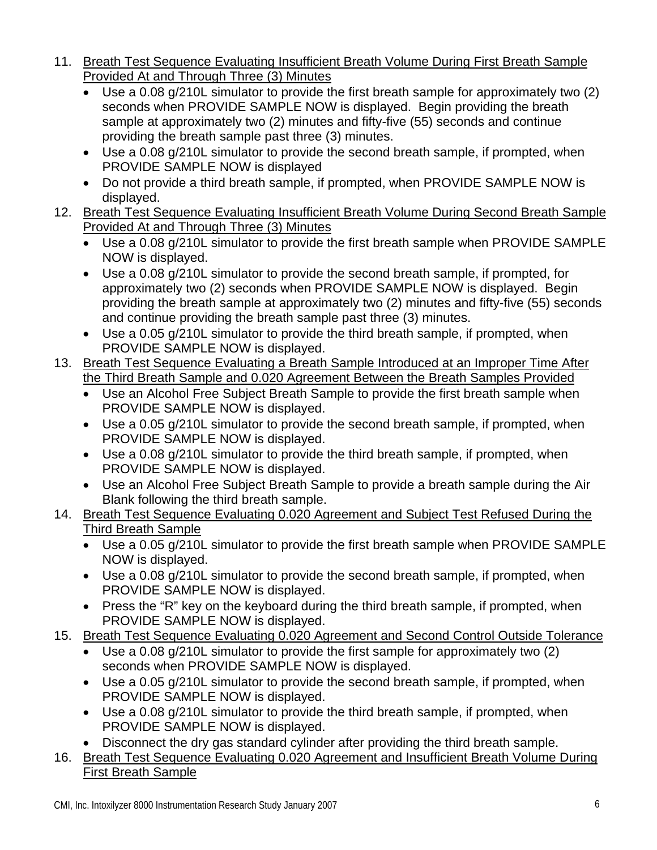- 11. Breath Test Sequence Evaluating Insufficient Breath Volume During First Breath Sample Provided At and Through Three (3) Minutes
	- Use a 0.08 g/210L simulator to provide the first breath sample for approximately two (2) seconds when PROVIDE SAMPLE NOW is displayed. Begin providing the breath sample at approximately two (2) minutes and fifty-five (55) seconds and continue providing the breath sample past three (3) minutes.
	- Use a 0.08 g/210L simulator to provide the second breath sample, if prompted, when PROVIDE SAMPLE NOW is displayed
	- Do not provide a third breath sample, if prompted, when PROVIDE SAMPLE NOW is displayed.
- 12. Breath Test Sequence Evaluating Insufficient Breath Volume During Second Breath Sample Provided At and Through Three (3) Minutes
	- Use a 0.08 g/210L simulator to provide the first breath sample when PROVIDE SAMPLE NOW is displayed.
	- Use a 0.08 g/210L simulator to provide the second breath sample, if prompted, for approximately two (2) seconds when PROVIDE SAMPLE NOW is displayed. Begin providing the breath sample at approximately two (2) minutes and fifty-five (55) seconds and continue providing the breath sample past three (3) minutes.
	- Use a 0.05 g/210L simulator to provide the third breath sample, if prompted, when PROVIDE SAMPLE NOW is displayed.
- 13. Breath Test Sequence Evaluating a Breath Sample Introduced at an Improper Time After the Third Breath Sample and 0.020 Agreement Between the Breath Samples Provided
	- Use an Alcohol Free Subject Breath Sample to provide the first breath sample when PROVIDE SAMPLE NOW is displayed.
	- Use a 0.05 g/210L simulator to provide the second breath sample, if prompted, when PROVIDE SAMPLE NOW is displayed.
	- Use a 0.08 g/210L simulator to provide the third breath sample, if prompted, when PROVIDE SAMPLE NOW is displayed.
	- Use an Alcohol Free Subject Breath Sample to provide a breath sample during the Air Blank following the third breath sample.
- 14. Breath Test Sequence Evaluating 0.020 Agreement and Subject Test Refused During the Third Breath Sample
	- Use a 0.05 g/210L simulator to provide the first breath sample when PROVIDE SAMPLE NOW is displayed.
	- Use a 0.08 g/210L simulator to provide the second breath sample, if prompted, when PROVIDE SAMPLE NOW is displayed.
	- Press the "R" key on the keyboard during the third breath sample, if prompted, when PROVIDE SAMPLE NOW is displayed.
- 15. Breath Test Sequence Evaluating 0.020 Agreement and Second Control Outside Tolerance
	- Use a 0.08 g/210L simulator to provide the first sample for approximately two (2) seconds when PROVIDE SAMPLE NOW is displayed.
	- Use a 0.05 g/210L simulator to provide the second breath sample, if prompted, when PROVIDE SAMPLE NOW is displayed.
	- Use a 0.08 g/210L simulator to provide the third breath sample, if prompted, when PROVIDE SAMPLE NOW is displayed.
	- Disconnect the dry gas standard cylinder after providing the third breath sample.
- 16. Breath Test Sequence Evaluating 0.020 Agreement and Insufficient Breath Volume During First Breath Sample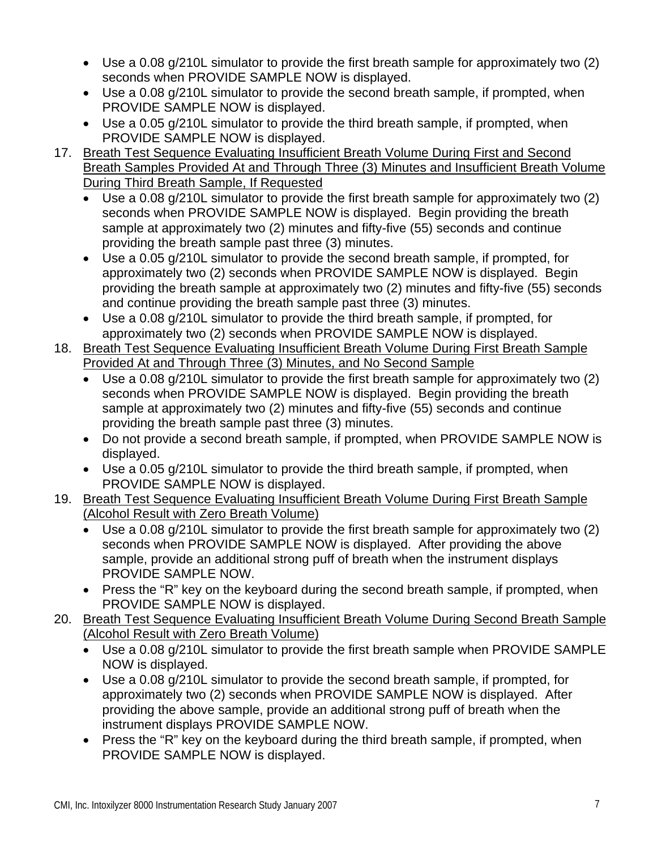- Use a 0.08 g/210L simulator to provide the first breath sample for approximately two (2) seconds when PROVIDE SAMPLE NOW is displayed.
- Use a 0.08 g/210L simulator to provide the second breath sample, if prompted, when PROVIDE SAMPLE NOW is displayed.
- Use a 0.05 g/210L simulator to provide the third breath sample, if prompted, when PROVIDE SAMPLE NOW is displayed.
- 17. Breath Test Sequence Evaluating Insufficient Breath Volume During First and Second Breath Samples Provided At and Through Three (3) Minutes and Insufficient Breath Volume During Third Breath Sample, If Requested
	- Use a 0.08 g/210L simulator to provide the first breath sample for approximately two (2) seconds when PROVIDE SAMPLE NOW is displayed. Begin providing the breath sample at approximately two (2) minutes and fifty-five (55) seconds and continue providing the breath sample past three (3) minutes.
	- Use a 0.05 g/210L simulator to provide the second breath sample, if prompted, for approximately two (2) seconds when PROVIDE SAMPLE NOW is displayed. Begin providing the breath sample at approximately two (2) minutes and fifty-five (55) seconds and continue providing the breath sample past three (3) minutes.
	- Use a 0.08 g/210L simulator to provide the third breath sample, if prompted, for approximately two (2) seconds when PROVIDE SAMPLE NOW is displayed.
- 18. Breath Test Sequence Evaluating Insufficient Breath Volume During First Breath Sample Provided At and Through Three (3) Minutes, and No Second Sample
	- Use a 0.08 g/210L simulator to provide the first breath sample for approximately two (2) seconds when PROVIDE SAMPLE NOW is displayed. Begin providing the breath sample at approximately two (2) minutes and fifty-five (55) seconds and continue providing the breath sample past three (3) minutes.
	- Do not provide a second breath sample, if prompted, when PROVIDE SAMPLE NOW is displayed.
	- Use a 0.05 g/210L simulator to provide the third breath sample, if prompted, when PROVIDE SAMPLE NOW is displayed.
- 19. Breath Test Sequence Evaluating Insufficient Breath Volume During First Breath Sample (Alcohol Result with Zero Breath Volume)
	- Use a 0.08 g/210L simulator to provide the first breath sample for approximately two (2) seconds when PROVIDE SAMPLE NOW is displayed. After providing the above sample, provide an additional strong puff of breath when the instrument displays PROVIDE SAMPLE NOW.
	- Press the "R" key on the keyboard during the second breath sample, if prompted, when PROVIDE SAMPLE NOW is displayed.
- 20. Breath Test Sequence Evaluating Insufficient Breath Volume During Second Breath Sample (Alcohol Result with Zero Breath Volume)
	- Use a 0.08 g/210L simulator to provide the first breath sample when PROVIDE SAMPLE NOW is displayed.
	- Use a 0.08 g/210L simulator to provide the second breath sample, if prompted, for approximately two (2) seconds when PROVIDE SAMPLE NOW is displayed. After providing the above sample, provide an additional strong puff of breath when the instrument displays PROVIDE SAMPLE NOW.
	- Press the "R" key on the keyboard during the third breath sample, if prompted, when PROVIDE SAMPLE NOW is displayed.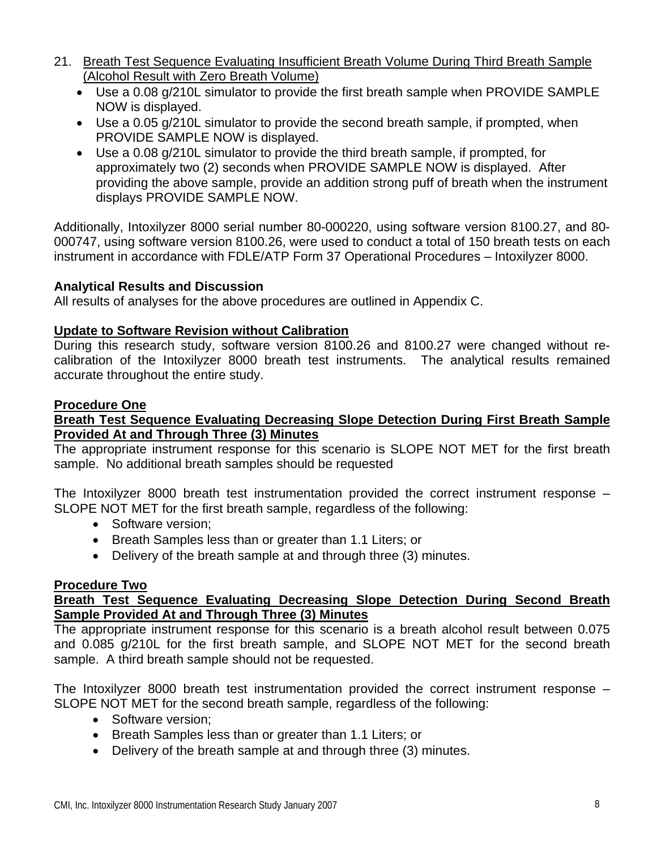- 21. Breath Test Sequence Evaluating Insufficient Breath Volume During Third Breath Sample (Alcohol Result with Zero Breath Volume)
	- Use a 0.08 g/210L simulator to provide the first breath sample when PROVIDE SAMPLE NOW is displayed.
	- Use a 0.05 g/210L simulator to provide the second breath sample, if prompted, when PROVIDE SAMPLE NOW is displayed.
	- Use a 0.08 g/210L simulator to provide the third breath sample, if prompted, for approximately two (2) seconds when PROVIDE SAMPLE NOW is displayed. After providing the above sample, provide an addition strong puff of breath when the instrument displays PROVIDE SAMPLE NOW.

Additionally, Intoxilyzer 8000 serial number 80-000220, using software version 8100.27, and 80- 000747, using software version 8100.26, were used to conduct a total of 150 breath tests on each instrument in accordance with FDLE/ATP Form 37 Operational Procedures – Intoxilyzer 8000.

#### **Analytical Results and Discussion**

All results of analyses for the above procedures are outlined in Appendix C.

#### **Update to Software Revision without Calibration**

During this research study, software version 8100.26 and 8100.27 were changed without recalibration of the Intoxilyzer 8000 breath test instruments. The analytical results remained accurate throughout the entire study.

#### **Procedure One**

#### **Breath Test Sequence Evaluating Decreasing Slope Detection During First Breath Sample Provided At and Through Three (3) Minutes**

The appropriate instrument response for this scenario is SLOPE NOT MET for the first breath sample. No additional breath samples should be requested

The Intoxilyzer 8000 breath test instrumentation provided the correct instrument response – SLOPE NOT MET for the first breath sample, regardless of the following:

- Software version:
- Breath Samples less than or greater than 1.1 Liters; or
- Delivery of the breath sample at and through three (3) minutes.

#### **Procedure Two**

#### **Breath Test Sequence Evaluating Decreasing Slope Detection During Second Breath Sample Provided At and Through Three (3) Minutes**

The appropriate instrument response for this scenario is a breath alcohol result between 0.075 and 0.085 g/210L for the first breath sample, and SLOPE NOT MET for the second breath sample. A third breath sample should not be requested.

The Intoxilyzer 8000 breath test instrumentation provided the correct instrument response – SLOPE NOT MET for the second breath sample, regardless of the following:

- Software version:
- Breath Samples less than or greater than 1.1 Liters; or
- Delivery of the breath sample at and through three (3) minutes.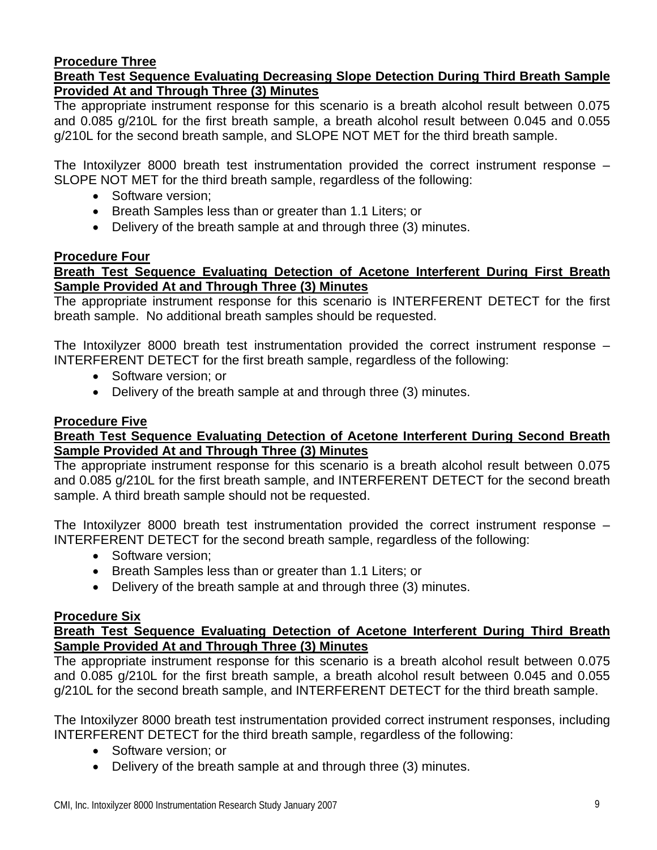#### **Procedure Three**

#### **Breath Test Sequence Evaluating Decreasing Slope Detection During Third Breath Sample Provided At and Through Three (3) Minutes**

The appropriate instrument response for this scenario is a breath alcohol result between 0.075 and 0.085 g/210L for the first breath sample, a breath alcohol result between 0.045 and 0.055 g/210L for the second breath sample, and SLOPE NOT MET for the third breath sample.

The Intoxilyzer 8000 breath test instrumentation provided the correct instrument response – SLOPE NOT MET for the third breath sample, regardless of the following:

- Software version;
- Breath Samples less than or greater than 1.1 Liters; or
- Delivery of the breath sample at and through three (3) minutes.

#### **Procedure Four**

#### **Breath Test Sequence Evaluating Detection of Acetone Interferent During First Breath Sample Provided At and Through Three (3) Minutes**

The appropriate instrument response for this scenario is INTERFERENT DETECT for the first breath sample. No additional breath samples should be requested.

The Intoxilyzer 8000 breath test instrumentation provided the correct instrument response – INTERFERENT DETECT for the first breath sample, regardless of the following:

- Software version; or
- Delivery of the breath sample at and through three (3) minutes.

#### **Procedure Five**

#### **Breath Test Sequence Evaluating Detection of Acetone Interferent During Second Breath Sample Provided At and Through Three (3) Minutes**

The appropriate instrument response for this scenario is a breath alcohol result between 0.075 and 0.085 g/210L for the first breath sample, and INTERFERENT DETECT for the second breath sample. A third breath sample should not be requested.

The Intoxilyzer 8000 breath test instrumentation provided the correct instrument response – INTERFERENT DETECT for the second breath sample, regardless of the following:

- Software version;
- Breath Samples less than or greater than 1.1 Liters; or
- Delivery of the breath sample at and through three (3) minutes.

#### **Procedure Six**

#### **Breath Test Sequence Evaluating Detection of Acetone Interferent During Third Breath Sample Provided At and Through Three (3) Minutes**

The appropriate instrument response for this scenario is a breath alcohol result between 0.075 and 0.085 g/210L for the first breath sample, a breath alcohol result between 0.045 and 0.055 g/210L for the second breath sample, and INTERFERENT DETECT for the third breath sample.

The Intoxilyzer 8000 breath test instrumentation provided correct instrument responses, including INTERFERENT DETECT for the third breath sample, regardless of the following:

- Software version: or
- Delivery of the breath sample at and through three (3) minutes.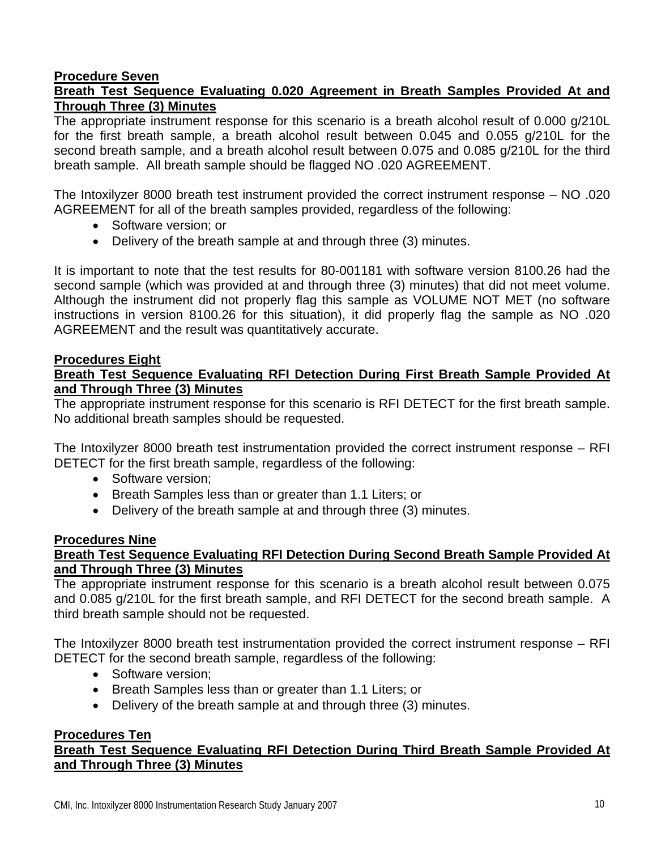#### **Procedure Seven**

#### **Breath Test Sequence Evaluating 0.020 Agreement in Breath Samples Provided At and Through Three (3) Minutes**

The appropriate instrument response for this scenario is a breath alcohol result of 0.000 g/210L for the first breath sample, a breath alcohol result between 0.045 and 0.055 g/210L for the second breath sample, and a breath alcohol result between 0.075 and 0.085 g/210L for the third breath sample. All breath sample should be flagged NO .020 AGREEMENT.

The Intoxilyzer 8000 breath test instrument provided the correct instrument response – NO .020 AGREEMENT for all of the breath samples provided, regardless of the following:

- Software version; or
- Delivery of the breath sample at and through three (3) minutes.

It is important to note that the test results for 80-001181 with software version 8100.26 had the second sample (which was provided at and through three (3) minutes) that did not meet volume. Although the instrument did not properly flag this sample as VOLUME NOT MET (no software instructions in version 8100.26 for this situation), it did properly flag the sample as NO .020 AGREEMENT and the result was quantitatively accurate.

#### **Procedures Eight**

#### **Breath Test Sequence Evaluating RFI Detection During First Breath Sample Provided At and Through Three (3) Minutes**

The appropriate instrument response for this scenario is RFI DETECT for the first breath sample. No additional breath samples should be requested.

The Intoxilyzer 8000 breath test instrumentation provided the correct instrument response – RFI DETECT for the first breath sample, regardless of the following:

- Software version:
- Breath Samples less than or greater than 1.1 Liters; or
- Delivery of the breath sample at and through three (3) minutes.

#### **Procedures Nine**

#### **Breath Test Sequence Evaluating RFI Detection During Second Breath Sample Provided At and Through Three (3) Minutes**

The appropriate instrument response for this scenario is a breath alcohol result between 0.075 and 0.085 g/210L for the first breath sample, and RFI DETECT for the second breath sample. A third breath sample should not be requested.

The Intoxilyzer 8000 breath test instrumentation provided the correct instrument response – RFI DETECT for the second breath sample, regardless of the following:

- Software version:
- Breath Samples less than or greater than 1.1 Liters; or
- Delivery of the breath sample at and through three (3) minutes.

#### **Procedures Ten**

#### **Breath Test Sequence Evaluating RFI Detection During Third Breath Sample Provided At and Through Three (3) Minutes**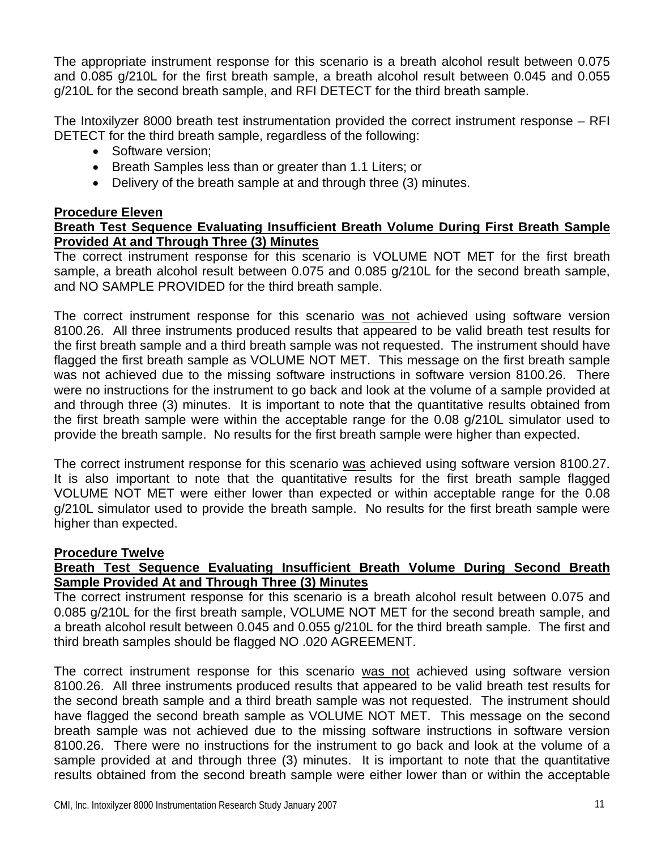The appropriate instrument response for this scenario is a breath alcohol result between 0.075 and 0.085 g/210L for the first breath sample, a breath alcohol result between 0.045 and 0.055 g/210L for the second breath sample, and RFI DETECT for the third breath sample.

The Intoxilyzer 8000 breath test instrumentation provided the correct instrument response – RFI DETECT for the third breath sample, regardless of the following:

- Software version;
- Breath Samples less than or greater than 1.1 Liters; or
- Delivery of the breath sample at and through three (3) minutes.

#### **Procedure Eleven**

#### **Breath Test Sequence Evaluating Insufficient Breath Volume During First Breath Sample Provided At and Through Three (3) Minutes**

The correct instrument response for this scenario is VOLUME NOT MET for the first breath sample, a breath alcohol result between 0.075 and 0.085 g/210L for the second breath sample, and NO SAMPLE PROVIDED for the third breath sample.

The correct instrument response for this scenario was not achieved using software version 8100.26. All three instruments produced results that appeared to be valid breath test results for the first breath sample and a third breath sample was not requested. The instrument should have flagged the first breath sample as VOLUME NOT MET. This message on the first breath sample was not achieved due to the missing software instructions in software version 8100.26. There were no instructions for the instrument to go back and look at the volume of a sample provided at and through three (3) minutes. It is important to note that the quantitative results obtained from the first breath sample were within the acceptable range for the 0.08 g/210L simulator used to provide the breath sample. No results for the first breath sample were higher than expected.

The correct instrument response for this scenario was achieved using software version 8100.27. It is also important to note that the quantitative results for the first breath sample flagged VOLUME NOT MET were either lower than expected or within acceptable range for the 0.08 g/210L simulator used to provide the breath sample. No results for the first breath sample were higher than expected.

#### **Procedure Twelve**

#### **Breath Test Sequence Evaluating Insufficient Breath Volume During Second Breath Sample Provided At and Through Three (3) Minutes**

The correct instrument response for this scenario is a breath alcohol result between 0.075 and 0.085 g/210L for the first breath sample, VOLUME NOT MET for the second breath sample, and a breath alcohol result between 0.045 and 0.055 g/210L for the third breath sample. The first and third breath samples should be flagged NO .020 AGREEMENT.

The correct instrument response for this scenario was not achieved using software version 8100.26. All three instruments produced results that appeared to be valid breath test results for the second breath sample and a third breath sample was not requested. The instrument should have flagged the second breath sample as VOLUME NOT MET. This message on the second breath sample was not achieved due to the missing software instructions in software version 8100.26. There were no instructions for the instrument to go back and look at the volume of a sample provided at and through three (3) minutes. It is important to note that the quantitative results obtained from the second breath sample were either lower than or within the acceptable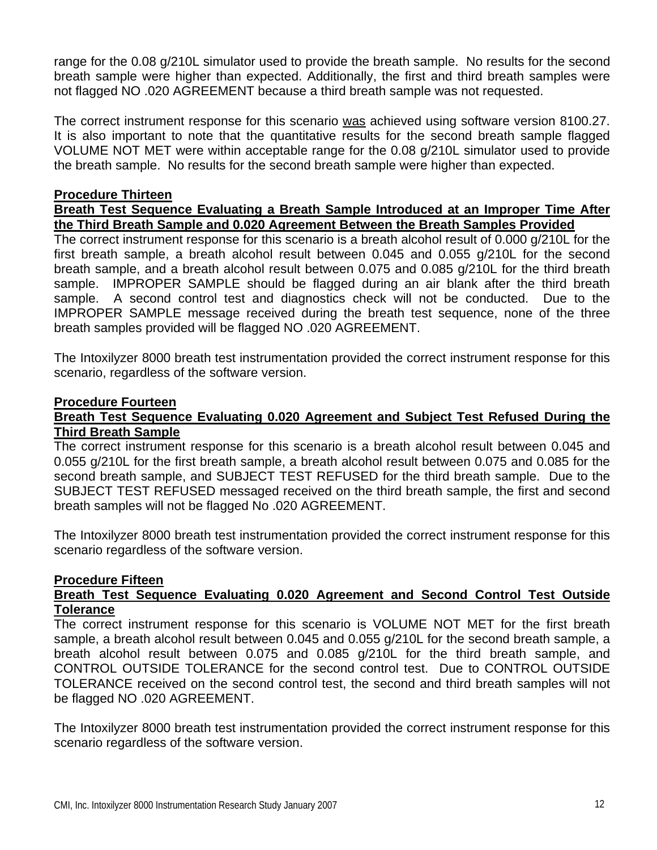range for the 0.08 g/210L simulator used to provide the breath sample. No results for the second breath sample were higher than expected. Additionally, the first and third breath samples were not flagged NO .020 AGREEMENT because a third breath sample was not requested.

The correct instrument response for this scenario was achieved using software version 8100.27. It is also important to note that the quantitative results for the second breath sample flagged VOLUME NOT MET were within acceptable range for the 0.08 g/210L simulator used to provide the breath sample. No results for the second breath sample were higher than expected.

#### **Procedure Thirteen**

#### **Breath Test Sequence Evaluating a Breath Sample Introduced at an Improper Time After the Third Breath Sample and 0.020 Agreement Between the Breath Samples Provided**

The correct instrument response for this scenario is a breath alcohol result of 0.000 g/210L for the first breath sample, a breath alcohol result between 0.045 and 0.055 g/210L for the second breath sample, and a breath alcohol result between 0.075 and 0.085 g/210L for the third breath sample. IMPROPER SAMPLE should be flagged during an air blank after the third breath sample. A second control test and diagnostics check will not be conducted. Due to the IMPROPER SAMPLE message received during the breath test sequence, none of the three breath samples provided will be flagged NO .020 AGREEMENT.

The Intoxilyzer 8000 breath test instrumentation provided the correct instrument response for this scenario, regardless of the software version.

#### **Procedure Fourteen**

#### **Breath Test Sequence Evaluating 0.020 Agreement and Subject Test Refused During the Third Breath Sample**

The correct instrument response for this scenario is a breath alcohol result between 0.045 and 0.055 g/210L for the first breath sample, a breath alcohol result between 0.075 and 0.085 for the second breath sample, and SUBJECT TEST REFUSED for the third breath sample. Due to the SUBJECT TEST REFUSED messaged received on the third breath sample, the first and second breath samples will not be flagged No .020 AGREEMENT.

The Intoxilyzer 8000 breath test instrumentation provided the correct instrument response for this scenario regardless of the software version.

#### **Procedure Fifteen**

#### **Breath Test Sequence Evaluating 0.020 Agreement and Second Control Test Outside Tolerance**

The correct instrument response for this scenario is VOLUME NOT MET for the first breath sample, a breath alcohol result between 0.045 and 0.055 g/210L for the second breath sample, a breath alcohol result between 0.075 and 0.085 g/210L for the third breath sample, and CONTROL OUTSIDE TOLERANCE for the second control test. Due to CONTROL OUTSIDE TOLERANCE received on the second control test, the second and third breath samples will not be flagged NO .020 AGREEMENT.

The Intoxilyzer 8000 breath test instrumentation provided the correct instrument response for this scenario regardless of the software version.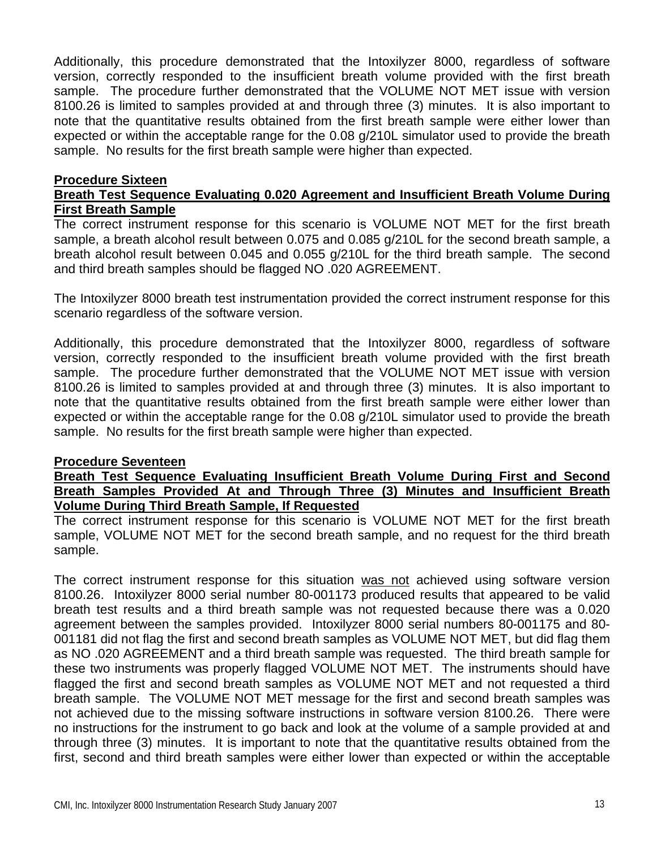Additionally, this procedure demonstrated that the Intoxilyzer 8000, regardless of software version, correctly responded to the insufficient breath volume provided with the first breath sample. The procedure further demonstrated that the VOLUME NOT MET issue with version 8100.26 is limited to samples provided at and through three (3) minutes. It is also important to note that the quantitative results obtained from the first breath sample were either lower than expected or within the acceptable range for the 0.08 g/210L simulator used to provide the breath sample. No results for the first breath sample were higher than expected.

#### **Procedure Sixteen**

#### **Breath Test Sequence Evaluating 0.020 Agreement and Insufficient Breath Volume During First Breath Sample**

The correct instrument response for this scenario is VOLUME NOT MET for the first breath sample, a breath alcohol result between 0.075 and 0.085 g/210L for the second breath sample, a breath alcohol result between 0.045 and 0.055 g/210L for the third breath sample. The second and third breath samples should be flagged NO .020 AGREEMENT.

The Intoxilyzer 8000 breath test instrumentation provided the correct instrument response for this scenario regardless of the software version.

Additionally, this procedure demonstrated that the Intoxilyzer 8000, regardless of software version, correctly responded to the insufficient breath volume provided with the first breath sample. The procedure further demonstrated that the VOLUME NOT MET issue with version 8100.26 is limited to samples provided at and through three (3) minutes. It is also important to note that the quantitative results obtained from the first breath sample were either lower than expected or within the acceptable range for the 0.08 g/210L simulator used to provide the breath sample. No results for the first breath sample were higher than expected.

#### **Procedure Seventeen**

**Breath Test Sequence Evaluating Insufficient Breath Volume During First and Second Breath Samples Provided At and Through Three (3) Minutes and Insufficient Breath Volume During Third Breath Sample, If Requested**

The correct instrument response for this scenario is VOLUME NOT MET for the first breath sample, VOLUME NOT MET for the second breath sample, and no request for the third breath sample.

The correct instrument response for this situation was not achieved using software version 8100.26. Intoxilyzer 8000 serial number 80-001173 produced results that appeared to be valid breath test results and a third breath sample was not requested because there was a 0.020 agreement between the samples provided. Intoxilyzer 8000 serial numbers 80-001175 and 80- 001181 did not flag the first and second breath samples as VOLUME NOT MET, but did flag them as NO .020 AGREEMENT and a third breath sample was requested. The third breath sample for these two instruments was properly flagged VOLUME NOT MET. The instruments should have flagged the first and second breath samples as VOLUME NOT MET and not requested a third breath sample. The VOLUME NOT MET message for the first and second breath samples was not achieved due to the missing software instructions in software version 8100.26. There were no instructions for the instrument to go back and look at the volume of a sample provided at and through three (3) minutes. It is important to note that the quantitative results obtained from the first, second and third breath samples were either lower than expected or within the acceptable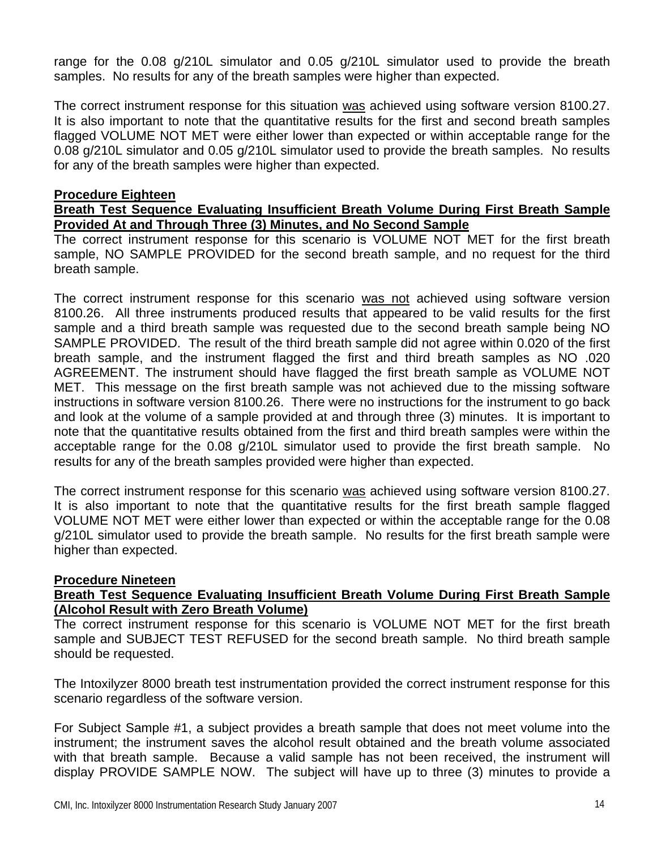range for the 0.08 g/210L simulator and 0.05 g/210L simulator used to provide the breath samples. No results for any of the breath samples were higher than expected.

The correct instrument response for this situation was achieved using software version 8100.27. It is also important to note that the quantitative results for the first and second breath samples flagged VOLUME NOT MET were either lower than expected or within acceptable range for the 0.08 g/210L simulator and 0.05 g/210L simulator used to provide the breath samples. No results for any of the breath samples were higher than expected.

#### **Procedure Eighteen**

#### **Breath Test Sequence Evaluating Insufficient Breath Volume During First Breath Sample Provided At and Through Three (3) Minutes, and No Second Sample**

The correct instrument response for this scenario is VOLUME NOT MET for the first breath sample, NO SAMPLE PROVIDED for the second breath sample, and no request for the third breath sample.

The correct instrument response for this scenario was not achieved using software version 8100.26. All three instruments produced results that appeared to be valid results for the first sample and a third breath sample was requested due to the second breath sample being NO SAMPLE PROVIDED. The result of the third breath sample did not agree within 0.020 of the first breath sample, and the instrument flagged the first and third breath samples as NO .020 AGREEMENT. The instrument should have flagged the first breath sample as VOLUME NOT MET. This message on the first breath sample was not achieved due to the missing software instructions in software version 8100.26. There were no instructions for the instrument to go back and look at the volume of a sample provided at and through three (3) minutes. It is important to note that the quantitative results obtained from the first and third breath samples were within the acceptable range for the 0.08 g/210L simulator used to provide the first breath sample. No results for any of the breath samples provided were higher than expected.

The correct instrument response for this scenario was achieved using software version 8100.27. It is also important to note that the quantitative results for the first breath sample flagged VOLUME NOT MET were either lower than expected or within the acceptable range for the 0.08 g/210L simulator used to provide the breath sample. No results for the first breath sample were higher than expected.

#### **Procedure Nineteen**

#### **Breath Test Sequence Evaluating Insufficient Breath Volume During First Breath Sample (Alcohol Result with Zero Breath Volume)**

The correct instrument response for this scenario is VOLUME NOT MET for the first breath sample and SUBJECT TEST REFUSED for the second breath sample. No third breath sample should be requested.

The Intoxilyzer 8000 breath test instrumentation provided the correct instrument response for this scenario regardless of the software version.

For Subject Sample #1, a subject provides a breath sample that does not meet volume into the instrument; the instrument saves the alcohol result obtained and the breath volume associated with that breath sample. Because a valid sample has not been received, the instrument will display PROVIDE SAMPLE NOW. The subject will have up to three (3) minutes to provide a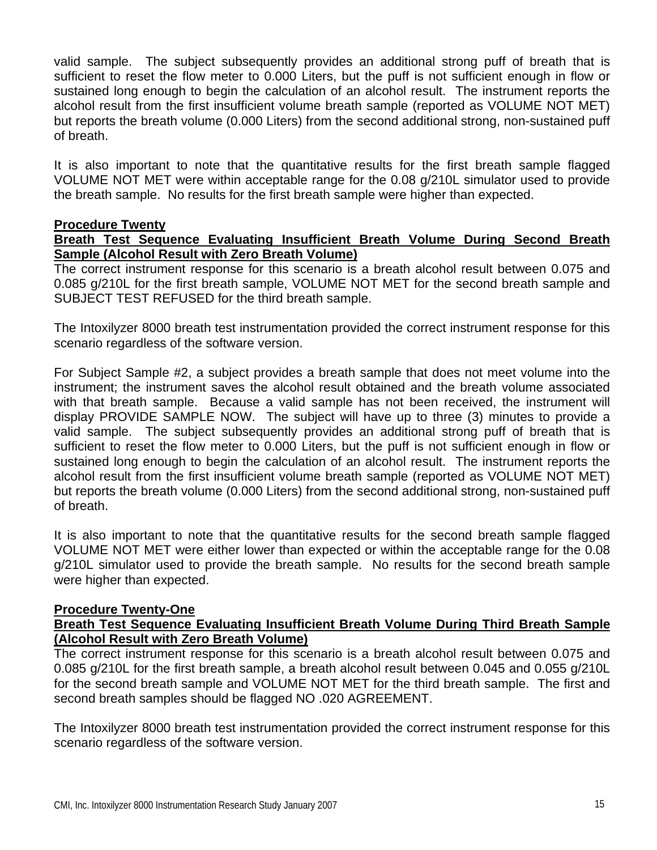valid sample. The subject subsequently provides an additional strong puff of breath that is sufficient to reset the flow meter to 0.000 Liters, but the puff is not sufficient enough in flow or sustained long enough to begin the calculation of an alcohol result. The instrument reports the alcohol result from the first insufficient volume breath sample (reported as VOLUME NOT MET) but reports the breath volume (0.000 Liters) from the second additional strong, non-sustained puff of breath.

It is also important to note that the quantitative results for the first breath sample flagged VOLUME NOT MET were within acceptable range for the 0.08 g/210L simulator used to provide the breath sample. No results for the first breath sample were higher than expected.

#### **Procedure Twenty**

#### **Breath Test Sequence Evaluating Insufficient Breath Volume During Second Breath Sample (Alcohol Result with Zero Breath Volume)**

The correct instrument response for this scenario is a breath alcohol result between 0.075 and 0.085 g/210L for the first breath sample, VOLUME NOT MET for the second breath sample and SUBJECT TEST REFUSED for the third breath sample.

The Intoxilyzer 8000 breath test instrumentation provided the correct instrument response for this scenario regardless of the software version.

For Subject Sample #2, a subject provides a breath sample that does not meet volume into the instrument; the instrument saves the alcohol result obtained and the breath volume associated with that breath sample. Because a valid sample has not been received, the instrument will display PROVIDE SAMPLE NOW. The subject will have up to three (3) minutes to provide a valid sample. The subject subsequently provides an additional strong puff of breath that is sufficient to reset the flow meter to 0.000 Liters, but the puff is not sufficient enough in flow or sustained long enough to begin the calculation of an alcohol result. The instrument reports the alcohol result from the first insufficient volume breath sample (reported as VOLUME NOT MET) but reports the breath volume (0.000 Liters) from the second additional strong, non-sustained puff of breath.

It is also important to note that the quantitative results for the second breath sample flagged VOLUME NOT MET were either lower than expected or within the acceptable range for the 0.08 g/210L simulator used to provide the breath sample. No results for the second breath sample were higher than expected.

#### **Procedure Twenty-One**

#### **Breath Test Sequence Evaluating Insufficient Breath Volume During Third Breath Sample (Alcohol Result with Zero Breath Volume)**

The correct instrument response for this scenario is a breath alcohol result between 0.075 and 0.085 g/210L for the first breath sample, a breath alcohol result between 0.045 and 0.055 g/210L for the second breath sample and VOLUME NOT MET for the third breath sample. The first and second breath samples should be flagged NO .020 AGREEMENT.

The Intoxilyzer 8000 breath test instrumentation provided the correct instrument response for this scenario regardless of the software version.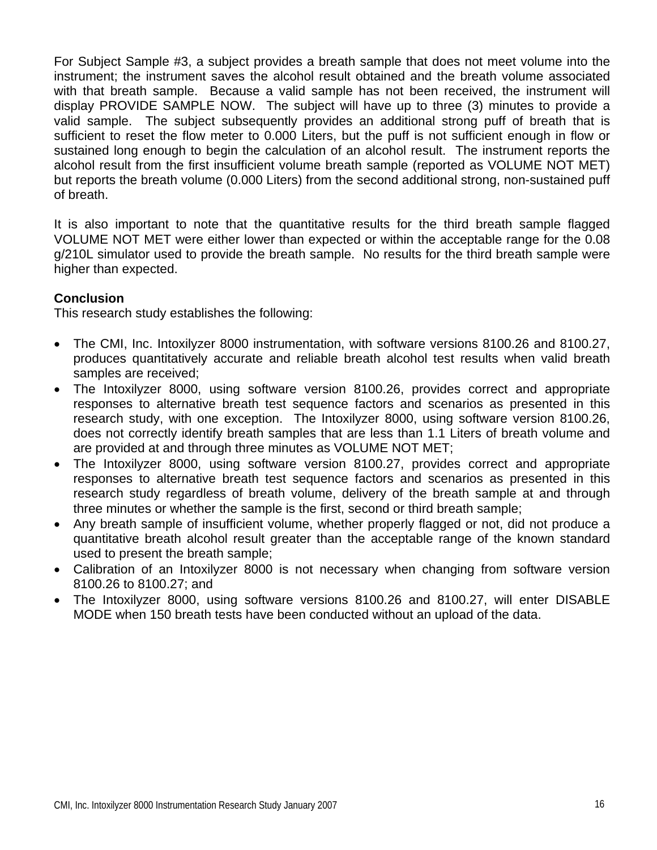For Subject Sample #3, a subject provides a breath sample that does not meet volume into the instrument; the instrument saves the alcohol result obtained and the breath volume associated with that breath sample. Because a valid sample has not been received, the instrument will display PROVIDE SAMPLE NOW. The subject will have up to three (3) minutes to provide a valid sample. The subject subsequently provides an additional strong puff of breath that is sufficient to reset the flow meter to 0.000 Liters, but the puff is not sufficient enough in flow or sustained long enough to begin the calculation of an alcohol result. The instrument reports the alcohol result from the first insufficient volume breath sample (reported as VOLUME NOT MET) but reports the breath volume (0.000 Liters) from the second additional strong, non-sustained puff of breath.

It is also important to note that the quantitative results for the third breath sample flagged VOLUME NOT MET were either lower than expected or within the acceptable range for the 0.08 g/210L simulator used to provide the breath sample. No results for the third breath sample were higher than expected.

#### **Conclusion**

This research study establishes the following:

- The CMI, Inc. Intoxilyzer 8000 instrumentation, with software versions 8100.26 and 8100.27, produces quantitatively accurate and reliable breath alcohol test results when valid breath samples are received;
- The Intoxilyzer 8000, using software version 8100.26, provides correct and appropriate responses to alternative breath test sequence factors and scenarios as presented in this research study, with one exception. The Intoxilyzer 8000, using software version 8100.26, does not correctly identify breath samples that are less than 1.1 Liters of breath volume and are provided at and through three minutes as VOLUME NOT MET;
- The Intoxilyzer 8000, using software version 8100.27, provides correct and appropriate responses to alternative breath test sequence factors and scenarios as presented in this research study regardless of breath volume, delivery of the breath sample at and through three minutes or whether the sample is the first, second or third breath sample;
- Any breath sample of insufficient volume, whether properly flagged or not, did not produce a quantitative breath alcohol result greater than the acceptable range of the known standard used to present the breath sample;
- Calibration of an Intoxilyzer 8000 is not necessary when changing from software version 8100.26 to 8100.27; and
- The Intoxilyzer 8000, using software versions 8100.26 and 8100.27, will enter DISABLE MODE when 150 breath tests have been conducted without an upload of the data.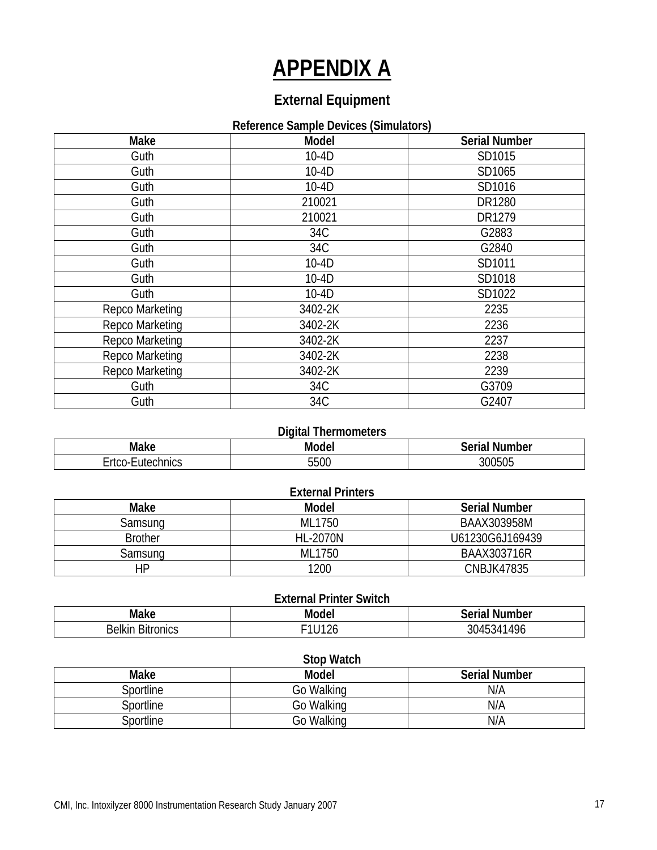### **APPENDIX A**

### **External Equipment**

#### **Reference Sample Devices (Simulators)**

| Make            | <b>Model</b> | <b>Serial Number</b> |
|-----------------|--------------|----------------------|
| Guth            | $10-4D$      | SD1015               |
| Guth            | $10-4D$      | SD1065               |
| Guth            | $10-4D$      | SD1016               |
| Guth            | 210021       | DR1280               |
| Guth            | 210021       | DR1279               |
| Guth            | 34C          | G2883                |
| Guth            | 34C          | G2840                |
| Guth            | $10-4D$      | SD1011               |
| Guth            | $10-4D$      | SD1018               |
| Guth            | $10-4D$      | SD1022               |
| Repco Marketing | 3402-2K      | 2235                 |
| Repco Marketing | 3402-2K      | 2236                 |
| Repco Marketing | 3402-2K      | 2237                 |
| Repco Marketing | 3402-2K      | 2238                 |
| Repco Marketing | 3402-2K      | 2239                 |
| Guth            | 34C          | G3709                |
| Guth            | 34C          | G2407                |

| <b>Digital Thermometers</b>                  |      |        |  |  |  |
|----------------------------------------------|------|--------|--|--|--|
| <b>Serial Number</b><br>Make<br><b>Model</b> |      |        |  |  |  |
| Ertco-Eutechnics                             | 5500 | 300505 |  |  |  |

| <b>External Printers</b> |                 |                      |  |  |  |  |
|--------------------------|-----------------|----------------------|--|--|--|--|
| Make                     | Model           | <b>Serial Number</b> |  |  |  |  |
| Samsung                  | ML1750          | BAAX303958M          |  |  |  |  |
| <b>Brother</b>           | <b>HL-2070N</b> | U61230G6J169439      |  |  |  |  |
| Samsung                  | ML1750          | BAAX303716R          |  |  |  |  |
| HP                       | 1200            | <b>CNBJK47835</b>    |  |  |  |  |

| <b>External Printer Switch</b>        |                    |            |  |  |  |
|---------------------------------------|--------------------|------------|--|--|--|
| Make<br><b>Serial Number</b><br>Model |                    |            |  |  |  |
| <b>Belkin Bitronics</b>               | <sup>⊑</sup> 1U126 | 3045341496 |  |  |  |

|                  | <b>Stop Watch</b> |                      |
|------------------|-------------------|----------------------|
| Make             | <b>Model</b>      | <b>Serial Number</b> |
| Sportline        | Go Walking        | N/A                  |
| <b>Sportline</b> | Go Walking        | N/A                  |
| Sportline        | Go Walking        | N/A                  |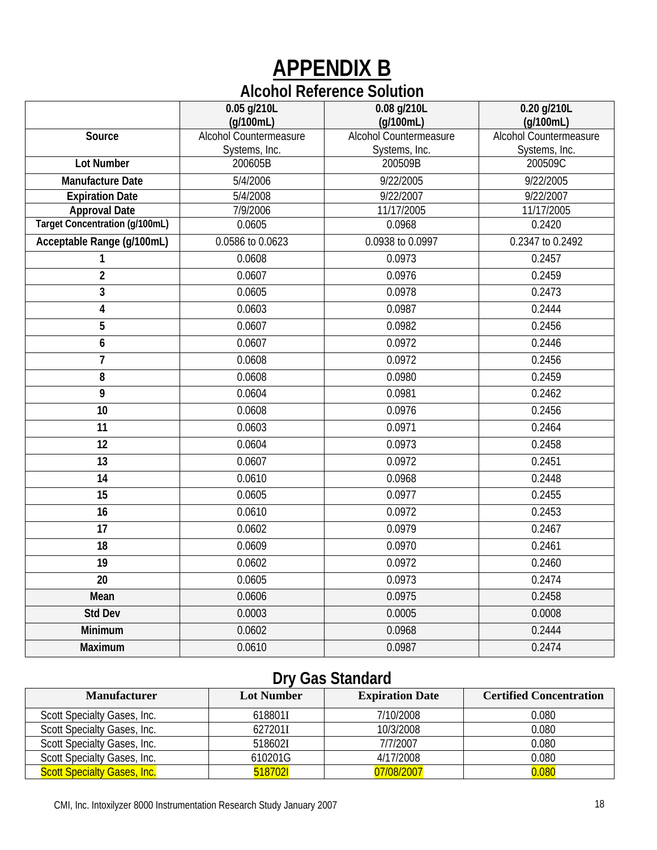### **APPENDIX B Alcohol Reference Solution**

|                                       | 0.05 g/210L<br>(q/100mL) | 0.08 g/210L<br>(g/100mL)      | 0.20 g/210L<br>(q/100mL) |
|---------------------------------------|--------------------------|-------------------------------|--------------------------|
| Source                                | Alcohol Countermeasure   | <b>Alcohol Countermeasure</b> | Alcohol Countermeasure   |
|                                       | Systems, Inc.            | Systems, Inc.                 | Systems, Inc.            |
| <b>Lot Number</b>                     | 200605B                  | 200509B                       | 200509C                  |
| <b>Manufacture Date</b>               | 5/4/2006                 | 9/22/2005                     | 9/22/2005                |
| <b>Expiration Date</b>                | 5/4/2008                 | 9/22/2007                     | 9/22/2007                |
| <b>Approval Date</b>                  | 7/9/2006                 | 11/17/2005                    | 11/17/2005               |
| <b>Target Concentration (g/100mL)</b> | 0.0605                   | 0.0968                        | 0.2420                   |
| Acceptable Range (g/100mL)            | 0.0586 to 0.0623         | 0.0938 to 0.0997              | 0.2347 to 0.2492         |
| $\mathbf{1}$                          | 0.0608                   | 0.0973                        | 0.2457                   |
| $\overline{2}$                        | 0.0607                   | 0.0976                        | 0.2459                   |
| $\overline{3}$                        | 0.0605                   | 0.0978                        | 0.2473                   |
| 4                                     | 0.0603                   | 0.0987                        | 0.2444                   |
| $\overline{5}$                        | 0.0607                   | 0.0982                        | 0.2456                   |
| 6                                     | 0.0607                   | 0.0972                        | 0.2446                   |
| $\overline{7}$                        | 0.0608                   | 0.0972                        | 0.2456                   |
| 8                                     | 0.0608                   | 0.0980                        | 0.2459                   |
| $\overline{9}$                        | 0.0604                   | 0.0981                        | 0.2462                   |
| 10                                    | 0.0608                   | 0.0976                        | 0.2456                   |
| 11                                    | 0.0603                   | 0.0971                        | 0.2464                   |
| 12                                    | 0.0604                   | 0.0973                        | 0.2458                   |
| $\overline{13}$                       | 0.0607                   | 0.0972                        | 0.2451                   |
| $\overline{14}$                       | 0.0610                   | 0.0968                        | 0.2448                   |
| $\overline{15}$                       | 0.0605                   | 0.0977                        | 0.2455                   |
| 16                                    | 0.0610                   | 0.0972                        | 0.2453                   |
| $\overline{17}$                       | 0.0602                   | 0.0979                        | 0.2467                   |
| 18                                    | 0.0609                   | 0.0970                        | 0.2461                   |
| 19                                    | 0.0602                   | 0.0972                        | 0.2460                   |
| 20                                    | 0.0605                   | 0.0973                        | 0.2474                   |
| Mean                                  | 0.0606                   | 0.0975                        | 0.2458                   |
| <b>Std Dev</b>                        | 0.0003                   | 0.0005                        | 0.0008                   |
| Minimum                               | 0.0602                   | 0.0968                        | 0.2444                   |
| Maximum                               | 0.0610                   | 0.0987                        | 0.2474                   |
|                                       |                          |                               |                          |

### **Dry Gas Standard**

| <b>Manufacturer</b>                | <b>Lot Number</b> | <b>Expiration Date</b> | <b>Certified Concentration</b> |
|------------------------------------|-------------------|------------------------|--------------------------------|
| Scott Specialty Gases, Inc.        | 618801I           | 7/10/2008              | 0.080                          |
| Scott Specialty Gases, Inc.        | 6272011           | 10/3/2008              | 0.080                          |
| Scott Specialty Gases, Inc.        | 518602I           | 7/7/2007               | 0.080                          |
| Scott Specialty Gases, Inc.        | 610201G           | 4/17/2008              | 0.080                          |
| <b>Scott Specialty Gases, Inc.</b> | 5187021           | 07/08/2007             | 0.080                          |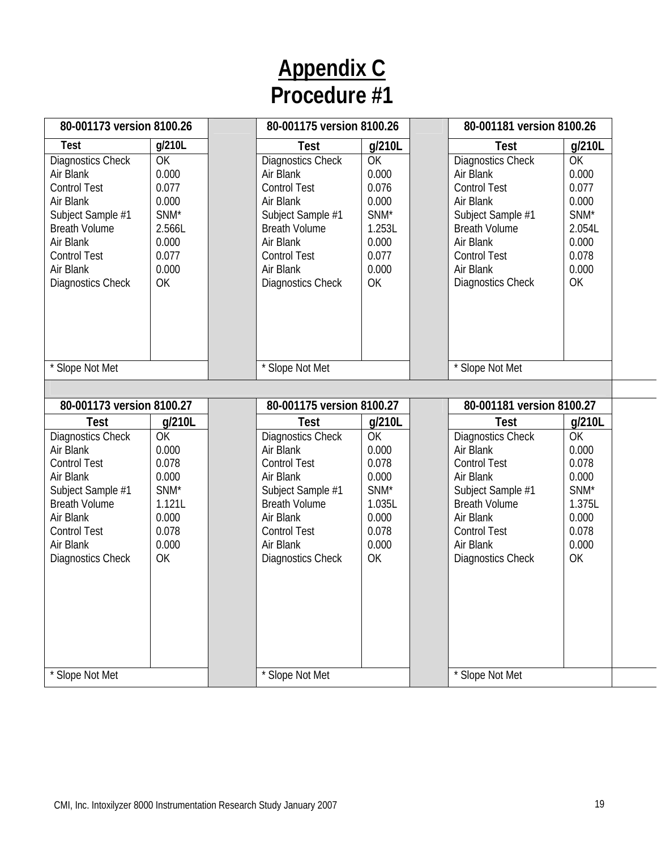|                                                                                                                                                                                                      | 80-001173 version 8100.26                                                                              |  | 80-001175 version 8100.26                                                                                                                                                                                   |                                                                                                        | 80-001181 version 8100.26                                                                                                                                                                            |                                                                                                                     |
|------------------------------------------------------------------------------------------------------------------------------------------------------------------------------------------------------|--------------------------------------------------------------------------------------------------------|--|-------------------------------------------------------------------------------------------------------------------------------------------------------------------------------------------------------------|--------------------------------------------------------------------------------------------------------|------------------------------------------------------------------------------------------------------------------------------------------------------------------------------------------------------|---------------------------------------------------------------------------------------------------------------------|
| <b>Test</b><br>Diagnostics Check<br>Air Blank<br><b>Control Test</b><br>Air Blank<br>Subject Sample #1<br><b>Breath Volume</b><br>Air Blank<br><b>Control Test</b><br>Air Blank<br>Diagnostics Check | g/210L<br>OK<br>0.000<br>0.077<br>0.000<br>SNM*<br>2.566L<br>0.000<br>0.077<br>0.000<br>OK             |  | <b>Test</b><br>Diagnostics Check<br>Air Blank<br><b>Control Test</b><br>Air Blank<br>Subject Sample #1<br><b>Breath Volume</b><br>Air Blank<br><b>Control Test</b><br>Air Blank<br>Diagnostics Check        | g/210L<br>OK<br>0.000<br>0.076<br>0.000<br>SNM*<br>1.253L<br>0.000<br>0.077<br>0.000<br>OK             | Test<br><b>Diagnostics Check</b><br>Air Blank<br><b>Control Test</b><br>Air Blank<br>Subject Sample #1<br><b>Breath Volume</b><br>Air Blank<br><b>Control Test</b><br>Air Blank<br>Diagnostics Check | g/210L<br>OK<br>0.000<br>0.077<br>0.000<br>SNM <sup>*</sup><br>2.054L<br>0.000<br>0.078<br>0.000<br><b>OK</b>       |
| * Slope Not Met<br>80-001173 version 8100.27                                                                                                                                                         |                                                                                                        |  | * Slope Not Met<br>80-001175 version 8100.27                                                                                                                                                                |                                                                                                        | * Slope Not Met<br>80-001181 version 8100.27                                                                                                                                                         |                                                                                                                     |
| <b>Test</b><br>Diagnostics Check<br>Air Blank<br><b>Control Test</b><br>Air Blank<br>Subject Sample #1<br><b>Breath Volume</b><br>Air Blank<br><b>Control Test</b><br>Air Blank<br>Diagnostics Check | g/210L<br>OK<br>0.000<br>0.078<br>0.000<br>SNM <sup>*</sup><br>1.121L<br>0.000<br>0.078<br>0.000<br>OK |  | <b>Test</b><br><b>Diagnostics Check</b><br>Air Blank<br><b>Control Test</b><br>Air Blank<br>Subject Sample #1<br><b>Breath Volume</b><br>Air Blank<br><b>Control Test</b><br>Air Blank<br>Diagnostics Check | g/210L<br>OK<br>0.000<br>0.078<br>0.000<br>SNM <sup>*</sup><br>1.035L<br>0.000<br>0.078<br>0.000<br>OK | <b>Test</b><br>Diagnostics Check<br>Air Blank<br><b>Control Test</b><br>Air Blank<br>Subject Sample #1<br><b>Breath Volume</b><br>Air Blank<br><b>Control Test</b><br>Air Blank<br>Diagnostics Check | g/210L<br>$\overline{OK}$<br>0.000<br>0.078<br>0.000<br>SNM <sup>*</sup><br>1.375L<br>0.000<br>0.078<br>0.000<br>OK |
| * Slope Not Met                                                                                                                                                                                      |                                                                                                        |  | * Slope Not Met                                                                                                                                                                                             |                                                                                                        | * Slope Not Met                                                                                                                                                                                      |                                                                                                                     |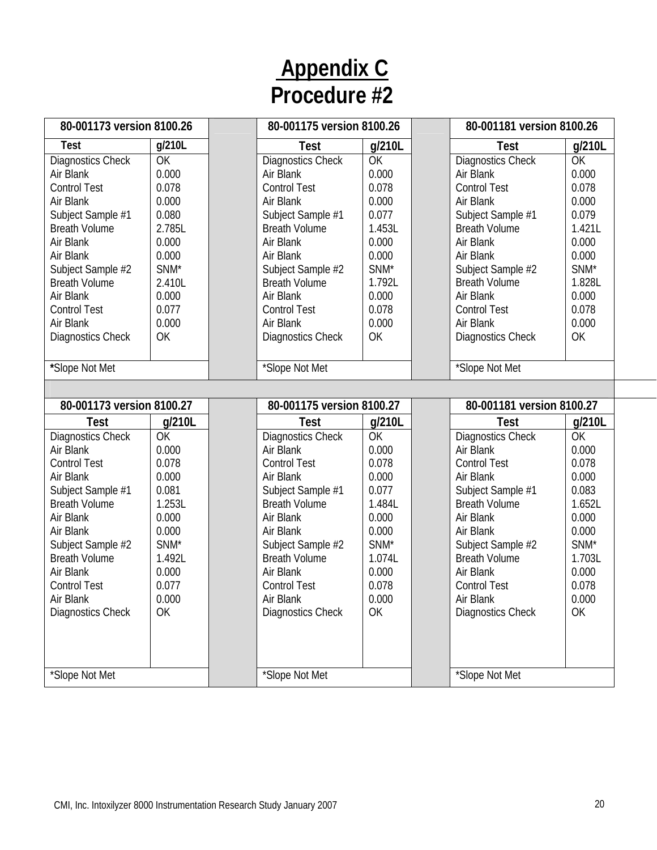| 80-001173 version 8100.26 |           | 80-001175 version 8100.26 |                  | 80-001181 version 8100.26 |        |
|---------------------------|-----------|---------------------------|------------------|---------------------------|--------|
| Test                      | g/210L    | Test                      | g/210L           | <b>Test</b>               | g/210L |
| <b>Diagnostics Check</b>  | <b>OK</b> | <b>Diagnostics Check</b>  | OK               | Diagnostics Check         | OK     |
| Air Blank                 | 0.000     | Air Blank                 | 0.000            | Air Blank                 | 0.000  |
| <b>Control Test</b>       | 0.078     | <b>Control Test</b>       | 0.078            | <b>Control Test</b>       | 0.078  |
| Air Blank                 | 0.000     | Air Blank                 | 0.000            | Air Blank                 | 0.000  |
| Subject Sample #1         | 0.080     | Subject Sample #1         | 0.077            | Subject Sample #1         | 0.079  |
| <b>Breath Volume</b>      | 2.785L    | <b>Breath Volume</b>      | 1.453L           | <b>Breath Volume</b>      | 1.421L |
| Air Blank                 | 0.000     | Air Blank                 | 0.000            | Air Blank                 | 0.000  |
| Air Blank                 | 0.000     | Air Blank                 | 0.000            | Air Blank                 | 0.000  |
| Subject Sample #2         | SNM*      | Subject Sample #2         | SNM*             | Subject Sample #2         | SNM*   |
| <b>Breath Volume</b>      | 2.410L    | <b>Breath Volume</b>      | 1.792L           | <b>Breath Volume</b>      | 1.828L |
| Air Blank                 | 0.000     | Air Blank                 | 0.000            | Air Blank                 | 0.000  |
| <b>Control Test</b>       | 0.077     | <b>Control Test</b>       | 0.078            | <b>Control Test</b>       | 0.078  |
| Air Blank                 | 0.000     | Air Blank                 | 0.000            | Air Blank                 | 0.000  |
| Diagnostics Check         | OK        | <b>Diagnostics Check</b>  | OK               | <b>Diagnostics Check</b>  | OK     |
|                           |           |                           |                  |                           |        |
| *Slope Not Met            |           | *Slope Not Met            |                  | *Slope Not Met            |        |
|                           |           |                           |                  |                           |        |
| 80-001173 version 8100.27 |           | 80-001175 version 8100.27 |                  | 80-001181 version 8100.27 |        |
| Test                      | g/210L    | Test                      | g/210L           | <b>Test</b>               | g/210L |
| Diagnostics Check         | OK        | Diagnostics Check         | OK               | Diagnostics Check         | OK     |
| Air Blank                 | 0.000     | Air Blank                 | 0.000            | Air Blank                 | 0.000  |
| <b>Control Test</b>       | 0.078     | <b>Control Test</b>       | 0.078            | <b>Control Test</b>       | 0.078  |
| Air Blank                 | 0.000     | Air Blank                 | 0.000            | Air Blank                 | 0.000  |
| Subject Sample #1         | 0.081     | Subject Sample #1         | 0.077            | Subject Sample #1         | 0.083  |
| <b>Breath Volume</b>      | 1.253L    | <b>Breath Volume</b>      | 1.484L           | <b>Breath Volume</b>      | 1.652L |
| Air Blank                 | 0.000     | Air Blank                 | 0.000            | Air Blank                 | 0.000  |
| Air Blank                 | 0.000     | Air Blank                 | 0.000            | Air Blank                 | 0.000  |
| Subject Sample #2         | SNM*      | Subject Sample #2         | SNM <sup>*</sup> | Subject Sample #2         | SNM*   |
| <b>Breath Volume</b>      | 1.492L    | <b>Breath Volume</b>      | 1.074L           | <b>Breath Volume</b>      | 1.703L |
| Air Blank                 | 0.000     | Air Blank                 | 0.000            | Air Blank                 | 0.000  |
| <b>Control Test</b>       | 0.077     | <b>Control Test</b>       | 0.078            | <b>Control Test</b>       | 0.078  |
| Air Blank                 | 0.000     | Air Blank                 | 0.000            | Air Blank                 | 0.000  |
| Diagnostics Check         | OK.       | <b>Diagnostics Check</b>  | OK               | <b>Diagnostics Check</b>  | OK     |
|                           |           |                           |                  |                           |        |
| *Slope Not Met            |           | *Slope Not Met            |                  | *Slope Not Met            |        |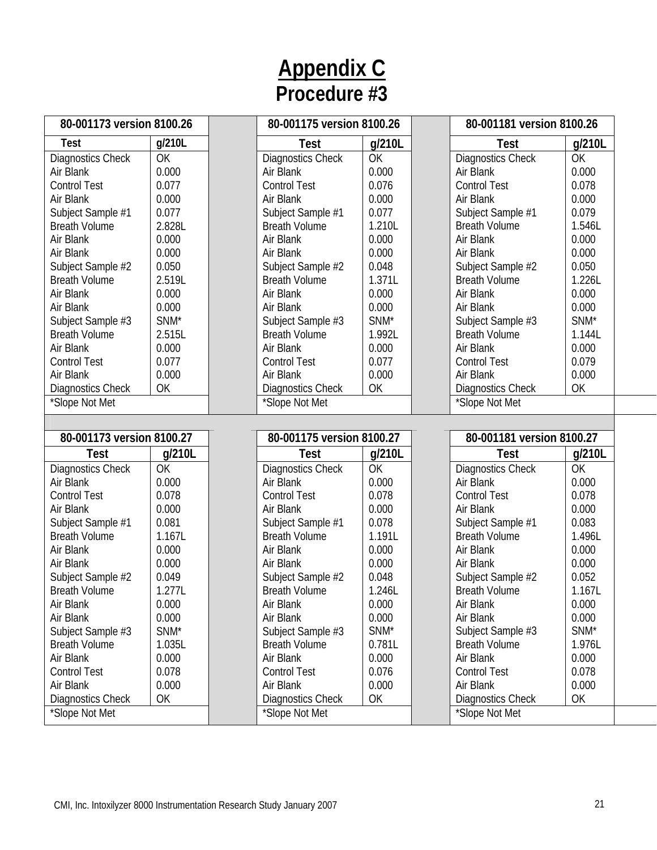|                                     | 80-001173 version 8100.26 |  | 80-001175 version 8100.26                  |                  | 80-001181 version 8100.26                  |                  |
|-------------------------------------|---------------------------|--|--------------------------------------------|------------------|--------------------------------------------|------------------|
| <b>Test</b>                         | g/210L                    |  | <b>Test</b>                                | g/210L           | <b>Test</b>                                | g/210L           |
| Diagnostics Check                   | OK                        |  | <b>Diagnostics Check</b>                   | OK               | <b>Diagnostics Check</b>                   | <b>OK</b>        |
| Air Blank                           | 0.000                     |  | Air Blank                                  | 0.000            | Air Blank                                  | 0.000            |
| <b>Control Test</b>                 | 0.077                     |  | <b>Control Test</b>                        | 0.076            | <b>Control Test</b>                        | 0.078            |
| Air Blank                           | 0.000                     |  | Air Blank                                  | 0.000            | Air Blank                                  | 0.000            |
| Subject Sample #1                   | 0.077                     |  | Subject Sample #1                          | 0.077            | Subject Sample #1                          | 0.079            |
| <b>Breath Volume</b>                | 2.828L                    |  | <b>Breath Volume</b>                       | 1.210L           | <b>Breath Volume</b>                       | 1.546L           |
| Air Blank                           | 0.000                     |  | Air Blank                                  | 0.000            | Air Blank                                  | 0.000            |
| Air Blank                           | 0.000                     |  | Air Blank                                  | 0.000            | Air Blank                                  | 0.000            |
| Subject Sample #2                   | 0.050                     |  | Subject Sample #2                          | 0.048            | Subject Sample #2                          | 0.050            |
| <b>Breath Volume</b>                | 2.519L                    |  | <b>Breath Volume</b>                       | 1.371L           | <b>Breath Volume</b>                       | 1.226L           |
| Air Blank                           | 0.000                     |  | Air Blank                                  | 0.000            | Air Blank                                  | 0.000            |
| Air Blank                           | 0.000                     |  | Air Blank                                  | 0.000            | Air Blank                                  | 0.000            |
| Subject Sample #3                   | SNM <sup>*</sup>          |  | Subject Sample #3                          | SNM <sup>*</sup> | Subject Sample #3                          | SNM <sup>*</sup> |
| <b>Breath Volume</b>                | 2.515L                    |  | <b>Breath Volume</b>                       | 1.992L           | <b>Breath Volume</b>                       | 1.144L           |
| Air Blank                           | 0.000                     |  | Air Blank                                  | 0.000            | Air Blank                                  | 0.000            |
| <b>Control Test</b>                 | 0.077                     |  | <b>Control Test</b>                        | 0.077            | <b>Control Test</b>                        | 0.079            |
| Air Blank                           | 0.000                     |  | Air Blank                                  | 0.000            | Air Blank                                  | 0.000            |
| Diagnostics Check                   | OK                        |  | Diagnostics Check                          | OK               | <b>Diagnostics Check</b>                   | OK               |
| *Slope Not Met                      |                           |  | *Slope Not Met                             |                  | *Slope Not Met                             |                  |
|                                     |                           |  |                                            |                  |                                            |                  |
| 80-001173 version 8100.27           |                           |  | 80-001175 version 8100.27                  |                  | 80-001181 version 8100.27                  |                  |
| <b>Test</b>                         | g/210L                    |  | <b>Test</b>                                | g/210L           | <b>Test</b>                                | g/210L           |
| Diagnostics Check                   |                           |  |                                            |                  |                                            |                  |
|                                     | OK                        |  | Diagnostics Check                          | OK               | <b>Diagnostics Check</b>                   | <b>OK</b>        |
| Air Blank                           | 0.000                     |  | Air Blank                                  | 0.000            | Air Blank                                  | 0.000            |
| <b>Control Test</b>                 | 0.078                     |  | <b>Control Test</b>                        | 0.078            | <b>Control Test</b>                        | 0.078            |
| Air Blank                           | 0.000                     |  | Air Blank                                  | 0.000            | Air Blank                                  | 0.000            |
| Subject Sample #1                   | 0.081                     |  | Subject Sample #1                          | 0.078            | Subject Sample #1                          | 0.083            |
| <b>Breath Volume</b>                | 1.167L                    |  | <b>Breath Volume</b>                       | 1.191L           | <b>Breath Volume</b>                       | 1.496L           |
| Air Blank                           | 0.000                     |  | Air Blank                                  | 0.000            | Air Blank                                  | 0.000            |
| Air Blank                           | 0.000                     |  | Air Blank                                  | 0.000            | Air Blank                                  | 0.000            |
| Subject Sample #2                   | 0.049                     |  | Subject Sample #2                          | 0.048            | Subject Sample #2                          | 0.052            |
| <b>Breath Volume</b>                | 1.277L                    |  | <b>Breath Volume</b>                       | 1.246L           | <b>Breath Volume</b>                       | 1.167L           |
| Air Blank                           | 0.000                     |  | Air Blank                                  | 0.000            | Air Blank                                  | 0.000            |
| Air Blank                           | 0.000                     |  | Air Blank                                  | 0.000            | Air Blank                                  | 0.000            |
| Subject Sample #3                   | SNM*                      |  | Subject Sample #3                          | SNM*             | Subject Sample #3                          | SNM*             |
| <b>Breath Volume</b>                | 1.035L                    |  | <b>Breath Volume</b>                       | 0.781L           | <b>Breath Volume</b>                       | 1.976L           |
| Air Blank                           | 0.000                     |  | Air Blank                                  | 0.000            | Air Blank                                  | 0.000            |
| <b>Control Test</b>                 | 0.078                     |  | <b>Control Test</b>                        | 0.076            | <b>Control Test</b>                        | 0.078            |
| Air Blank                           | 0.000                     |  | Air Blank                                  | 0.000            | Air Blank                                  | 0.000            |
| Diagnostics Check<br>*Slope Not Met | OK                        |  | <b>Diagnostics Check</b><br>*Slope Not Met | OK               | <b>Diagnostics Check</b><br>*Slope Not Met | OK               |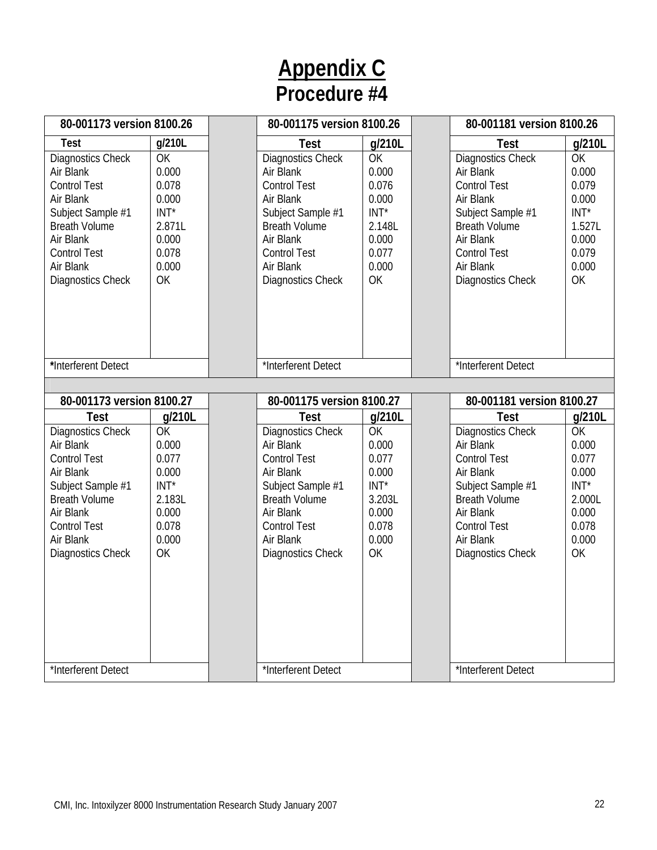| 80-001173 version 8100.26                                                                                                                                                             |                                                                                            | 80-001175 version 8100.26                                                                                                                                                             |                                                                                           | 80-001181 version 8100.26                                                                                                                                                                    |                                                                                     |
|---------------------------------------------------------------------------------------------------------------------------------------------------------------------------------------|--------------------------------------------------------------------------------------------|---------------------------------------------------------------------------------------------------------------------------------------------------------------------------------------|-------------------------------------------------------------------------------------------|----------------------------------------------------------------------------------------------------------------------------------------------------------------------------------------------|-------------------------------------------------------------------------------------|
| <b>Test</b>                                                                                                                                                                           | g/210L                                                                                     | <b>Test</b>                                                                                                                                                                           | g/210L                                                                                    | <b>Test</b>                                                                                                                                                                                  | g/210L                                                                              |
| Diagnostics Check<br>Air Blank<br><b>Control Test</b><br>Air Blank<br>Subject Sample #1<br><b>Breath Volume</b><br>Air Blank<br><b>Control Test</b><br>Air Blank<br>Diagnostics Check | <b>OK</b><br>0.000<br>0.078<br>0.000<br>$INT*$<br>2.871L<br>0.000<br>0.078<br>0.000<br>OK  | Diagnostics Check<br>Air Blank<br><b>Control Test</b><br>Air Blank<br>Subject Sample #1<br><b>Breath Volume</b><br>Air Blank<br><b>Control Test</b><br>Air Blank<br>Diagnostics Check | OK<br>0.000<br>0.076<br>0.000<br>$INT*$<br>2.148L<br>0.000<br>0.077<br>0.000<br>OK        | Diagnostics Check<br>Air Blank<br><b>Control Test</b><br>Air Blank<br>Subject Sample #1<br><b>Breath Volume</b><br>Air Blank<br><b>Control Test</b><br>Air Blank<br>Diagnostics Check        | OK<br>0.000<br>0.079<br>0.000<br>$INT^*$<br>1.527L<br>0.000<br>0.079<br>0.000<br>OK |
| *Interferent Detect                                                                                                                                                                   |                                                                                            | *Interferent Detect                                                                                                                                                                   |                                                                                           | *Interferent Detect                                                                                                                                                                          |                                                                                     |
|                                                                                                                                                                                       |                                                                                            |                                                                                                                                                                                       |                                                                                           |                                                                                                                                                                                              |                                                                                     |
| 80-001173 version 8100.27                                                                                                                                                             |                                                                                            | 80-001175 version 8100.27                                                                                                                                                             |                                                                                           | 80-001181 version 8100.27                                                                                                                                                                    |                                                                                     |
| <b>Test</b>                                                                                                                                                                           | g/210L                                                                                     | <b>Test</b>                                                                                                                                                                           | g/210L                                                                                    | <b>Test</b>                                                                                                                                                                                  | g/210L                                                                              |
| Diagnostics Check<br>Air Blank<br><b>Control Test</b><br>Air Blank<br>Subject Sample #1<br><b>Breath Volume</b><br>Air Blank<br><b>Control Test</b><br>Air Blank<br>Diagnostics Check | <b>OK</b><br>0.000<br>0.077<br>0.000<br>$INT^*$<br>2.183L<br>0.000<br>0.078<br>0.000<br>OK | Diagnostics Check<br>Air Blank<br><b>Control Test</b><br>Air Blank<br>Subject Sample #1<br><b>Breath Volume</b><br>Air Blank<br><b>Control Test</b><br>Air Blank<br>Diagnostics Check | <b>OK</b><br>0.000<br>0.077<br>0.000<br>$INT*$<br>3.203L<br>0.000<br>0.078<br>0.000<br>OK | <b>Diagnostics Check</b><br>Air Blank<br><b>Control Test</b><br>Air Blank<br>Subject Sample #1<br><b>Breath Volume</b><br>Air Blank<br><b>Control Test</b><br>Air Blank<br>Diagnostics Check | OK<br>0.000<br>0.077<br>0.000<br>$INT*$<br>2.000L<br>0.000<br>0.078<br>0.000<br>OK  |
| *Interferent Detect                                                                                                                                                                   |                                                                                            | *Interferent Detect                                                                                                                                                                   |                                                                                           | *Interferent Detect                                                                                                                                                                          |                                                                                     |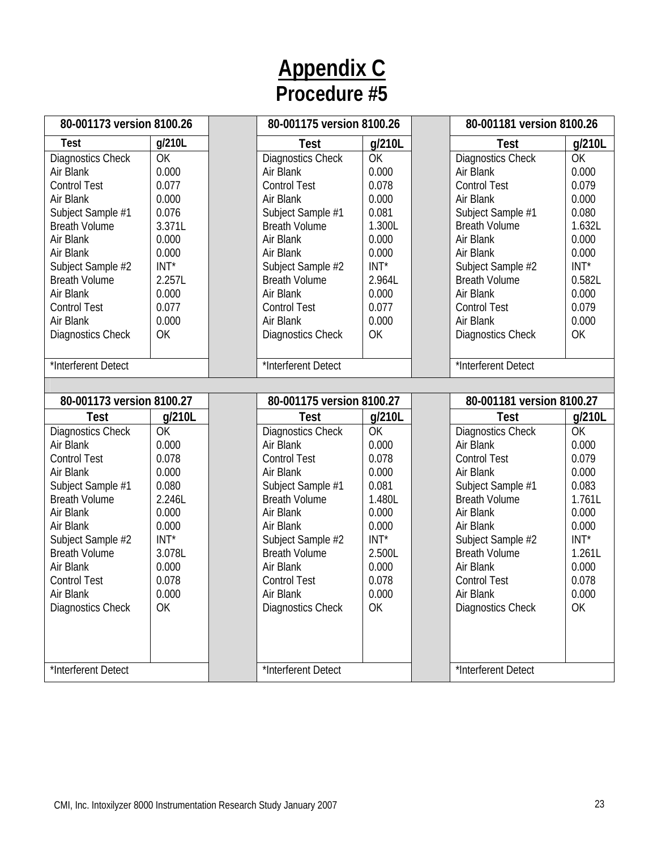| 80-001173 version 8100.26 |           | 80-001175 version 8100.26 |        | 80-001181 version 8100.26 |         |
|---------------------------|-----------|---------------------------|--------|---------------------------|---------|
| <b>Test</b>               | g/210L    | Test                      | g/210L | Test                      | g/210L  |
| Diagnostics Check         | OK        | Diagnostics Check         | OK     | <b>Diagnostics Check</b>  | OK      |
| Air Blank                 | 0.000     | Air Blank                 | 0.000  | Air Blank                 | 0.000   |
| <b>Control Test</b>       | 0.077     | <b>Control Test</b>       | 0.078  | <b>Control Test</b>       | 0.079   |
| Air Blank                 | 0.000     | Air Blank                 | 0.000  | Air Blank                 | 0.000   |
| Subject Sample #1         | 0.076     | Subject Sample #1         | 0.081  | Subject Sample #1         | 0.080   |
| <b>Breath Volume</b>      | 3.371L    | <b>Breath Volume</b>      | 1.300L | <b>Breath Volume</b>      | 1.632L  |
| Air Blank                 | 0.000     | Air Blank                 | 0.000  | Air Blank                 | 0.000   |
| Air Blank                 | 0.000     | Air Blank                 | 0.000  | Air Blank                 | 0.000   |
| Subject Sample #2         | $INT*$    | Subject Sample #2         | INT*   | Subject Sample #2         | $INT^*$ |
| <b>Breath Volume</b>      | 2.257L    | <b>Breath Volume</b>      | 2.964L | <b>Breath Volume</b>      | 0.582L  |
| Air Blank                 | 0.000     | Air Blank                 | 0.000  | Air Blank                 | 0.000   |
| <b>Control Test</b>       | 0.077     | <b>Control Test</b>       | 0.077  | <b>Control Test</b>       | 0.079   |
| Air Blank                 | 0.000     | Air Blank                 | 0.000  | Air Blank                 | 0.000   |
| Diagnostics Check         | OK        | Diagnostics Check         | OK     | <b>Diagnostics Check</b>  | OK      |
|                           |           |                           |        |                           |         |
| *Interferent Detect       |           | *Interferent Detect       |        | *Interferent Detect       |         |
|                           |           |                           |        |                           |         |
| 80-001173 version 8100.27 |           | 80-001175 version 8100.27 |        | 80-001181 version 8100.27 |         |
| Test                      | g/210L    | Test                      | g/210L | Test                      | g/210L  |
| Diagnostics Check         | <b>OK</b> | Diagnostics Check         | OK     | <b>Diagnostics Check</b>  | OK      |
| Air Blank                 | 0.000     | Air Blank                 | 0.000  | Air Blank                 | 0.000   |
| <b>Control Test</b>       | 0.078     | <b>Control Test</b>       | 0.078  | <b>Control Test</b>       | 0.079   |
| Air Blank                 | 0.000     | Air Blank                 | 0.000  | Air Blank                 | 0.000   |
| Subject Sample #1         | 0.080     | Subject Sample #1         | 0.081  | Subject Sample #1         | 0.083   |
| <b>Breath Volume</b>      | 2.246L    | <b>Breath Volume</b>      | 1.480L | <b>Breath Volume</b>      | 1.761L  |
| Air Blank                 | 0.000     | Air Blank                 | 0.000  | Air Blank                 | 0.000   |
| Air Blank                 | 0.000     | Air Blank                 | 0.000  | Air Blank                 | 0.000   |
| Subject Sample #2         | $INT*$    | Subject Sample #2         | $INT*$ | Subject Sample #2         | $INT^*$ |
| <b>Breath Volume</b>      | 3.078L    | <b>Breath Volume</b>      | 2.500L | <b>Breath Volume</b>      | 1.261L  |
| Air Blank                 | 0.000     | Air Blank                 | 0.000  | Air Blank                 | 0.000   |
| <b>Control Test</b>       | 0.078     | <b>Control Test</b>       | 0.078  | <b>Control Test</b>       | 0.078   |
| Air Blank                 | 0.000     | Air Blank                 | 0.000  | Air Blank                 | 0.000   |
| Diagnostics Check         | OK        | Diagnostics Check         | OK     | <b>Diagnostics Check</b>  | OK      |
|                           |           |                           |        |                           |         |
|                           |           |                           |        |                           |         |
| *Interferent Detect       |           | *Interferent Detect       |        | *Interferent Detect       |         |
|                           |           |                           |        |                           |         |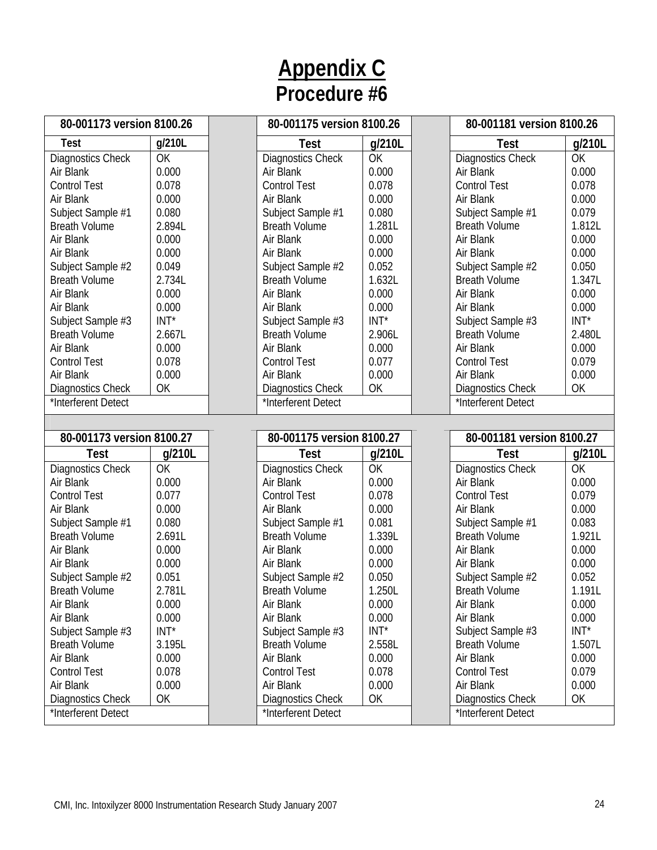| 80-001173 version 8100.26                       |         | 80-001175 version 8100.26                       |         | 80-001181 version 8100.26                       |         |
|-------------------------------------------------|---------|-------------------------------------------------|---------|-------------------------------------------------|---------|
| <b>Test</b>                                     | g/210L  | Test                                            | g/210L  | Test                                            | g/210L  |
| Diagnostics Check                               | OK      | Diagnostics Check                               | OK      | <b>Diagnostics Check</b>                        | OK      |
| Air Blank                                       | 0.000   | Air Blank                                       | 0.000   | Air Blank                                       | 0.000   |
| <b>Control Test</b>                             | 0.078   | <b>Control Test</b>                             | 0.078   | <b>Control Test</b>                             | 0.078   |
| Air Blank                                       | 0.000   | Air Blank                                       | 0.000   | Air Blank                                       | 0.000   |
| Subject Sample #1                               | 0.080   | Subject Sample #1                               | 0.080   | Subject Sample #1                               | 0.079   |
| <b>Breath Volume</b>                            | 2.894L  | <b>Breath Volume</b>                            | 1.281L  | <b>Breath Volume</b>                            | 1.812L  |
| Air Blank                                       | 0.000   | Air Blank                                       | 0.000   | Air Blank                                       | 0.000   |
| Air Blank                                       | 0.000   | Air Blank                                       | 0.000   | Air Blank                                       | 0.000   |
| Subject Sample #2                               | 0.049   | Subject Sample #2                               | 0.052   | Subject Sample #2                               | 0.050   |
| <b>Breath Volume</b>                            | 2.734L  | <b>Breath Volume</b>                            | 1.632L  | <b>Breath Volume</b>                            | 1.347L  |
| Air Blank                                       | 0.000   | Air Blank                                       | 0.000   | Air Blank                                       | 0.000   |
| Air Blank                                       | 0.000   | Air Blank                                       | 0.000   | Air Blank                                       | 0.000   |
| Subject Sample #3                               | INT*    | Subject Sample #3                               | $INT*$  | Subject Sample #3                               | $INT^*$ |
| <b>Breath Volume</b>                            | 2.667L  | <b>Breath Volume</b>                            | 2.906L  | <b>Breath Volume</b>                            | 2.480L  |
| Air Blank                                       | 0.000   | Air Blank                                       | 0.000   | Air Blank                                       | 0.000   |
| <b>Control Test</b>                             | 0.078   | <b>Control Test</b>                             | 0.077   | <b>Control Test</b>                             | 0.079   |
| Air Blank                                       | 0.000   | Air Blank                                       | 0.000   | Air Blank                                       | 0.000   |
| Diagnostics Check                               | OK      | Diagnostics Check                               | OK      | <b>Diagnostics Check</b>                        | OK      |
| *Interferent Detect                             |         | *Interferent Detect                             |         | *Interferent Detect                             |         |
|                                                 |         |                                                 |         |                                                 |         |
|                                                 |         |                                                 |         |                                                 |         |
| 80-001173 version 8100.27                       |         | 80-001175 version 8100.27                       |         | 80-001181 version 8100.27                       |         |
| <b>Test</b>                                     | g/210L  | Test                                            | g/210L  | Test                                            | g/210L  |
| Diagnostics Check                               | OK      | Diagnostics Check                               | OK      | <b>Diagnostics Check</b>                        | OK      |
| Air Blank                                       | 0.000   | Air Blank                                       | 0.000   | Air Blank                                       | 0.000   |
| <b>Control Test</b>                             | 0.077   | <b>Control Test</b>                             | 0.078   | <b>Control Test</b>                             | 0.079   |
| Air Blank                                       | 0.000   | Air Blank                                       | 0.000   | Air Blank                                       | 0.000   |
| Subject Sample #1                               | 0.080   | Subject Sample #1                               | 0.081   | Subject Sample #1                               | 0.083   |
| <b>Breath Volume</b>                            | 2.691L  | <b>Breath Volume</b>                            | 1.339L  | <b>Breath Volume</b>                            | 1.921L  |
| Air Blank                                       | 0.000   | Air Blank                                       | 0.000   | Air Blank                                       | 0.000   |
| Air Blank                                       | 0.000   | Air Blank                                       | 0.000   | Air Blank                                       | 0.000   |
| Subject Sample #2                               | 0.051   | Subject Sample #2                               | 0.050   | Subject Sample #2                               | 0.052   |
| <b>Breath Volume</b>                            | 2.781L  | <b>Breath Volume</b>                            | 1.250L  | <b>Breath Volume</b>                            | 1.191L  |
| Air Blank                                       | 0.000   | Air Blank                                       | 0.000   | Air Blank                                       | 0.000   |
| Air Blank                                       | 0.000   | Air Blank                                       | 0.000   | Air Blank                                       | 0.000   |
| Subject Sample #3                               | $INT^*$ | Subject Sample #3                               | $INT^*$ | Subject Sample #3                               | $INT^*$ |
| <b>Breath Volume</b>                            | 3.195L  | <b>Breath Volume</b>                            | 2.558L  | <b>Breath Volume</b>                            | 1.507L  |
| Air Blank                                       | 0.000   | Air Blank                                       | 0.000   | Air Blank                                       | 0.000   |
| <b>Control Test</b>                             | 0.078   | <b>Control Test</b>                             | 0.078   | <b>Control Test</b>                             | 0.079   |
| Air Blank                                       | 0.000   | Air Blank                                       | 0.000   | Air Blank                                       | 0.000   |
| <b>Diagnostics Check</b><br>*Interferent Detect | OK      | <b>Diagnostics Check</b><br>*Interferent Detect | OK      | <b>Diagnostics Check</b><br>*Interferent Detect | OK      |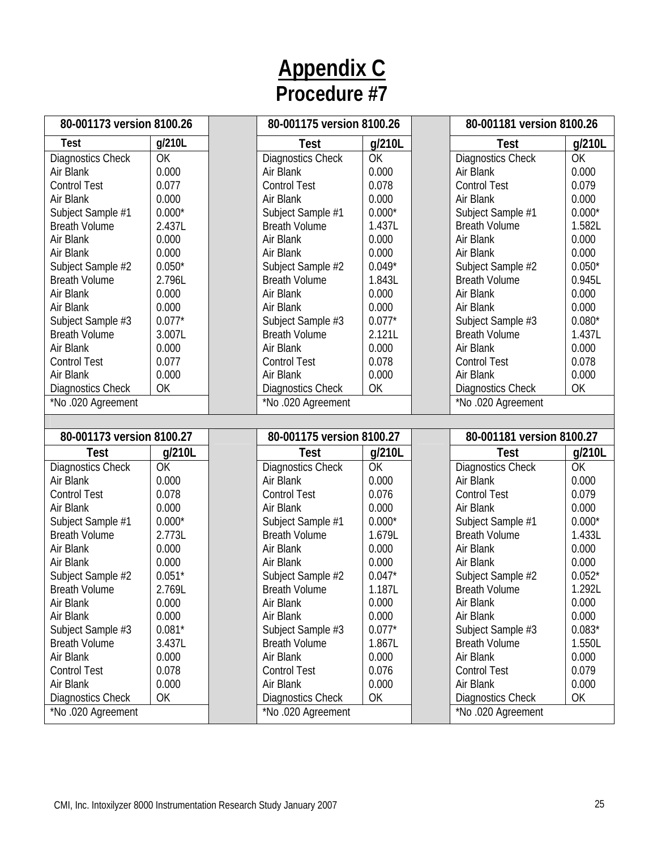| 80-001173 version 8100.26                     |          | 80-001175 version 8100.26              |          | 80-001181 version 8100.26                     |          |
|-----------------------------------------------|----------|----------------------------------------|----------|-----------------------------------------------|----------|
| <b>Test</b>                                   | g/210L   | Test                                   | g/210L   | <b>Test</b>                                   | g/210L   |
| Diagnostics Check                             | OK       | Diagnostics Check                      | OK       | Diagnostics Check                             | OK       |
| Air Blank                                     | 0.000    | Air Blank                              | 0.000    | Air Blank                                     | 0.000    |
| <b>Control Test</b>                           | 0.077    | <b>Control Test</b>                    | 0.078    | <b>Control Test</b>                           | 0.079    |
| Air Blank                                     | 0.000    | Air Blank                              | 0.000    | Air Blank                                     | 0.000    |
| Subject Sample #1                             | $0.000*$ | Subject Sample #1                      | $0.000*$ | Subject Sample #1                             | $0.000*$ |
| <b>Breath Volume</b>                          | 2.437L   | <b>Breath Volume</b>                   | 1.437L   | <b>Breath Volume</b>                          | 1.582L   |
| Air Blank                                     | 0.000    | Air Blank                              | 0.000    | Air Blank                                     | 0.000    |
| Air Blank                                     | 0.000    | Air Blank                              | 0.000    | Air Blank                                     | 0.000    |
| Subject Sample #2                             | $0.050*$ | Subject Sample #2                      | $0.049*$ | Subject Sample #2                             | $0.050*$ |
| <b>Breath Volume</b>                          | 2.796L   | <b>Breath Volume</b>                   | 1.843L   | <b>Breath Volume</b>                          | 0.945L   |
| Air Blank                                     | 0.000    | Air Blank                              | 0.000    | Air Blank                                     | 0.000    |
| Air Blank                                     | 0.000    | Air Blank                              | 0.000    | Air Blank                                     | 0.000    |
| Subject Sample #3                             | $0.077*$ | Subject Sample #3                      | $0.077*$ | Subject Sample #3                             | $0.080*$ |
| <b>Breath Volume</b>                          | 3.007L   | <b>Breath Volume</b>                   | 2.121L   | <b>Breath Volume</b>                          | 1.437L   |
| Air Blank                                     | 0.000    | Air Blank                              | 0.000    | Air Blank                                     | 0.000    |
| <b>Control Test</b>                           | 0.077    | <b>Control Test</b>                    | 0.078    | <b>Control Test</b>                           | 0.078    |
| Air Blank                                     | 0.000    | Air Blank                              | 0.000    | Air Blank                                     | 0.000    |
| Diagnostics Check                             | OK       | Diagnostics Check                      | OK       | <b>Diagnostics Check</b>                      | OK       |
| *No.020 Agreement                             |          | *No.020 Agreement                      |          | *No.020 Agreement                             |          |
|                                               |          |                                        |          |                                               |          |
|                                               |          |                                        |          |                                               |          |
| 80-001173 version 8100.27                     |          | 80-001175 version 8100.27              |          | 80-001181 version 8100.27                     |          |
| Test                                          | g/210L   | <b>Test</b>                            | g/210L   | <b>Test</b>                                   | g/210L   |
| Diagnostics Check                             | OK       | Diagnostics Check                      | OK       | Diagnostics Check                             | OK       |
| Air Blank                                     | 0.000    | Air Blank                              | 0.000    | Air Blank                                     | 0.000    |
| <b>Control Test</b>                           | 0.078    | <b>Control Test</b>                    | 0.076    | <b>Control Test</b>                           | 0.079    |
| Air Blank                                     | 0.000    | Air Blank                              | 0.000    | Air Blank                                     | 0.000    |
| Subject Sample #1                             | $0.000*$ | Subject Sample #1                      | $0.000*$ | Subject Sample #1                             | $0.000*$ |
| <b>Breath Volume</b>                          | 2.773L   | <b>Breath Volume</b>                   | 1.679L   | <b>Breath Volume</b>                          | 1.433L   |
| Air Blank                                     | 0.000    | Air Blank                              | 0.000    | Air Blank                                     | 0.000    |
| Air Blank                                     | 0.000    | Air Blank                              | 0.000    | Air Blank                                     | 0.000    |
| Subject Sample #2                             | $0.051*$ | Subject Sample #2                      | $0.047*$ | Subject Sample #2                             | $0.052*$ |
| <b>Breath Volume</b>                          | 2.769L   | <b>Breath Volume</b>                   | 1.187L   | <b>Breath Volume</b>                          | 1.292L   |
| Air Blank                                     | 0.000    | Air Blank                              | 0.000    | Air Blank                                     | 0.000    |
| Air Blank                                     | 0.000    | Air Blank                              | 0.000    | Air Blank                                     | 0.000    |
| Subject Sample #3                             | $0.081*$ | Subject Sample #3                      | $0.077*$ | Subject Sample #3                             | $0.083*$ |
| <b>Breath Volume</b>                          | 3.437L   | <b>Breath Volume</b>                   | 1.867L   | <b>Breath Volume</b>                          | 1.550L   |
| Air Blank                                     | 0.000    | Air Blank                              | 0.000    | Air Blank                                     | 0.000    |
| <b>Control Test</b>                           | 0.078    | <b>Control Test</b>                    | 0.076    | <b>Control Test</b>                           | 0.079    |
| Air Blank                                     | 0.000    | Air Blank                              | 0.000    | Air Blank                                     | 0.000    |
| <b>Diagnostics Check</b><br>*No.020 Agreement | OK       | Diagnostics Check<br>*No.020 Agreement | OK       | <b>Diagnostics Check</b><br>*No.020 Agreement | OK       |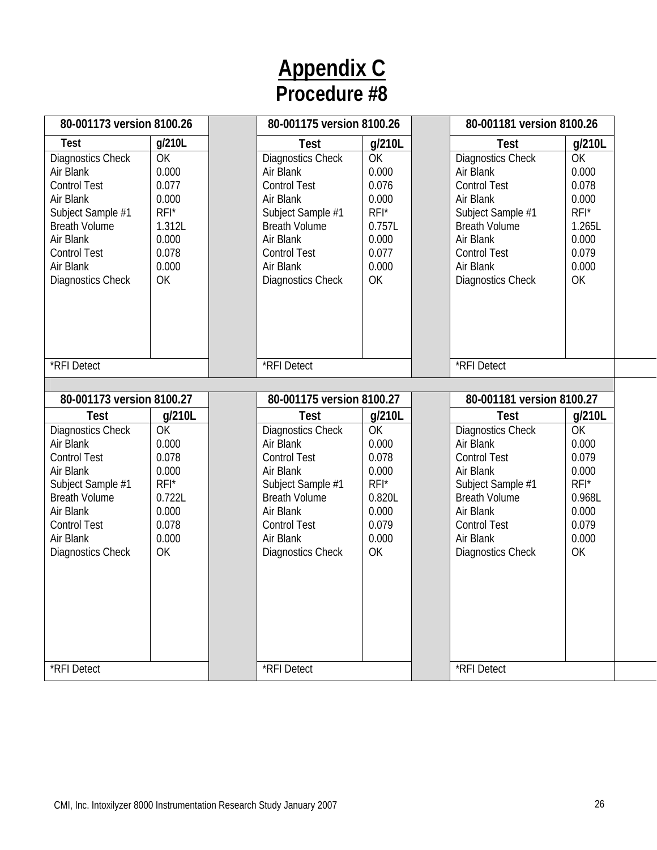| 80-001173 version 8100.26                                                                                                                                                                            |                                                                                               | 80-001175 version 8100.26                                                                                                                                                                            |                                                                                               | 80-001181 version 8100.26                                                                                                                                                                                          |                                                                                               |
|------------------------------------------------------------------------------------------------------------------------------------------------------------------------------------------------------|-----------------------------------------------------------------------------------------------|------------------------------------------------------------------------------------------------------------------------------------------------------------------------------------------------------|-----------------------------------------------------------------------------------------------|--------------------------------------------------------------------------------------------------------------------------------------------------------------------------------------------------------------------|-----------------------------------------------------------------------------------------------|
| <b>Test</b><br>Diagnostics Check<br>Air Blank<br><b>Control Test</b><br>Air Blank<br>Subject Sample #1<br><b>Breath Volume</b><br>Air Blank<br><b>Control Test</b><br>Air Blank<br>Diagnostics Check | g/210L<br>OK<br>0.000<br>0.077<br>0.000<br>$RFI^*$<br>1.312L<br>0.000<br>0.078<br>0.000<br>OK | <b>Test</b><br>Diagnostics Check<br>Air Blank<br><b>Control Test</b><br>Air Blank<br>Subject Sample #1<br><b>Breath Volume</b><br>Air Blank<br><b>Control Test</b><br>Air Blank<br>Diagnostics Check | g/210L<br>OK<br>0.000<br>0.076<br>0.000<br>$RFI^*$<br>0.757L<br>0.000<br>0.077<br>0.000<br>OK | <b>Test</b><br><b>Diagnostics Check</b><br>Air Blank<br><b>Control Test</b><br>Air Blank<br>Subject Sample #1<br><b>Breath Volume</b><br>Air Blank<br><b>Control Test</b><br>Air Blank<br>Diagnostics Check        | g/210L<br>OK<br>0.000<br>0.078<br>0.000<br>$RFI^*$<br>1.265L<br>0.000<br>0.079<br>0.000<br>OK |
| *RFI Detect                                                                                                                                                                                          |                                                                                               | *RFI Detect                                                                                                                                                                                          |                                                                                               | *RFI Detect                                                                                                                                                                                                        |                                                                                               |
| 80-001173 version 8100.27                                                                                                                                                                            |                                                                                               | 80-001175 version 8100.27                                                                                                                                                                            |                                                                                               | 80-001181 version 8100.27                                                                                                                                                                                          |                                                                                               |
| <b>Test</b><br>Diagnostics Check<br>Air Blank<br><b>Control Test</b><br>Air Blank<br>Subject Sample #1<br><b>Breath Volume</b><br>Air Blank<br><b>Control Test</b><br>Air Blank<br>Diagnostics Check | g/210L<br>OK<br>0.000<br>0.078<br>0.000<br>$RFI^*$<br>0.722L<br>0.000<br>0.078<br>0.000<br>OK | <b>Test</b><br>Diagnostics Check<br>Air Blank<br><b>Control Test</b><br>Air Blank<br>Subject Sample #1<br><b>Breath Volume</b><br>Air Blank<br><b>Control Test</b><br>Air Blank<br>Diagnostics Check | g/210L<br>OK<br>0.000<br>0.078<br>0.000<br>$RFI^*$<br>0.820L<br>0.000<br>0.079<br>0.000<br>OK | <b>Test</b><br><b>Diagnostics Check</b><br>Air Blank<br><b>Control Test</b><br>Air Blank<br>Subject Sample #1<br><b>Breath Volume</b><br>Air Blank<br><b>Control Test</b><br>Air Blank<br><b>Diagnostics Check</b> | g/210L<br>OK<br>0.000<br>0.079<br>0.000<br>$RFI^*$<br>0.968L<br>0.000<br>0.079<br>0.000<br>OK |
| *RFI Detect                                                                                                                                                                                          |                                                                                               | *RFI Detect                                                                                                                                                                                          |                                                                                               | *RFI Detect                                                                                                                                                                                                        |                                                                                               |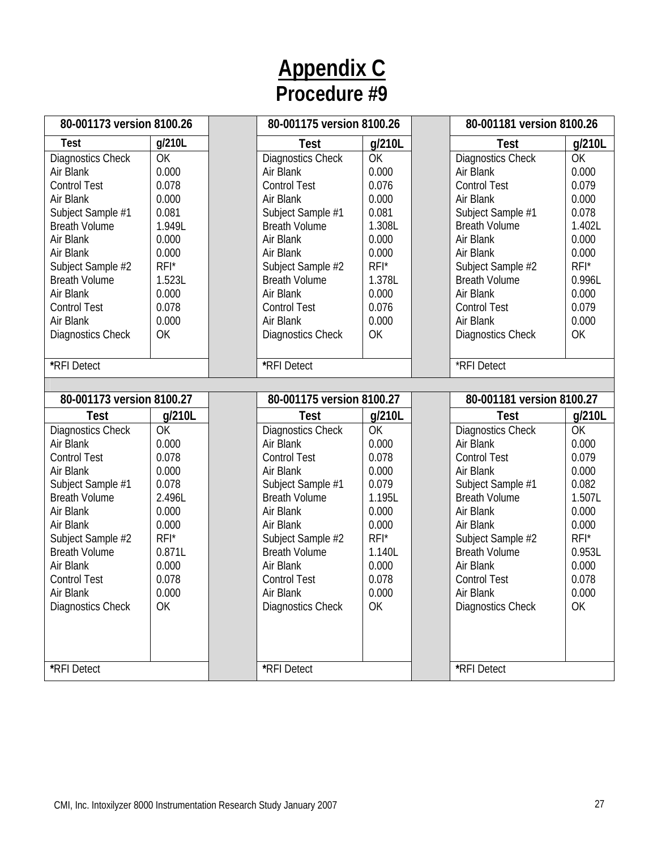| 80-001173 version 8100.26 |         | 80-001175 version 8100.26 |           | 80-001181 version 8100.26 |           |
|---------------------------|---------|---------------------------|-----------|---------------------------|-----------|
| <b>Test</b>               | g/210L  | <b>Test</b>               | g/210L    | <b>Test</b>               | g/210L    |
| Diagnostics Check         | OK      | Diagnostics Check         | <b>OK</b> | Diagnostics Check         | <b>OK</b> |
| Air Blank                 | 0.000   | Air Blank                 | 0.000     | Air Blank                 | 0.000     |
| <b>Control Test</b>       | 0.078   | <b>Control Test</b>       | 0.076     | <b>Control Test</b>       | 0.079     |
| Air Blank                 | 0.000   | Air Blank                 | 0.000     | Air Blank                 | 0.000     |
| Subject Sample #1         | 0.081   | Subject Sample #1         | 0.081     | Subject Sample #1         | 0.078     |
| <b>Breath Volume</b>      | 1.949L  | <b>Breath Volume</b>      | 1.308L    | <b>Breath Volume</b>      | 1.402L    |
| Air Blank                 | 0.000   | Air Blank                 | 0.000     | Air Blank                 | 0.000     |
| Air Blank                 | 0.000   | Air Blank                 | 0.000     | Air Blank                 | 0.000     |
| Subject Sample #2         | $RFI^*$ | Subject Sample #2         | $RFI^*$   | Subject Sample #2         | $RFI^*$   |
| <b>Breath Volume</b>      | 1.523L  | <b>Breath Volume</b>      | 1.378L    | <b>Breath Volume</b>      | 0.996L    |
| Air Blank                 | 0.000   | Air Blank                 | 0.000     | Air Blank                 | 0.000     |
| <b>Control Test</b>       | 0.078   | <b>Control Test</b>       | 0.076     | <b>Control Test</b>       | 0.079     |
| Air Blank                 | 0.000   | Air Blank                 | 0.000     | Air Blank                 | 0.000     |
| Diagnostics Check         | OK      | Diagnostics Check         | OK        | <b>Diagnostics Check</b>  | OK        |
|                           |         |                           |           |                           |           |
| *RFI Detect               |         | *RFI Detect               |           | *RFI Detect               |           |
|                           |         |                           |           |                           |           |
| 80-001173 version 8100.27 |         | 80-001175 version 8100.27 |           | 80-001181 version 8100.27 |           |
| Test                      | q/210L  | <b>Test</b>               | g/210L    | <b>Test</b>               | g/210L    |
| Diagnostics Check         | OK      | Diagnostics Check         | OK        | <b>Diagnostics Check</b>  | OK        |
| Air Blank                 | 0.000   | Air Blank                 | 0.000     | Air Blank                 | 0.000     |
| <b>Control Test</b>       | 0.078   | <b>Control Test</b>       | 0.078     | <b>Control Test</b>       | 0.079     |
| Air Blank                 | 0.000   | Air Blank                 | 0.000     | Air Blank                 | 0.000     |
| Subject Sample #1         | 0.078   | Subject Sample #1         | 0.079     | Subject Sample #1         | 0.082     |
| <b>Breath Volume</b>      | 2.496L  | <b>Breath Volume</b>      | 1.195L    | <b>Breath Volume</b>      | 1.507L    |
| Air Blank                 | 0.000   | Air Blank                 | 0.000     | Air Blank                 | 0.000     |
| Air Blank                 | 0.000   | Air Blank                 | 0.000     | Air Blank                 | 0.000     |
| Subject Sample #2         | $RFI^*$ | Subject Sample #2         | RFI*      | Subject Sample #2         | $RFI^*$   |
| <b>Breath Volume</b>      | 0.871L  | <b>Breath Volume</b>      | 1.140L    | <b>Breath Volume</b>      | 0.953L    |
| Air Blank                 | 0.000   | Air Blank                 | 0.000     | Air Blank                 | 0.000     |
| <b>Control Test</b>       | 0.078   | <b>Control Test</b>       | 0.078     | <b>Control Test</b>       | 0.078     |
| Air Blank                 | 0.000   | Air Blank                 | 0.000     | Air Blank                 | 0.000     |
| Diagnostics Check         | OK      | Diagnostics Check         | OK        | Diagnostics Check         | OK        |
|                           |         |                           |           |                           |           |
|                           |         |                           |           |                           |           |
|                           |         |                           |           |                           |           |
| *RFI Detect               |         | *RFI Detect               |           | *RFI Detect               |           |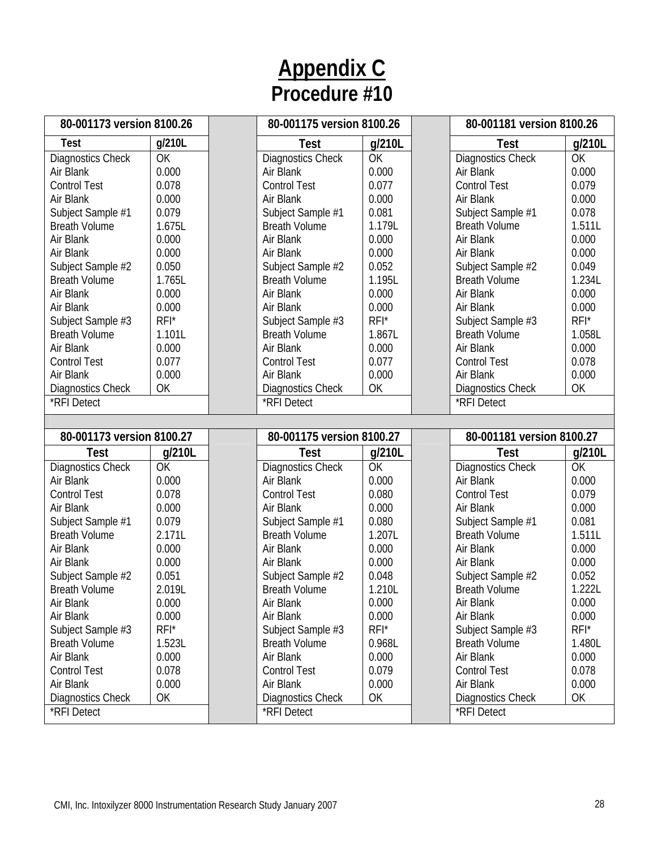| 80-001173 version 8100.26               |         | 80-001175 version 8100.26        |         | 80-001181 version 8100.26               |         |
|-----------------------------------------|---------|----------------------------------|---------|-----------------------------------------|---------|
| <b>Test</b>                             | g/210L  | Test                             | g/210L  | <b>Test</b>                             | g/210L  |
| Diagnostics Check                       | OK      | Diagnostics Check                | OK      | Diagnostics Check                       | OK      |
| Air Blank                               | 0.000   | Air Blank                        | 0.000   | Air Blank                               | 0.000   |
| <b>Control Test</b>                     | 0.078   | <b>Control Test</b>              | 0.077   | <b>Control Test</b>                     | 0.079   |
| Air Blank                               | 0.000   | Air Blank                        | 0.000   | Air Blank                               | 0.000   |
| Subject Sample #1                       | 0.079   | Subject Sample #1                | 0.081   | Subject Sample #1                       | 0.078   |
| <b>Breath Volume</b>                    | 1.675L  | <b>Breath Volume</b>             | 1.179L  | <b>Breath Volume</b>                    | 1.511L  |
| Air Blank                               | 0.000   | Air Blank                        | 0.000   | Air Blank                               | 0.000   |
| Air Blank                               | 0.000   | Air Blank                        | 0.000   | Air Blank                               | 0.000   |
| Subject Sample #2                       | 0.050   | Subject Sample #2                | 0.052   | Subject Sample #2                       | 0.049   |
| <b>Breath Volume</b>                    | 1.765L  | <b>Breath Volume</b>             | 1.195L  | <b>Breath Volume</b>                    | 1.234L  |
| Air Blank                               | 0.000   | Air Blank                        | 0.000   | Air Blank                               | 0.000   |
| Air Blank                               | 0.000   | Air Blank                        | 0.000   | Air Blank                               | 0.000   |
| Subject Sample #3                       | RFI*    | Subject Sample #3                | RFI*    | Subject Sample #3                       | $RFI^*$ |
| <b>Breath Volume</b>                    | 1.101L  | <b>Breath Volume</b>             | 1.867L  | <b>Breath Volume</b>                    | 1.058L  |
| Air Blank                               | 0.000   | Air Blank                        | 0.000   | Air Blank                               | 0.000   |
| <b>Control Test</b>                     | 0.077   | <b>Control Test</b>              | 0.077   | <b>Control Test</b>                     | 0.078   |
| Air Blank                               | 0.000   | Air Blank                        | 0.000   | Air Blank                               | 0.000   |
| <b>Diagnostics Check</b>                | OK      | Diagnostics Check                | OK      | <b>Diagnostics Check</b>                | OK      |
| *RFI Detect                             |         | *RFI Detect                      |         | *RFI Detect                             |         |
|                                         |         |                                  |         |                                         |         |
|                                         |         |                                  |         |                                         |         |
| 80-001173 version 8100.27               |         | 80-001175 version 8100.27        |         | 80-001181 version 8100.27               |         |
| Test                                    | g/210L  | Test                             | g/210L  | Test                                    | g/210L  |
| Diagnostics Check                       | OK      | Diagnostics Check                | OK      | Diagnostics Check                       | OK      |
| Air Blank                               | 0.000   | Air Blank                        | 0.000   | Air Blank                               | 0.000   |
| <b>Control Test</b>                     | 0.078   | <b>Control Test</b>              | 0.080   | <b>Control Test</b>                     | 0.079   |
| Air Blank                               | 0.000   | Air Blank                        | 0.000   | Air Blank                               | 0.000   |
| Subject Sample #1                       | 0.079   | Subject Sample #1                | 0.080   | Subject Sample #1                       | 0.081   |
| <b>Breath Volume</b>                    | 2.171L  | <b>Breath Volume</b>             | 1.207L  | <b>Breath Volume</b>                    | 1.511L  |
| Air Blank                               | 0.000   | Air Blank                        | 0.000   | Air Blank                               | 0.000   |
| Air Blank                               | 0.000   | Air Blank                        | 0.000   | Air Blank                               | 0.000   |
| Subject Sample #2                       | 0.051   | Subject Sample #2                | 0.048   | Subject Sample #2                       | 0.052   |
| <b>Breath Volume</b>                    | 2.019L  | <b>Breath Volume</b>             | 1.210L  | <b>Breath Volume</b>                    | 1.222L  |
| Air Blank                               | 0.000   | Air Blank                        | 0.000   | Air Blank                               | 0.000   |
| Air Blank                               | 0.000   | Air Blank                        | 0.000   | Air Blank                               | 0.000   |
| Subject Sample #3                       | $RFI^*$ | Subject Sample #3                | $RFI^*$ | Subject Sample #3                       | $RFI^*$ |
| <b>Breath Volume</b>                    | 1.523L  | <b>Breath Volume</b>             | 0.968L  | <b>Breath Volume</b>                    | 1.480L  |
| Air Blank                               | 0.000   | Air Blank                        | 0.000   | Air Blank                               | 0.000   |
| <b>Control Test</b>                     | 0.078   | <b>Control Test</b>              | 0.079   | <b>Control Test</b>                     | 0.078   |
| Air Blank                               | 0.000   | Air Blank                        | 0.000   | Air Blank                               | 0.000   |
| <b>Diagnostics Check</b><br>*RFI Detect | OK      | Diagnostics Check<br>*RFI Detect | OK      | <b>Diagnostics Check</b><br>*RFI Detect | OK      |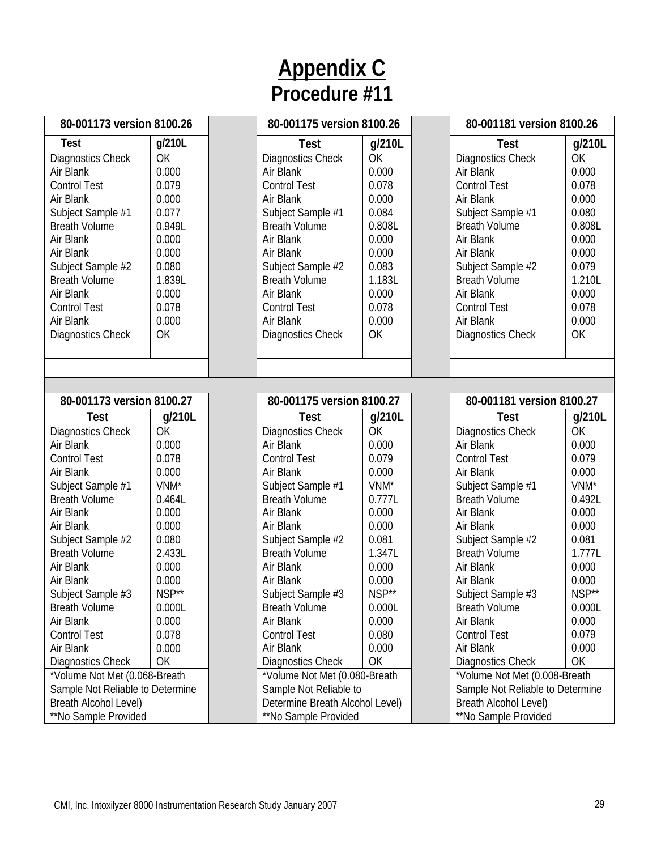| 80-001173 version 8100.26        |           | 80-001175 version 8100.26       |           | 80-001181 version 8100.26        |        |
|----------------------------------|-----------|---------------------------------|-----------|----------------------------------|--------|
| <b>Test</b>                      | g/210L    | <b>Test</b>                     | g/210L    | <b>Test</b>                      | g/210L |
| Diagnostics Check                | OK        | Diagnostics Check               | OK        | <b>Diagnostics Check</b>         | OK     |
| Air Blank                        | 0.000     | Air Blank                       | 0.000     | Air Blank                        | 0.000  |
| <b>Control Test</b>              | 0.079     | <b>Control Test</b>             | 0.078     | <b>Control Test</b>              | 0.078  |
| Air Blank                        | 0.000     | Air Blank                       | 0.000     | Air Blank                        | 0.000  |
| Subject Sample #1                | 0.077     | Subject Sample #1               | 0.084     | Subject Sample #1                | 0.080  |
| <b>Breath Volume</b>             | 0.949L    | <b>Breath Volume</b>            | 0.808L    | <b>Breath Volume</b>             | 0.808L |
| Air Blank                        | 0.000     | Air Blank                       | 0.000     | Air Blank                        | 0.000  |
| Air Blank                        | 0.000     | Air Blank                       | 0.000     | Air Blank                        | 0.000  |
| Subject Sample #2                | 0.080     | Subject Sample #2               | 0.083     | Subject Sample #2                | 0.079  |
| <b>Breath Volume</b>             | 1.839L    | <b>Breath Volume</b>            | 1.183L    | <b>Breath Volume</b>             | 1.210L |
| Air Blank                        | 0.000     | Air Blank                       | 0.000     | Air Blank                        | 0.000  |
| <b>Control Test</b>              | 0.078     | <b>Control Test</b>             | 0.078     | <b>Control Test</b>              | 0.078  |
| Air Blank                        | 0.000     | Air Blank                       | 0.000     | Air Blank                        | 0.000  |
| <b>Diagnostics Check</b>         | OK        | Diagnostics Check               | OK        | Diagnostics Check                | OK     |
|                                  |           |                                 |           |                                  |        |
|                                  |           |                                 |           |                                  |        |
|                                  |           |                                 |           |                                  |        |
| 80-001173 version 8100.27        |           | 80-001175 version 8100.27       |           | 80-001181 version 8100.27        |        |
| <b>Test</b>                      | g/210L    | <b>Test</b>                     | g/210L    | Test                             | g/210L |
| Diagnostics Check                | <b>OK</b> | Diagnostics Check               | <b>OK</b> | <b>Diagnostics Check</b>         | OK     |
| Air Blank                        | 0.000     | Air Blank                       | 0.000     | Air Blank                        | 0.000  |
| <b>Control Test</b>              | 0.078     | <b>Control Test</b>             | 0.079     | <b>Control Test</b>              | 0.079  |
| Air Blank                        | 0.000     | Air Blank                       | 0.000     | Air Blank                        | 0.000  |
| Subject Sample #1                | VNM*      | Subject Sample #1               | VNM*      | Subject Sample #1                | VNM*   |
| <b>Breath Volume</b>             | 0.464L    | <b>Breath Volume</b>            | 0.777L    | <b>Breath Volume</b>             | 0.492L |
| Air Blank                        | 0.000     | Air Blank                       | 0.000     | Air Blank                        | 0.000  |
| Air Blank                        | 0.000     | Air Blank                       | 0.000     | Air Blank                        | 0.000  |
| Subject Sample #2                | 0.080     | Subject Sample #2               | 0.081     | Subject Sample #2                | 0.081  |
| <b>Breath Volume</b>             | 2.433L    | <b>Breath Volume</b>            | 1.347L    | <b>Breath Volume</b>             | 1.777L |
| Air Blank                        | 0.000     | Air Blank                       | 0.000     | Air Blank                        | 0.000  |
| Air Blank                        | 0.000     | Air Blank                       | 0.000     | Air Blank                        | 0.000  |
| Subject Sample #3                | NSP**     | Subject Sample #3               | NSP**     | Subject Sample #3                | NSP**  |
| <b>Breath Volume</b>             | 0.000L    | <b>Breath Volume</b>            | 0.000L    | <b>Breath Volume</b>             | 0.000L |
| Air Blank                        | 0.000     | Air Blank                       | 0.000     | Air Blank                        | 0.000  |
| <b>Control Test</b>              | 0.078     | <b>Control Test</b>             | 0.080     | <b>Control Test</b>              | 0.079  |
| Air Blank                        | 0.000     | Air Blank                       | 0.000     | Air Blank                        | 0.000  |
| <b>Diagnostics Check</b>         | OK        | <b>Diagnostics Check</b>        | OK        | <b>Diagnostics Check</b>         | OK     |
| *Volume Not Met (0.068-Breath    |           | *Volume Not Met (0.080-Breath   |           | *Volume Not Met (0.008-Breath    |        |
| Sample Not Reliable to Determine |           | Sample Not Reliable to          |           | Sample Not Reliable to Determine |        |
| Breath Alcohol Level)            |           | Determine Breath Alcohol Level) |           | Breath Alcohol Level)            |        |
| **No Sample Provided             |           | **No Sample Provided            |           | **No Sample Provided             |        |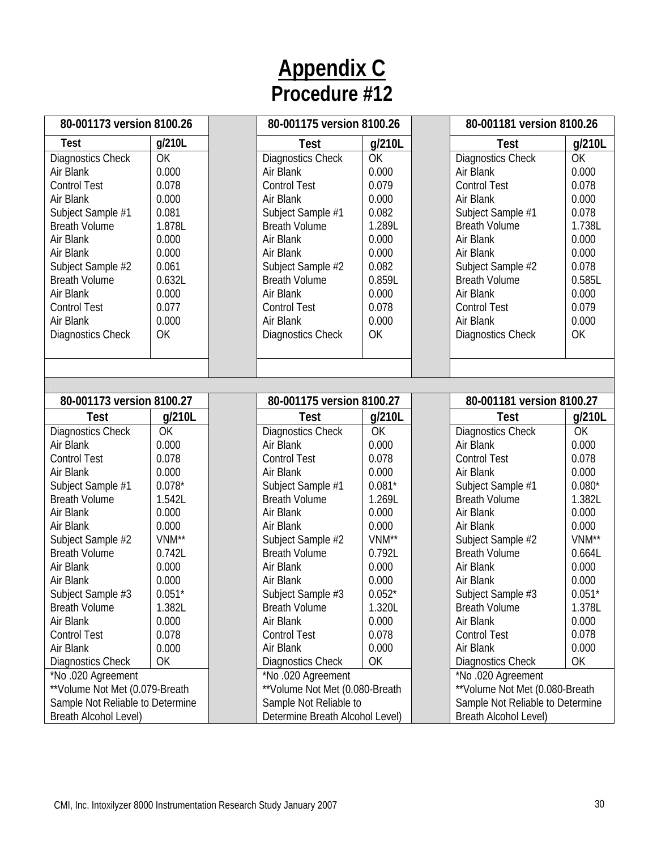| 80-001173 version 8100.26        |           | 80-001175 version 8100.26       |          | 80-001181 version 8100.26        |           |
|----------------------------------|-----------|---------------------------------|----------|----------------------------------|-----------|
| Test                             | g/210L    | <b>Test</b>                     | g/210L   | <b>Test</b>                      | g/210L    |
| Diagnostics Check                | OK        | Diagnostics Check               | OK       | <b>Diagnostics Check</b>         | OK        |
| Air Blank                        | 0.000     | Air Blank                       | 0.000    | Air Blank                        | 0.000     |
| <b>Control Test</b>              | 0.078     | <b>Control Test</b>             | 0.079    | <b>Control Test</b>              | 0.078     |
| Air Blank                        | 0.000     | Air Blank                       | 0.000    | Air Blank                        | 0.000     |
| Subject Sample #1                | 0.081     | Subject Sample #1               | 0.082    | Subject Sample #1                | 0.078     |
| <b>Breath Volume</b>             | 1.878L    | <b>Breath Volume</b>            | 1.289L   | <b>Breath Volume</b>             | 1.738L    |
| Air Blank                        | 0.000     | Air Blank                       | 0.000    | Air Blank                        | 0.000     |
| Air Blank                        | 0.000     | Air Blank                       | 0.000    | Air Blank                        | 0.000     |
| Subject Sample #2                | 0.061     | Subject Sample #2               | 0.082    | Subject Sample #2                | 0.078     |
| <b>Breath Volume</b>             | 0.632L    | <b>Breath Volume</b>            | 0.859L   | <b>Breath Volume</b>             | 0.585L    |
| Air Blank                        | 0.000     | Air Blank                       | 0.000    | Air Blank                        | 0.000     |
| <b>Control Test</b>              | 0.077     | <b>Control Test</b>             | 0.078    | <b>Control Test</b>              | 0.079     |
| Air Blank                        | 0.000     | Air Blank                       | 0.000    | Air Blank                        | 0.000     |
| Diagnostics Check                | OK        | <b>Diagnostics Check</b>        | OK       | <b>Diagnostics Check</b>         | OK        |
|                                  |           |                                 |          |                                  |           |
|                                  |           |                                 |          |                                  |           |
|                                  |           |                                 |          |                                  |           |
| 80-001173 version 8100.27        |           | 80-001175 version 8100.27       |          | 80-001181 version 8100.27        |           |
| <b>Test</b>                      | g/210L    | <b>Test</b>                     | g/210L   | <b>Test</b>                      | g/210L    |
| Diagnostics Check                | <b>OK</b> | Diagnostics Check               | OK       | <b>Diagnostics Check</b>         | <b>OK</b> |
| Air Blank                        | 0.000     | Air Blank                       | 0.000    | Air Blank                        | 0.000     |
| <b>Control Test</b>              | 0.078     | <b>Control Test</b>             | 0.078    | <b>Control Test</b>              | 0.078     |
| Air Blank                        | 0.000     | Air Blank                       | 0.000    | Air Blank                        | 0.000     |
| Subject Sample #1                | $0.078*$  | Subject Sample #1               | $0.081*$ | Subject Sample #1                | $0.080*$  |
| <b>Breath Volume</b>             | 1.542L    | <b>Breath Volume</b>            | 1.269L   | <b>Breath Volume</b>             | 1.382L    |
| Air Blank                        | 0.000     | Air Blank                       | 0.000    | Air Blank                        | 0.000     |
| Air Blank                        | 0.000     | Air Blank                       | 0.000    | Air Blank                        | 0.000     |
| Subject Sample #2                | VNM**     | Subject Sample #2               | VNM**    | Subject Sample #2                | VNM**     |
| <b>Breath Volume</b>             | 0.742L    | <b>Breath Volume</b>            | 0.792L   | <b>Breath Volume</b>             | 0.664L    |
| Air Blank                        | 0.000     | Air Blank                       | 0.000    | Air Blank                        | 0.000     |
| Air Blank                        | 0.000     | Air Blank                       | 0.000    | Air Blank                        | 0.000     |
| Subject Sample #3                | $0.051*$  | Subject Sample #3               | $0.052*$ | Subject Sample #3                | $0.051*$  |
| <b>Breath Volume</b>             | 1.382L    | <b>Breath Volume</b>            | 1.320L   | <b>Breath Volume</b>             | 1.378L    |
| Air Blank                        | 0.000     | Air Blank                       | 0.000    | Air Blank                        | 0.000     |
| <b>Control Test</b>              | 0.078     | <b>Control Test</b>             | 0.078    | <b>Control Test</b>              | 0.078     |
| Air Blank                        | 0.000     | Air Blank                       | 0.000    | Air Blank                        | 0.000     |
| <b>Diagnostics Check</b>         | OK        | <b>Diagnostics Check</b>        | OK       | <b>Diagnostics Check</b>         | OK        |
| *No .020 Agreement               |           | *No .020 Agreement              |          | *No .020 Agreement               |           |
| **Volume Not Met (0.079-Breath   |           | ** Volume Not Met (0.080-Breath |          | ** Volume Not Met (0.080-Breath  |           |
| Sample Not Reliable to Determine |           | Sample Not Reliable to          |          | Sample Not Reliable to Determine |           |
| Breath Alcohol Level)            |           | Determine Breath Alcohol Level) |          | Breath Alcohol Level)            |           |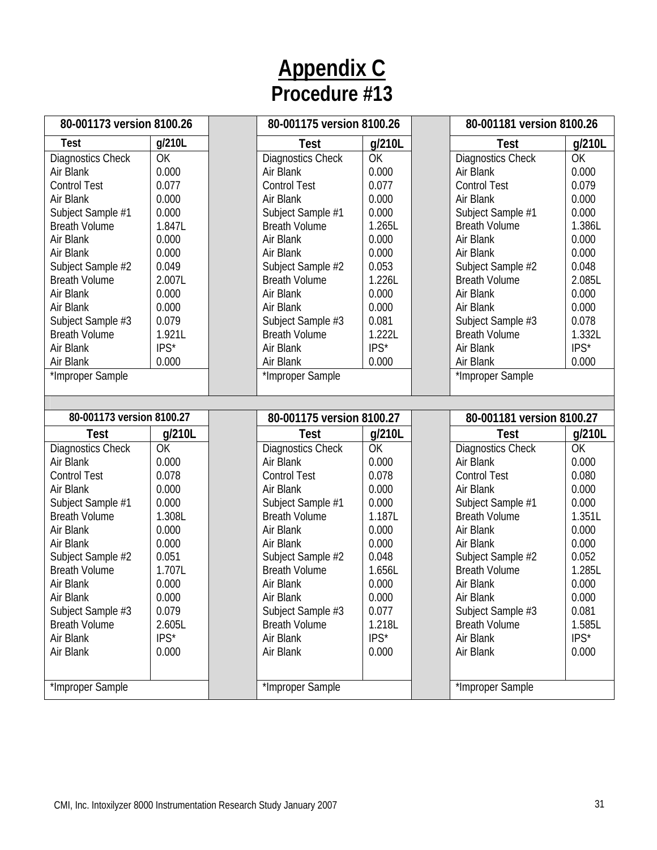| 80-001173 version 8100.26 |        | 80-001175 version 8100.26 |        | 80-001181 version 8100.26 |        |
|---------------------------|--------|---------------------------|--------|---------------------------|--------|
| <b>Test</b>               | g/210L | Test                      | g/210L | <b>Test</b>               | g/210L |
| Diagnostics Check         | OK     | Diagnostics Check         | OK     | <b>Diagnostics Check</b>  | OK     |
| Air Blank                 | 0.000  | Air Blank                 | 0.000  | Air Blank                 | 0.000  |
| <b>Control Test</b>       | 0.077  | <b>Control Test</b>       | 0.077  | <b>Control Test</b>       | 0.079  |
| Air Blank                 | 0.000  | Air Blank                 | 0.000  | Air Blank                 | 0.000  |
| Subject Sample #1         | 0.000  | Subject Sample #1         | 0.000  | Subject Sample #1         | 0.000  |
| <b>Breath Volume</b>      | 1.847L | <b>Breath Volume</b>      | 1.265L | <b>Breath Volume</b>      | 1.386L |
| Air Blank                 | 0.000  | Air Blank                 | 0.000  | Air Blank                 | 0.000  |
| Air Blank                 | 0.000  | Air Blank                 | 0.000  | Air Blank                 | 0.000  |
| Subject Sample #2         | 0.049  | Subject Sample #2         | 0.053  | Subject Sample #2         | 0.048  |
| <b>Breath Volume</b>      | 2.007L | <b>Breath Volume</b>      | 1.226L | <b>Breath Volume</b>      | 2.085L |
| Air Blank                 | 0.000  | Air Blank                 | 0.000  | Air Blank                 | 0.000  |
| Air Blank                 | 0.000  | Air Blank                 | 0.000  | Air Blank                 | 0.000  |
| Subject Sample #3         | 0.079  | Subject Sample #3         | 0.081  | Subject Sample #3         | 0.078  |
| <b>Breath Volume</b>      | 1.921L | <b>Breath Volume</b>      | 1.222L | <b>Breath Volume</b>      | 1.332L |
| Air Blank                 | IPS*   | Air Blank                 | IPS*   | Air Blank                 | IPS*   |
| Air Blank                 | 0.000  | Air Blank                 | 0.000  | Air Blank                 | 0.000  |
| *Improper Sample          |        | *Improper Sample          |        | *Improper Sample          |        |
|                           |        |                           |        |                           |        |
|                           |        |                           |        |                           |        |
|                           |        |                           |        |                           |        |
| 80-001173 version 8100.27 |        | 80-001175 version 8100.27 |        | 80-001181 version 8100.27 |        |
| <b>Test</b>               | g/210L | Test                      | g/210L | Test                      | g/210L |
| Diagnostics Check         | OK     | Diagnostics Check         | OK     | <b>Diagnostics Check</b>  | OK     |
| Air Blank                 | 0.000  | Air Blank                 | 0.000  | Air Blank                 | 0.000  |
| <b>Control Test</b>       | 0.078  | <b>Control Test</b>       | 0.078  | <b>Control Test</b>       | 0.080  |
| Air Blank                 | 0.000  | Air Blank                 | 0.000  | Air Blank                 | 0.000  |
| Subject Sample #1         | 0.000  | Subject Sample #1         | 0.000  | Subject Sample #1         | 0.000  |
| <b>Breath Volume</b>      | 1.308L | <b>Breath Volume</b>      | 1.187L | <b>Breath Volume</b>      | 1.351L |
| Air Blank                 | 0.000  | Air Blank                 | 0.000  | Air Blank                 | 0.000  |
| Air Blank                 | 0.000  | Air Blank                 | 0.000  | Air Blank                 | 0.000  |
| Subject Sample #2         | 0.051  | Subject Sample #2         | 0.048  | Subject Sample #2         | 0.052  |
| <b>Breath Volume</b>      | 1.707L | <b>Breath Volume</b>      | 1.656L | <b>Breath Volume</b>      | 1.285L |
| Air Blank                 | 0.000  | Air Blank                 | 0.000  | Air Blank                 | 0.000  |
| Air Blank                 | 0.000  | Air Blank                 | 0.000  | Air Blank                 | 0.000  |
| Subject Sample #3         | 0.079  | Subject Sample #3         | 0.077  | Subject Sample #3         | 0.081  |
| <b>Breath Volume</b>      | 2.605L | <b>Breath Volume</b>      | 1.218L | <b>Breath Volume</b>      | 1.585L |
| Air Blank                 | IPS*   | Air Blank                 | IPS*   | Air Blank                 | IPS*   |
| Air Blank                 | 0.000  | Air Blank                 | 0.000  | Air Blank                 | 0.000  |
|                           |        |                           |        |                           |        |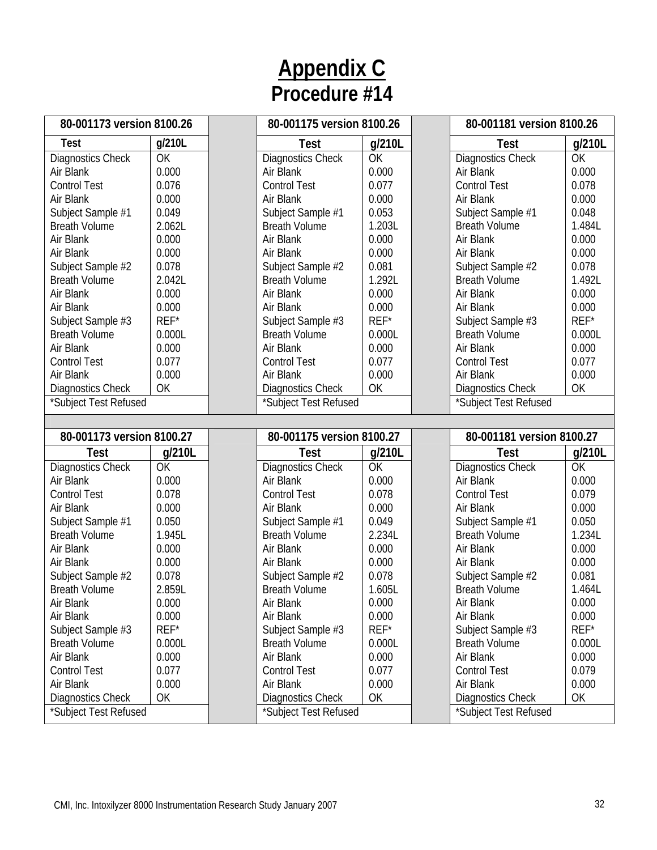| 80-001173 version 8100.26                         |        | 80-001175 version 8100.26                  |        | 80-001181 version 8100.26                  |         |
|---------------------------------------------------|--------|--------------------------------------------|--------|--------------------------------------------|---------|
| <b>Test</b>                                       | g/210L | <b>Test</b>                                | g/210L | <b>Test</b>                                | g/210L  |
| Diagnostics Check                                 | OK     | Diagnostics Check                          | OK     | <b>Diagnostics Check</b>                   | OK      |
| Air Blank                                         | 0.000  | Air Blank                                  | 0.000  | Air Blank                                  | 0.000   |
| <b>Control Test</b>                               | 0.076  | <b>Control Test</b>                        | 0.077  | <b>Control Test</b>                        | 0.078   |
| Air Blank                                         | 0.000  | Air Blank                                  | 0.000  | Air Blank                                  | 0.000   |
| Subject Sample #1                                 | 0.049  | Subject Sample #1                          | 0.053  | Subject Sample #1                          | 0.048   |
| <b>Breath Volume</b>                              | 2.062L | <b>Breath Volume</b>                       | 1.203L | <b>Breath Volume</b>                       | 1.484L  |
| Air Blank                                         | 0.000  | Air Blank                                  | 0.000  | Air Blank                                  | 0.000   |
| Air Blank                                         | 0.000  | Air Blank                                  | 0.000  | Air Blank                                  | 0.000   |
| Subject Sample #2                                 | 0.078  | Subject Sample #2                          | 0.081  | Subject Sample #2                          | 0.078   |
| <b>Breath Volume</b>                              | 2.042L | <b>Breath Volume</b>                       | 1.292L | <b>Breath Volume</b>                       | 1.492L  |
| Air Blank                                         | 0.000  | Air Blank                                  | 0.000  | Air Blank                                  | 0.000   |
| Air Blank                                         | 0.000  | Air Blank                                  | 0.000  | Air Blank                                  | 0.000   |
| Subject Sample #3                                 | REF*   | Subject Sample #3                          | REF*   | Subject Sample #3                          | $REF^*$ |
| <b>Breath Volume</b>                              | 0.000L | <b>Breath Volume</b>                       | 0.000L | <b>Breath Volume</b>                       | 0.000L  |
| Air Blank                                         | 0.000  | Air Blank                                  | 0.000  | Air Blank                                  | 0.000   |
| <b>Control Test</b>                               | 0.077  | <b>Control Test</b>                        | 0.077  | <b>Control Test</b>                        | 0.077   |
| Air Blank                                         | 0.000  | Air Blank                                  | 0.000  | Air Blank                                  | 0.000   |
| <b>Diagnostics Check</b>                          | OK     | Diagnostics Check                          | OK     | <b>Diagnostics Check</b>                   | OK      |
| *Subject Test Refused                             |        | *Subject Test Refused                      |        | *Subject Test Refused                      |         |
|                                                   |        |                                            |        |                                            |         |
|                                                   |        |                                            |        |                                            |         |
| 80-001173 version 8100.27                         |        | 80-001175 version 8100.27                  |        | 80-001181 version 8100.27                  |         |
| <b>Test</b>                                       | g/210L | <b>Test</b>                                | g/210L | <b>Test</b>                                | g/210L  |
| Diagnostics Check                                 | OK     | Diagnostics Check                          | OK     | Diagnostics Check                          | OK      |
| Air Blank                                         | 0.000  | Air Blank                                  | 0.000  | Air Blank                                  | 0.000   |
| <b>Control Test</b>                               | 0.078  | <b>Control Test</b>                        | 0.078  | <b>Control Test</b>                        | 0.079   |
| Air Blank                                         | 0.000  | Air Blank                                  | 0.000  | Air Blank                                  | 0.000   |
| Subject Sample #1                                 | 0.050  | Subject Sample #1                          | 0.049  | Subject Sample #1                          | 0.050   |
| <b>Breath Volume</b>                              | 1.945L | <b>Breath Volume</b>                       | 2.234L | <b>Breath Volume</b>                       | 1.234L  |
| Air Blank                                         | 0.000  | Air Blank                                  | 0.000  | Air Blank                                  | 0.000   |
| Air Blank                                         | 0.000  | Air Blank                                  | 0.000  | Air Blank                                  | 0.000   |
| Subject Sample #2                                 | 0.078  | Subject Sample #2                          | 0.078  | Subject Sample #2                          | 0.081   |
| <b>Breath Volume</b>                              | 2.859L | <b>Breath Volume</b>                       | 1.605L | <b>Breath Volume</b>                       | 1.464L  |
| Air Blank                                         | 0.000  | Air Blank                                  | 0.000  | Air Blank                                  | 0.000   |
| Air Blank                                         | 0.000  | Air Blank                                  | 0.000  | Air Blank                                  | 0.000   |
| Subject Sample #3                                 | REF*   | Subject Sample #3                          | REF*   | Subject Sample #3                          | $REF^*$ |
| <b>Breath Volume</b>                              | 0.000L | <b>Breath Volume</b>                       | 0.000L | <b>Breath Volume</b>                       | 0.000L  |
| Air Blank                                         | 0.000  | Air Blank                                  | 0.000  | Air Blank                                  | 0.000   |
| <b>Control Test</b>                               | 0.077  | <b>Control Test</b>                        | 0.077  | <b>Control Test</b>                        | 0.079   |
| Air Blank                                         | 0.000  | Air Blank                                  | 0.000  | Air Blank                                  | 0.000   |
| <b>Diagnostics Check</b><br>*Subject Test Refused | OK     | Diagnostics Check<br>*Subject Test Refused | OK     | Diagnostics Check<br>*Subject Test Refused | OK      |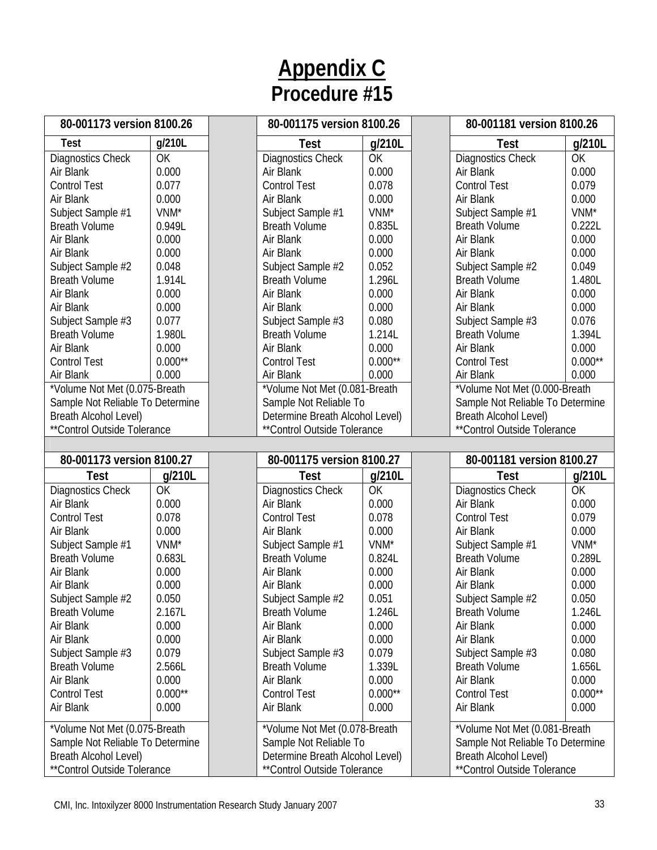| 80-001173 version 8100.26                 |                  | 80-001175 version 8100.26                 |                  | 80-001181 version 8100.26        |                    |
|-------------------------------------------|------------------|-------------------------------------------|------------------|----------------------------------|--------------------|
| <b>Test</b>                               | g/210L           | Test                                      | g/210L           | Test                             | g/210L             |
| Diagnostics Check                         | OK               | Diagnostics Check                         | OK               | <b>Diagnostics Check</b>         | <b>OK</b>          |
| Air Blank                                 | 0.000            | Air Blank                                 | 0.000            | Air Blank                        | 0.000              |
| <b>Control Test</b>                       | 0.077            | <b>Control Test</b>                       | 0.078            | <b>Control Test</b>              | 0.079              |
| Air Blank                                 | 0.000            | Air Blank                                 | 0.000            | Air Blank                        | 0.000              |
| Subject Sample #1                         | VNM <sup>*</sup> | Subject Sample #1                         | VNM*             | Subject Sample #1                | VNM <sup>*</sup>   |
| <b>Breath Volume</b>                      | 0.949L           | <b>Breath Volume</b>                      | 0.835L           | <b>Breath Volume</b>             | 0.222L             |
| Air Blank                                 | 0.000            | Air Blank                                 | 0.000            | Air Blank                        | 0.000              |
| Air Blank                                 | 0.000            | Air Blank                                 | 0.000            | Air Blank                        | 0.000              |
| Subject Sample #2                         | 0.048            | Subject Sample #2                         | 0.052            | Subject Sample #2                | 0.049              |
| <b>Breath Volume</b>                      | 1.914L           | <b>Breath Volume</b>                      | 1.296L           | <b>Breath Volume</b>             | 1.480L             |
| Air Blank                                 | 0.000            | Air Blank                                 | 0.000            | Air Blank                        | 0.000              |
| Air Blank                                 | 0.000            | Air Blank                                 | 0.000            | Air Blank                        | 0.000              |
| Subject Sample #3                         | 0.077            | Subject Sample #3                         | 0.080            | Subject Sample #3                | 0.076              |
| <b>Breath Volume</b>                      | 1.980L           | <b>Breath Volume</b>                      | 1.214L           | <b>Breath Volume</b>             | 1.394L             |
| Air Blank                                 | 0.000            | Air Blank                                 | 0.000            | Air Blank                        | 0.000              |
| <b>Control Test</b>                       | $0.000**$        | <b>Control Test</b>                       | $0.000**$        | <b>Control Test</b>              | $0.000**$          |
| Air Blank                                 | 0.000            | Air Blank                                 | 0.000            | Air Blank                        | 0.000              |
| *Volume Not Met (0.075-Breath             |                  | *Volume Not Met (0.081-Breath             |                  | *Volume Not Met (0.000-Breath    |                    |
| Sample Not Reliable To Determine          |                  | Sample Not Reliable To                    |                  | Sample Not Reliable To Determine |                    |
| Breath Alcohol Level)                     |                  | Determine Breath Alcohol Level)           |                  | Breath Alcohol Level)            |                    |
| **Control Outside Tolerance               |                  | **Control Outside Tolerance               |                  | ** Control Outside Tolerance     |                    |
|                                           |                  |                                           |                  |                                  |                    |
|                                           |                  |                                           |                  |                                  |                    |
| 80-001173 version 8100.27                 |                  | 80-001175 version 8100.27                 |                  | 80-001181 version 8100.27        |                    |
| Test                                      | g/210L           | <b>Test</b>                               | g/210L           | <b>Test</b>                      | g/210L             |
| Diagnostics Check                         | OK               | Diagnostics Check                         | OK               | <b>Diagnostics Check</b>         | OK                 |
| Air Blank                                 | 0.000            | Air Blank                                 | 0.000            | Air Blank                        | 0.000              |
| <b>Control Test</b>                       | 0.078            | <b>Control Test</b>                       | 0.078            | <b>Control Test</b>              | 0.079              |
| Air Blank                                 | 0.000            | Air Blank                                 | 0.000            | Air Blank                        | 0.000              |
| Subject Sample #1                         | VNM*             | Subject Sample #1                         | VNM <sup>*</sup> | Subject Sample #1                | VNM <sup>*</sup>   |
| <b>Breath Volume</b>                      | 0.683L           | <b>Breath Volume</b>                      | 0.824L           | <b>Breath Volume</b>             | 0.289L             |
| Air Blank                                 | 0.000            | Air Blank                                 | 0.000            | Air Blank                        | 0.000              |
| Air Blank                                 | 0.000            | Air Blank                                 | 0.000            | Air Blank                        | 0.000              |
| Subject Sample #2                         | 0.050            | Subject Sample #2                         | 0.051            | Subject Sample #2                | 0.050              |
| <b>Breath Volume</b>                      | 2.167L           | <b>Breath Volume</b>                      | 1.246L           | <b>Breath Volume</b>             | 1.246L             |
| Air Blank                                 | 0.000            | Air Blank                                 | 0.000            | Air Blank                        | 0.000              |
| Air Blank                                 | 0.000            | Air Blank                                 | 0.000            | Air Blank                        | 0.000              |
|                                           | 0.079            |                                           | 0.079            | Subject Sample #3                | 0.080              |
| Subject Sample #3<br><b>Breath Volume</b> | 2.566L           | Subject Sample #3<br><b>Breath Volume</b> | 1.339L           | <b>Breath Volume</b>             | 1.656L             |
| Air Blank                                 | 0.000            | Air Blank                                 | 0.000            | Air Blank                        | 0.000              |
|                                           | $0.000**$        |                                           | $0.000**$        | <b>Control Test</b>              |                    |
| <b>Control Test</b><br>Air Blank          | 0.000            | <b>Control Test</b><br>Air Blank          | 0.000            | Air Blank                        | $0.000**$<br>0.000 |
| *Volume Not Met (0.075-Breath             |                  | *Volume Not Met (0.078-Breath             |                  | *Volume Not Met (0.081-Breath    |                    |
| Sample Not Reliable To Determine          |                  | Sample Not Reliable To                    |                  | Sample Not Reliable To Determine |                    |
| Breath Alcohol Level)                     |                  | Determine Breath Alcohol Level)           |                  | Breath Alcohol Level)            |                    |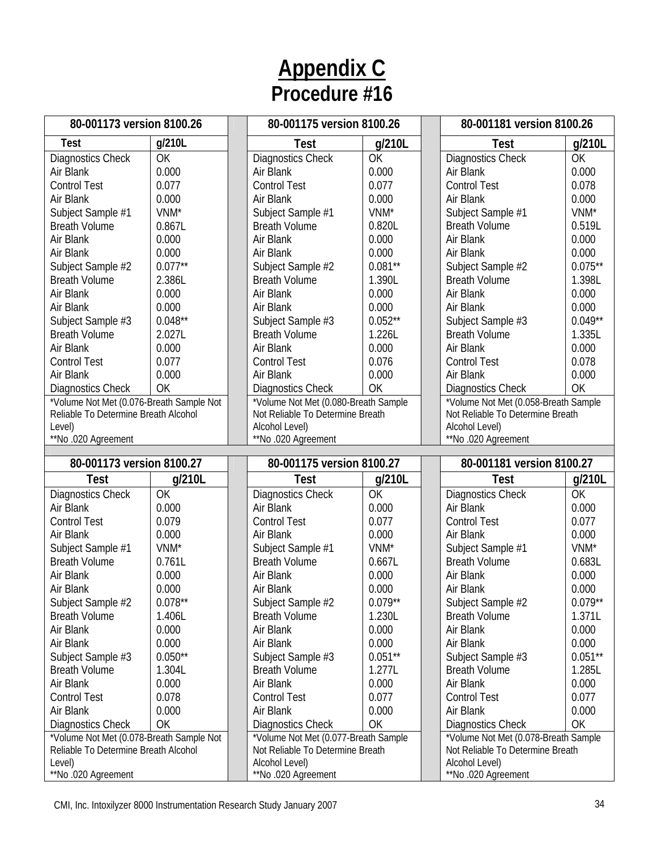| 80-001173 version 8100.26                                            |                  | 80-001175 version 8100.26                                                |                      | 80-001181 version 8100.26                                                |                  |
|----------------------------------------------------------------------|------------------|--------------------------------------------------------------------------|----------------------|--------------------------------------------------------------------------|------------------|
| <b>Test</b>                                                          | g/210L           | <b>Test</b>                                                              | g/210L               | <b>Test</b>                                                              | g/210L           |
| Diagnostics Check                                                    | OK               | <b>Diagnostics Check</b>                                                 | <b>OK</b>            | Diagnostics Check                                                        | OK               |
| Air Blank                                                            | 0.000            | Air Blank                                                                | 0.000                | Air Blank                                                                | 0.000            |
| <b>Control Test</b>                                                  | 0.077            | <b>Control Test</b>                                                      | 0.077                | <b>Control Test</b>                                                      | 0.078            |
| Air Blank                                                            | 0.000            | Air Blank                                                                | 0.000                | Air Blank                                                                | 0.000            |
| Subject Sample #1                                                    | VNM <sup>*</sup> | Subject Sample #1                                                        | VNM*                 | Subject Sample #1                                                        | VNM*             |
| <b>Breath Volume</b>                                                 | 0.867L           | <b>Breath Volume</b>                                                     | 0.820L               | <b>Breath Volume</b>                                                     | 0.519L           |
| Air Blank                                                            | 0.000            | Air Blank                                                                | 0.000                | Air Blank                                                                | 0.000            |
| Air Blank                                                            | 0.000            | Air Blank                                                                | 0.000                | Air Blank                                                                | 0.000            |
| Subject Sample #2                                                    | $0.077**$        | Subject Sample #2                                                        | $0.081**$            | Subject Sample #2                                                        | $0.075***$       |
| <b>Breath Volume</b>                                                 | 2.386L           | <b>Breath Volume</b>                                                     | 1.390L               | <b>Breath Volume</b>                                                     | 1.398L           |
| Air Blank                                                            | 0.000            | Air Blank                                                                | 0.000                | Air Blank                                                                | 0.000            |
| Air Blank                                                            | 0.000            | Air Blank                                                                | 0.000                | Air Blank                                                                | 0.000            |
| Subject Sample #3                                                    | $0.048**$        | Subject Sample #3                                                        | $0.052**$            | Subject Sample #3                                                        | $0.049**$        |
| <b>Breath Volume</b>                                                 | 2.027L           | <b>Breath Volume</b>                                                     | 1.226L               | <b>Breath Volume</b>                                                     | 1.335L           |
| Air Blank                                                            | 0.000            | Air Blank                                                                | 0.000                | Air Blank                                                                | 0.000            |
| <b>Control Test</b>                                                  | 0.077            | <b>Control Test</b>                                                      | 0.076                | <b>Control Test</b>                                                      | 0.078            |
| Air Blank                                                            | 0.000            | Air Blank                                                                | 0.000                | Air Blank                                                                | 0.000            |
|                                                                      | OK               |                                                                          | OK                   |                                                                          | OK               |
| <b>Diagnostics Check</b><br>*Volume Not Met (0.076-Breath Sample Not |                  | <b>Diagnostics Check</b><br>*Volume Not Met (0.080-Breath Sample         |                      | <b>Diagnostics Check</b><br>*Volume Not Met (0.058-Breath Sample)        |                  |
| Reliable To Determine Breath Alcohol                                 |                  | Not Reliable To Determine Breath                                         |                      | Not Reliable To Determine Breath                                         |                  |
| Level)                                                               |                  | Alcohol Level)                                                           |                      | Alcohol Level)                                                           |                  |
| **No .020 Agreement                                                  |                  | **No .020 Agreement                                                      |                      | **No.020 Agreement                                                       |                  |
|                                                                      |                  |                                                                          |                      |                                                                          |                  |
|                                                                      |                  |                                                                          |                      |                                                                          |                  |
| 80-001173 version 8100.27                                            |                  | 80-001175 version 8100.27                                                |                      | 80-001181 version 8100.27                                                |                  |
| <b>Test</b>                                                          | g/210L           | <b>Test</b>                                                              | g/210L               | <b>Test</b>                                                              | g/210L           |
| Diagnostics Check                                                    | OK               | <b>Diagnostics Check</b>                                                 | OK                   | <b>Diagnostics Check</b>                                                 | OK               |
| Air Blank                                                            | 0.000            | Air Blank                                                                | 0.000                | Air Blank                                                                | 0.000            |
| <b>Control Test</b>                                                  | 0.079            | <b>Control Test</b>                                                      | 0.077                | <b>Control Test</b>                                                      | 0.077            |
| Air Blank                                                            | 0.000            | Air Blank                                                                | 0.000                | Air Blank                                                                | 0.000            |
| Subject Sample #1                                                    | VNM <sup>*</sup> | Subject Sample #1                                                        | VNM <sup>*</sup>     | Subject Sample #1                                                        | VNM <sup>*</sup> |
| <b>Breath Volume</b>                                                 | 0.761L           | <b>Breath Volume</b>                                                     | 0.667L               | <b>Breath Volume</b>                                                     | 0.683L           |
| Air Blank                                                            | 0.000            | Air Blank                                                                | 0.000                | Air Blank                                                                | 0.000            |
| Air Blank                                                            | 0.000            | Air Blank                                                                | 0.000                | Air Blank                                                                | 0.000            |
| Subject Sample #2                                                    | $0.078**$        | Subject Sample #2                                                        | $0.079^{\star\star}$ | Subject Sample #2                                                        | $0.079**$        |
| <b>Breath Volume</b>                                                 | 1.406L           | <b>Breath Volume</b>                                                     | 1.230L               | <b>Breath Volume</b>                                                     | 1.371L           |
| Air Blank                                                            | 0.000            | Air Blank                                                                | 0.000                | Air Blank                                                                | 0.000            |
| Air Blank                                                            | 0.000            | Air Blank                                                                | 0.000                | Air Blank                                                                | 0.000            |
|                                                                      | $0.050**$        |                                                                          | $0.051**$            |                                                                          | $0.051**$        |
| Subject Sample #3<br><b>Breath Volume</b>                            | 1.304L           | Subject Sample #3<br><b>Breath Volume</b>                                | 1.277L               | Subject Sample #3<br><b>Breath Volume</b>                                | 1.285L           |
| Air Blank                                                            | 0.000            | Air Blank                                                                | 0.000                | Air Blank                                                                | 0.000            |
| <b>Control Test</b>                                                  | 0.078            | <b>Control Test</b>                                                      | 0.077                | <b>Control Test</b>                                                      | 0.077            |
|                                                                      | 0.000            | Air Blank                                                                | 0.000                |                                                                          |                  |
| Air Blank                                                            |                  |                                                                          |                      | Air Blank                                                                | 0.000            |
| <b>Diagnostics Check</b>                                             | OK               | <b>Diagnostics Check</b>                                                 | OK                   | <b>Diagnostics Check</b>                                                 | OK               |
| *Volume Not Met (0.078-Breath Sample Not                             |                  | *Volume Not Met (0.077-Breath Sample<br>Not Reliable To Determine Breath |                      | *Volume Not Met (0.078-Breath Sample<br>Not Reliable To Determine Breath |                  |
| Reliable To Determine Breath Alcohol<br>Level)                       |                  | Alcohol Level)                                                           |                      | Alcohol Level)                                                           |                  |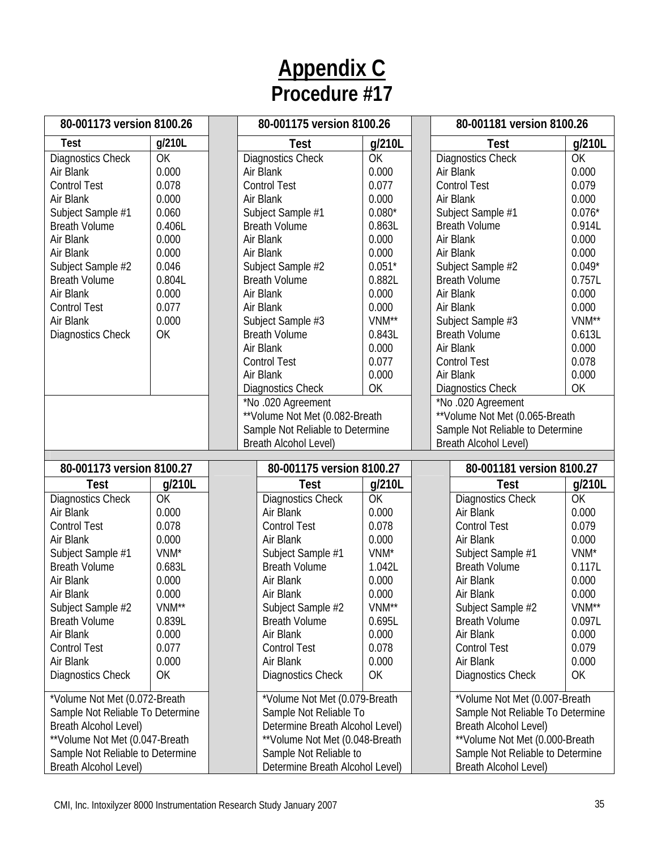| 80-001173 version 8100.26                                           |                   | 80-001175 version 8100.26                                |                   |  | 80-001181 version 8100.26                                           |                     |  |
|---------------------------------------------------------------------|-------------------|----------------------------------------------------------|-------------------|--|---------------------------------------------------------------------|---------------------|--|
| Test                                                                | g/210L            | <b>Test</b>                                              | g/210L            |  | <b>Test</b>                                                         | g/210L              |  |
| Diagnostics Check                                                   | OK                | <b>Diagnostics Check</b>                                 | OK                |  | Diagnostics Check                                                   | <b>OK</b>           |  |
| Air Blank                                                           | 0.000             | Air Blank                                                | 0.000             |  | Air Blank                                                           | 0.000               |  |
| <b>Control Test</b>                                                 | 0.078             | <b>Control Test</b>                                      | 0.077             |  | <b>Control Test</b>                                                 | 0.079               |  |
| Air Blank                                                           | 0.000             | Air Blank                                                | 0.000             |  | Air Blank                                                           | 0.000               |  |
| Subject Sample #1                                                   | 0.060             | Subject Sample #1                                        | $0.080*$          |  | Subject Sample #1                                                   | $0.076*$            |  |
| <b>Breath Volume</b>                                                | 0.406L            | <b>Breath Volume</b>                                     | 0.863L            |  | <b>Breath Volume</b>                                                | 0.914L              |  |
| Air Blank                                                           | 0.000             | Air Blank                                                | 0.000             |  | Air Blank                                                           | 0.000               |  |
| Air Blank                                                           | 0.000             | Air Blank                                                | 0.000             |  | Air Blank                                                           | 0.000               |  |
| Subject Sample #2                                                   | 0.046             | Subject Sample #2                                        | $0.051*$          |  | Subject Sample #2                                                   | $0.049*$            |  |
| <b>Breath Volume</b>                                                | 0.804L            | <b>Breath Volume</b>                                     | 0.882L            |  | <b>Breath Volume</b>                                                | 0.757L              |  |
| Air Blank                                                           | 0.000             | Air Blank                                                | 0.000             |  | Air Blank                                                           | 0.000               |  |
| <b>Control Test</b>                                                 | 0.077<br>0.000    | Air Blank                                                | 0.000<br>VNM**    |  | Air Blank                                                           | 0.000<br>VNM**      |  |
| Air Blank                                                           | OK                | Subject Sample #3<br><b>Breath Volume</b>                | 0.843L            |  | Subject Sample #3<br><b>Breath Volume</b>                           | 0.613L              |  |
| Diagnostics Check                                                   |                   | Air Blank                                                | 0.000             |  | Air Blank                                                           | 0.000               |  |
|                                                                     |                   | <b>Control Test</b>                                      | 0.077             |  | <b>Control Test</b>                                                 | 0.078               |  |
|                                                                     |                   | Air Blank                                                | 0.000             |  | Air Blank                                                           | 0.000               |  |
|                                                                     |                   | <b>Diagnostics Check</b>                                 | OK                |  | Diagnostics Check                                                   | OK                  |  |
|                                                                     |                   | *No.020 Agreement                                        |                   |  | *No.020 Agreement                                                   |                     |  |
|                                                                     |                   | ** Volume Not Met (0.082-Breath                          |                   |  | ** Volume Not Met (0.065-Breath                                     |                     |  |
|                                                                     |                   | Sample Not Reliable to Determine                         |                   |  | Sample Not Reliable to Determine                                    |                     |  |
|                                                                     |                   | <b>Breath Alcohol Level)</b>                             |                   |  | <b>Breath Alcohol Level)</b>                                        |                     |  |
|                                                                     |                   |                                                          |                   |  |                                                                     |                     |  |
| 80-001173 version 8100.27                                           |                   | 80-001175 version 8100.27                                |                   |  | 80-001181 version 8100.27                                           |                     |  |
| <b>Test</b>                                                         | g/210L<br>OK      | <b>Test</b>                                              | g/210L<br>OK      |  | <b>Test</b>                                                         | g/210L<br><b>OK</b> |  |
| Diagnostics Check<br>Air Blank                                      | 0.000             | Diagnostics Check<br>Air Blank                           | 0.000             |  | Diagnostics Check<br>Air Blank                                      | 0.000               |  |
| <b>Control Test</b>                                                 | 0.078             | <b>Control Test</b>                                      | 0.078             |  | <b>Control Test</b>                                                 | 0.079               |  |
| Air Blank                                                           | 0.000             | Air Blank                                                | 0.000             |  | Air Blank                                                           | 0.000               |  |
| Subject Sample #1                                                   | VNM*              | Subject Sample #1                                        | VNM <sup>*</sup>  |  | Subject Sample #1                                                   | VNM*                |  |
| <b>Breath Volume</b>                                                | 0.683L            | <b>Breath Volume</b>                                     | 1.042L            |  | <b>Breath Volume</b>                                                | 0.117L              |  |
| Air Blank                                                           | 0.000             | Air Blank                                                | 0.000             |  | Air Blank                                                           | 0.000               |  |
| Air Blank                                                           | 0.000             | Air Blank                                                | 0.000             |  | Air Blank                                                           | 0.000               |  |
| Subject Sample #2                                                   | VNM <sup>**</sup> | Subject Sample #2                                        | VNM <sup>**</sup> |  | Subject Sample #2                                                   | VNM**               |  |
| <b>Breath Volume</b>                                                | 0.839L            | <b>Breath Volume</b>                                     | 0.695L            |  | <b>Breath Volume</b>                                                | 0.097L              |  |
| Air Blank                                                           | 0.000             | Air Blank                                                | 0.000             |  | Air Blank                                                           | 0.000               |  |
| <b>Control Test</b>                                                 | 0.077             | <b>Control Test</b>                                      | 0.078             |  | <b>Control Test</b>                                                 | 0.079               |  |
| Air Blank                                                           | 0.000             | Air Blank                                                | 0.000             |  | Air Blank                                                           | 0.000               |  |
| <b>Diagnostics Check</b>                                            | OK                | Diagnostics Check                                        | OK                |  | <b>Diagnostics Check</b>                                            | OK                  |  |
|                                                                     |                   |                                                          |                   |  | *Volume Not Met (0.007-Breath                                       |                     |  |
| *Volume Not Met (0.072-Breath                                       |                   | *Volume Not Met (0.079-Breath                            |                   |  |                                                                     |                     |  |
| Sample Not Reliable To Determine                                    |                   |                                                          |                   |  |                                                                     |                     |  |
|                                                                     |                   | Sample Not Reliable To                                   |                   |  | Sample Not Reliable To Determine                                    |                     |  |
| Breath Alcohol Level)                                               |                   | Determine Breath Alcohol Level)                          |                   |  | Breath Alcohol Level)                                               |                     |  |
| ** Volume Not Met (0.047-Breath<br>Sample Not Reliable to Determine |                   | **Volume Not Met (0.048-Breath<br>Sample Not Reliable to |                   |  | ** Volume Not Met (0.000-Breath<br>Sample Not Reliable to Determine |                     |  |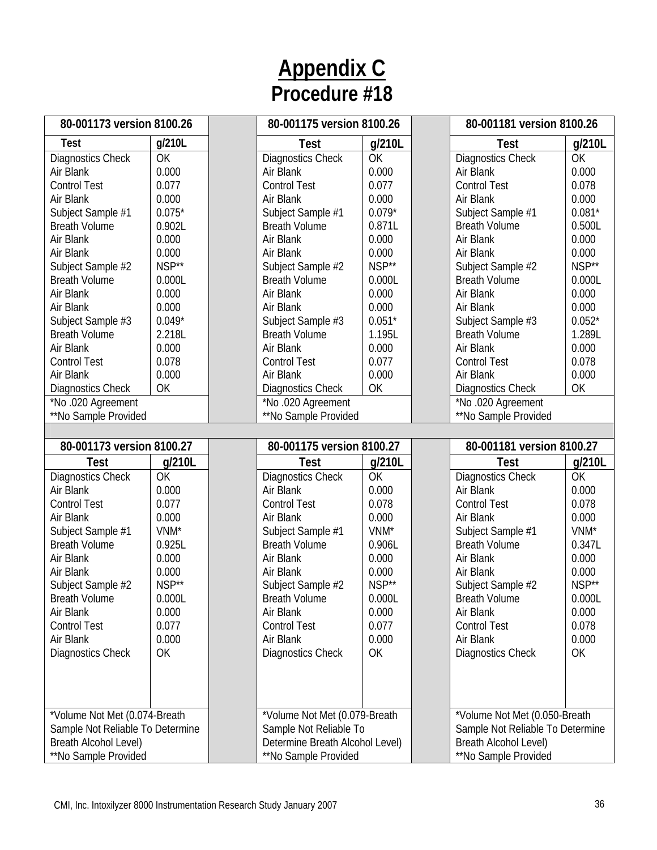| 80-001173 version 8100.26                                 |                  | 80-001175 version 8100.26                               |          | 80-001181 version 8100.26                                         |                  |
|-----------------------------------------------------------|------------------|---------------------------------------------------------|----------|-------------------------------------------------------------------|------------------|
| <b>Test</b>                                               | g/210L           | <b>Test</b>                                             | g/210L   | <b>Test</b>                                                       | g/210L           |
| <b>Diagnostics Check</b>                                  | OK               | Diagnostics Check                                       | OK       | <b>Diagnostics Check</b>                                          | OK               |
| Air Blank                                                 | 0.000            | Air Blank                                               | 0.000    | Air Blank                                                         | 0.000            |
| <b>Control Test</b>                                       | 0.077            | <b>Control Test</b>                                     | 0.077    | <b>Control Test</b>                                               | 0.078            |
| Air Blank                                                 | 0.000            | Air Blank                                               | 0.000    | Air Blank                                                         | 0.000            |
| Subject Sample #1                                         | $0.075*$         | Subject Sample #1                                       | $0.079*$ | Subject Sample #1                                                 | $0.081*$         |
| <b>Breath Volume</b>                                      | 0.902L           | <b>Breath Volume</b>                                    | 0.871L   | <b>Breath Volume</b>                                              | 0.500L           |
| Air Blank                                                 | 0.000            | Air Blank                                               | 0.000    | Air Blank                                                         | 0.000            |
| Air Blank                                                 | 0.000            | Air Blank                                               | 0.000    | Air Blank                                                         | 0.000            |
| Subject Sample #2                                         | NSP**            | Subject Sample #2                                       | NSP**    | Subject Sample #2                                                 | NSP**            |
| <b>Breath Volume</b>                                      | 0.000L           | <b>Breath Volume</b>                                    | 0.000L   | <b>Breath Volume</b>                                              | 0.000L           |
| Air Blank                                                 | 0.000            | Air Blank                                               | 0.000    | Air Blank                                                         | 0.000            |
| Air Blank                                                 | 0.000            | Air Blank                                               | 0.000    | Air Blank                                                         | 0.000            |
| Subject Sample #3                                         | $0.049*$         | Subject Sample #3                                       | $0.051*$ | Subject Sample #3                                                 | $0.052*$         |
| <b>Breath Volume</b>                                      | 2.218L           | <b>Breath Volume</b>                                    | 1.195L   | <b>Breath Volume</b>                                              | 1.289L           |
| Air Blank                                                 | 0.000            | Air Blank                                               | 0.000    | Air Blank                                                         | 0.000            |
| <b>Control Test</b>                                       | 0.078            | <b>Control Test</b>                                     | 0.077    | <b>Control Test</b>                                               | 0.078            |
| Air Blank                                                 | 0.000            | Air Blank                                               | 0.000    | Air Blank                                                         | 0.000            |
| Diagnostics Check                                         | OK               | Diagnostics Check                                       | OK       | <b>Diagnostics Check</b>                                          | OK               |
| *No.020 Agreement                                         |                  | *No.020 Agreement                                       |          | *No .020 Agreement                                                |                  |
| **No Sample Provided                                      |                  | **No Sample Provided                                    |          | **No Sample Provided                                              |                  |
|                                                           |                  |                                                         |          |                                                                   |                  |
|                                                           |                  |                                                         |          |                                                                   |                  |
| 80-001173 version 8100.27                                 |                  | 80-001175 version 8100.27                               |          | 80-001181 version 8100.27                                         |                  |
| Test                                                      | g/210L           | <b>Test</b>                                             | g/210L   | <b>Test</b>                                                       | g/210L           |
| <b>Diagnostics Check</b>                                  | OK               | Diagnostics Check                                       | OK       | <b>Diagnostics Check</b>                                          | OK               |
| Air Blank                                                 | 0.000            | Air Blank                                               | 0.000    | Air Blank                                                         | 0.000            |
| <b>Control Test</b>                                       | 0.077            | <b>Control Test</b>                                     | 0.078    | <b>Control Test</b>                                               | 0.078            |
| Air Blank                                                 | 0.000            | Air Blank                                               | 0.000    | Air Blank                                                         | 0.000            |
| Subject Sample #1                                         | VNM <sup>*</sup> | Subject Sample #1                                       | VNM*     | Subject Sample #1                                                 | VNM <sup>*</sup> |
| <b>Breath Volume</b>                                      | 0.925L           | <b>Breath Volume</b>                                    | 0.906L   | <b>Breath Volume</b>                                              | 0.347L           |
| Air Blank                                                 | 0.000            | Air Blank                                               | 0.000    | Air Blank                                                         | 0.000            |
| Air Blank                                                 | 0.000            | Air Blank                                               | 0.000    | Air Blank                                                         | 0.000            |
| Subject Sample #2                                         | NSP**            | Subject Sample #2                                       | NSP**    | Subject Sample #2                                                 | NSP**            |
| <b>Breath Volume</b>                                      | 0.000L           | <b>Breath Volume</b>                                    | 0.000L   | <b>Breath Volume</b>                                              | 0.000L           |
| Air Blank                                                 | 0.000            | Air Blank                                               | 0.000    | Air Blank                                                         | 0.000            |
| <b>Control Test</b>                                       | 0.077            | <b>Control Test</b>                                     | 0.077    | <b>Control Test</b>                                               | 0.078            |
| Air Blank                                                 | 0.000            | Air Blank                                               | 0.000    | Air Blank                                                         | 0.000            |
|                                                           | OK               |                                                         | OK       | <b>Diagnostics Check</b>                                          | OK               |
| Diagnostics Check                                         |                  | Diagnostics Check                                       |          |                                                                   |                  |
|                                                           |                  |                                                         |          |                                                                   |                  |
|                                                           |                  |                                                         |          |                                                                   |                  |
| *Volume Not Met (0.074-Breath                             |                  |                                                         |          |                                                                   |                  |
|                                                           |                  | *Volume Not Met (0.079-Breath<br>Sample Not Reliable To |          | *Volume Not Met (0.050-Breath<br>Sample Not Reliable To Determine |                  |
| Sample Not Reliable To Determine<br>Breath Alcohol Level) |                  | Determine Breath Alcohol Level)                         |          | Breath Alcohol Level)                                             |                  |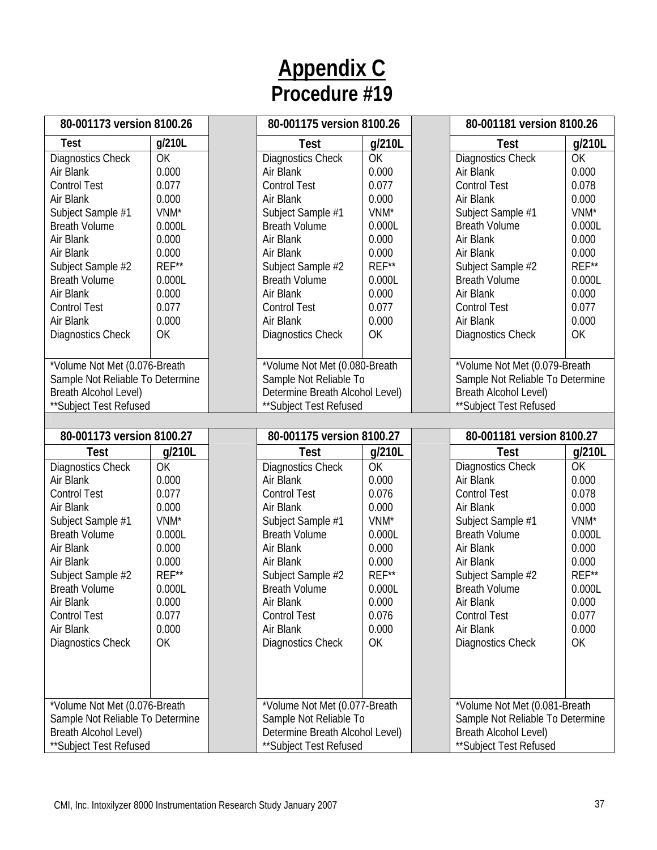| 80-001173 version 8100.26        |                  | 80-001175 version 8100.26       |                  | 80-001181 version 8100.26        |        |
|----------------------------------|------------------|---------------------------------|------------------|----------------------------------|--------|
| <b>Test</b>                      | g/210L           | <b>Test</b>                     | g/210L           | <b>Test</b>                      | g/210L |
| Diagnostics Check                | OK               | <b>Diagnostics Check</b>        | OK               | <b>Diagnostics Check</b>         | OK     |
| Air Blank                        | 0.000            | Air Blank                       | 0.000            | Air Blank                        | 0.000  |
| <b>Control Test</b>              | 0.077            | <b>Control Test</b>             | 0.077            | <b>Control Test</b>              | 0.078  |
| Air Blank                        | 0.000            | Air Blank                       | 0.000            | Air Blank                        | 0.000  |
| Subject Sample #1                | VNM <sup>*</sup> | Subject Sample #1               | VNM <sup>*</sup> | Subject Sample #1                | VNM*   |
| <b>Breath Volume</b>             | 0.000L           | <b>Breath Volume</b>            | 0.000L           | <b>Breath Volume</b>             | 0.000L |
| Air Blank                        | 0.000            | Air Blank                       | 0.000            | Air Blank                        | 0.000  |
| Air Blank                        | 0.000            | Air Blank                       | 0.000            | Air Blank                        | 0.000  |
| Subject Sample #2                | REF**            | Subject Sample #2               | REF**            | Subject Sample #2                | REF**  |
| <b>Breath Volume</b>             | 0.000L           | <b>Breath Volume</b>            | 0.000L           | <b>Breath Volume</b>             | 0.000L |
| Air Blank                        | 0.000            | Air Blank                       | 0.000            | Air Blank                        | 0.000  |
| <b>Control Test</b>              | 0.077            | <b>Control Test</b>             | 0.077            | <b>Control Test</b>              | 0.077  |
| Air Blank                        | 0.000            | Air Blank                       | 0.000            | Air Blank                        | 0.000  |
| Diagnostics Check                | OK               | Diagnostics Check               | OK               | <b>Diagnostics Check</b>         | OK     |
|                                  |                  |                                 |                  |                                  |        |
| *Volume Not Met (0.076-Breath    |                  | *Volume Not Met (0.080-Breath   |                  | *Volume Not Met (0.079-Breath    |        |
| Sample Not Reliable To Determine |                  | Sample Not Reliable To          |                  | Sample Not Reliable To Determine |        |
| <b>Breath Alcohol Level)</b>     |                  | Determine Breath Alcohol Level) |                  | Breath Alcohol Level)            |        |
| **Subject Test Refused           |                  | **Subject Test Refused          |                  | **Subject Test Refused           |        |
|                                  |                  |                                 |                  |                                  |        |
| 80-001173 version 8100.27        |                  | 80-001175 version 8100.27       |                  | 80-001181 version 8100.27        |        |
| <b>Test</b>                      | g/210L           | Test                            | g/210L           | <b>Test</b>                      | g/210L |
| Diagnostics Check                | OK               | <b>Diagnostics Check</b>        | OK               | <b>Diagnostics Check</b>         | OK     |
| Air Blank                        | 0.000            | Air Blank                       | 0.000            | Air Blank                        | 0.000  |
| <b>Control Test</b>              | 0.077            | <b>Control Test</b>             | 0.076            | <b>Control Test</b>              | 0.078  |
| Air Blank                        | 0.000            | Air Blank                       | 0.000            | Air Blank                        | 0.000  |
| Subject Sample #1                | VNM <sup>*</sup> | Subject Sample #1               | VNM*             | Subject Sample #1                | VNM*   |
| <b>Breath Volume</b>             | 0.000L           | <b>Breath Volume</b>            | 0.000L           | <b>Breath Volume</b>             | 0.000L |
| Air Blank                        | 0.000            | Air Blank                       | 0.000            | Air Blank                        | 0.000  |
| Air Blank                        | 0.000            | Air Blank                       | 0.000            | Air Blank                        | 0.000  |
| Subject Sample #2                | REF**            | Subject Sample #2               | REF**            | Subject Sample #2                | REF**  |
| <b>Breath Volume</b>             | 0.000L           | <b>Breath Volume</b>            | 0.000L           | <b>Breath Volume</b>             | 0.000L |
| Air Blank                        | 0.000            | Air Blank                       | 0.000            | Air Blank                        | 0.000  |
| <b>Control Test</b>              | 0.077            | <b>Control Test</b>             | 0.076            | <b>Control Test</b>              | 0.077  |
| Air Blank                        | 0.000            | Air Blank                       | 0.000            | Air Blank                        | 0.000  |
| Diagnostics Check                | OK               | <b>Diagnostics Check</b>        | OK               | <b>Diagnostics Check</b>         | OK     |
|                                  |                  |                                 |                  |                                  |        |
|                                  |                  |                                 |                  |                                  |        |
|                                  |                  |                                 |                  |                                  |        |
| *Volume Not Met (0.076-Breath    |                  | *Volume Not Met (0.077-Breath   |                  | *Volume Not Met (0.081-Breath    |        |
| Sample Not Reliable To Determine |                  | Sample Not Reliable To          |                  | Sample Not Reliable To Determine |        |
| <b>Breath Alcohol Level)</b>     |                  | Determine Breath Alcohol Level) |                  | <b>Breath Alcohol Level)</b>     |        |
| ** Subject Test Refused          |                  |                                 |                  | ** Subject Test Refused          |        |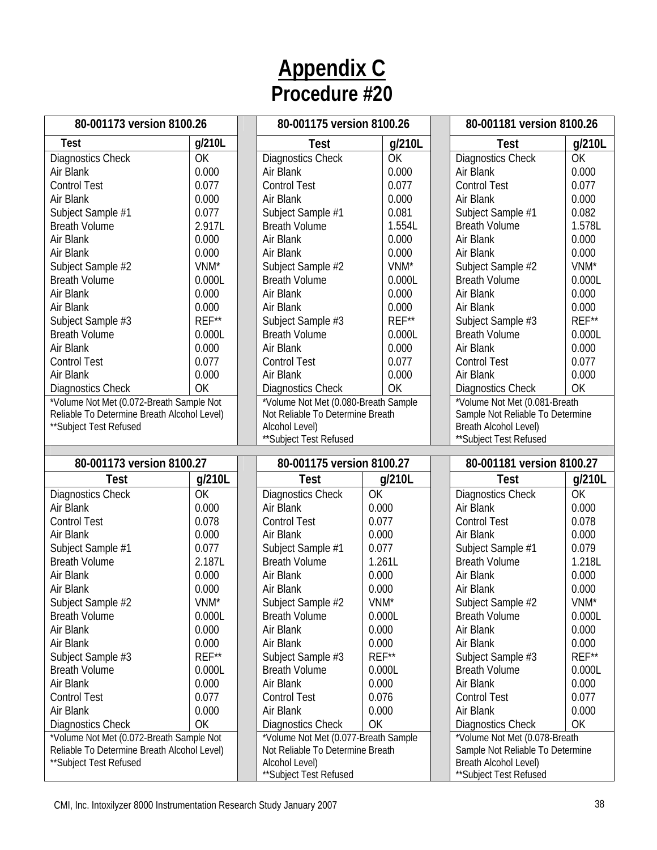| 80-001173 version 8100.26                   |                  | 80-001175 version 8100.26                |                  |        | 80-001181 version 8100.26                       |        |  |
|---------------------------------------------|------------------|------------------------------------------|------------------|--------|-------------------------------------------------|--------|--|
| <b>Test</b>                                 | g/210L           | <b>Test</b>                              |                  | g/210L | Test                                            | g/210L |  |
| Diagnostics Check                           | OK               | <b>Diagnostics Check</b>                 |                  | OK     | <b>Diagnostics Check</b>                        | OK     |  |
| Air Blank                                   | 0.000            | Air Blank                                |                  | 0.000  | Air Blank                                       | 0.000  |  |
| <b>Control Test</b>                         | 0.077            | <b>Control Test</b>                      |                  | 0.077  | <b>Control Test</b>                             | 0.077  |  |
| Air Blank                                   | 0.000            | Air Blank                                |                  | 0.000  | Air Blank                                       | 0.000  |  |
| Subject Sample #1                           | 0.077            | Subject Sample #1                        |                  | 0.081  | Subject Sample #1                               | 0.082  |  |
| <b>Breath Volume</b>                        | 2.917L           | <b>Breath Volume</b>                     |                  | 1.554L | <b>Breath Volume</b>                            | 1.578L |  |
| Air Blank                                   | 0.000            | Air Blank                                |                  | 0.000  | Air Blank                                       | 0.000  |  |
| Air Blank                                   | 0.000            | Air Blank                                |                  | 0.000  | Air Blank                                       | 0.000  |  |
| Subject Sample #2                           | VNM <sup>*</sup> | Subject Sample #2                        |                  | VNM*   | Subject Sample #2                               | VNM*   |  |
| <b>Breath Volume</b>                        | 0.000L           | <b>Breath Volume</b>                     |                  | 0.000L | <b>Breath Volume</b>                            | 0.000L |  |
| Air Blank                                   | 0.000            | Air Blank                                |                  | 0.000  | Air Blank                                       | 0.000  |  |
| Air Blank                                   | 0.000            | Air Blank                                |                  | 0.000  | Air Blank                                       | 0.000  |  |
| Subject Sample #3                           | REF**            | Subject Sample #3                        |                  | REF**  | Subject Sample #3                               | REF**  |  |
| <b>Breath Volume</b>                        | 0.000L           | <b>Breath Volume</b>                     |                  | 0.000L | <b>Breath Volume</b>                            | 0.000L |  |
| Air Blank                                   | 0.000            | Air Blank                                |                  | 0.000  | Air Blank                                       | 0.000  |  |
| <b>Control Test</b>                         | 0.077            | <b>Control Test</b>                      |                  | 0.077  | <b>Control Test</b>                             | 0.077  |  |
| Air Blank                                   | 0.000            | Air Blank                                |                  | 0.000  | Air Blank                                       | 0.000  |  |
| Diagnostics Check                           | OK               | <b>Diagnostics Check</b>                 |                  | OK     | Diagnostics Check                               | OK     |  |
| *Volume Not Met (0.072-Breath Sample Not    |                  | *Volume Not Met (0.080-Breath Sample     |                  |        | *Volume Not Met (0.081-Breath                   |        |  |
| Reliable To Determine Breath Alcohol Level) |                  | Not Reliable To Determine Breath         |                  |        | Sample Not Reliable To Determine                |        |  |
| **Subject Test Refused                      |                  | Alcohol Level)                           |                  |        | Breath Alcohol Level)                           |        |  |
|                                             |                  | **Subject Test Refused                   |                  |        | ** Subject Test Refused                         |        |  |
|                                             |                  |                                          |                  |        |                                                 |        |  |
| 80-001173 version 8100.27                   |                  | 80-001175 version 8100.27                |                  |        | 80-001181 version 8100.27                       |        |  |
| <b>Test</b>                                 | g/210L           | <b>Test</b>                              |                  | g/210L | <b>Test</b>                                     | g/210L |  |
| Diagnostics Check                           | OK               | Diagnostics Check                        | OK               |        | <b>Diagnostics Check</b>                        | OK     |  |
| Air Blank                                   | 0.000            | Air Blank                                | 0.000            |        | Air Blank                                       | 0.000  |  |
| <b>Control Test</b>                         | 0.078            | <b>Control Test</b>                      | 0.077            |        | <b>Control Test</b>                             | 0.078  |  |
| Air Blank                                   | 0.000            | Air Blank                                | 0.000            |        | Air Blank                                       | 0.000  |  |
| Subject Sample #1                           | 0.077            | Subject Sample #1                        | 0.077            |        | Subject Sample #1                               | 0.079  |  |
| <b>Breath Volume</b>                        | 2.187L           | <b>Breath Volume</b>                     | 1.261L           |        | <b>Breath Volume</b>                            | 1.218L |  |
| Air Blank                                   | 0.000            | Air Blank                                | 0.000            |        | Air Blank                                       | 0.000  |  |
| Air Blank                                   | 0.000            | Air Blank                                | 0.000            |        | Air Blank                                       | 0.000  |  |
| Subject Sample #2                           | VNM <sup>*</sup> | Subject Sample #2                        | VNM <sup>*</sup> |        | Subject Sample #2                               | VNM*   |  |
| <b>Breath Volume</b>                        | 0.000L           | <b>Breath Volume</b>                     | 0.000L           |        | <b>Breath Volume</b>                            | 0.000L |  |
| Air Blank                                   | 0.000            | Air Blank                                | 0.000            |        | Air Blank                                       | 0.000  |  |
| Air Blank                                   | 0.000            | Air Blank                                | 0.000            |        | Air Blank                                       | 0.000  |  |
| Subject Sample #3                           | REF**            | Subject Sample #3                        | REF**            |        | Subject Sample #3                               | REF**  |  |
| <b>Breath Volume</b>                        | 0.000L           | <b>Breath Volume</b>                     | 0.000L           |        | <b>Breath Volume</b>                            | 0.000L |  |
| Air Blank                                   | 0.000            | Air Blank                                | 0.000            |        | Air Blank                                       | 0.000  |  |
| <b>Control Test</b>                         | 0.077            | <b>Control Test</b>                      | 0.076            |        | <b>Control Test</b>                             | 0.077  |  |
| Air Blank                                   | 0.000            | Air Blank                                | 0.000            |        | Air Blank                                       | 0.000  |  |
| Diagnostics Check                           | OK               | Diagnostics Check                        | OK               |        | <b>Diagnostics Check</b>                        | OK     |  |
| *Volume Not Met (0.072-Breath Sample Not    |                  | *Volume Not Met (0.077-Breath Sample     |                  |        | *Volume Not Met (0.078-Breath                   |        |  |
| Reliable To Determine Breath Alcohol Level) |                  | Not Reliable To Determine Breath         |                  |        | Sample Not Reliable To Determine                |        |  |
| **Subject Test Refused                      |                  | Alcohol Level)<br>**Subject Test Refused |                  |        | Breath Alcohol Level)<br>**Subject Test Refused |        |  |